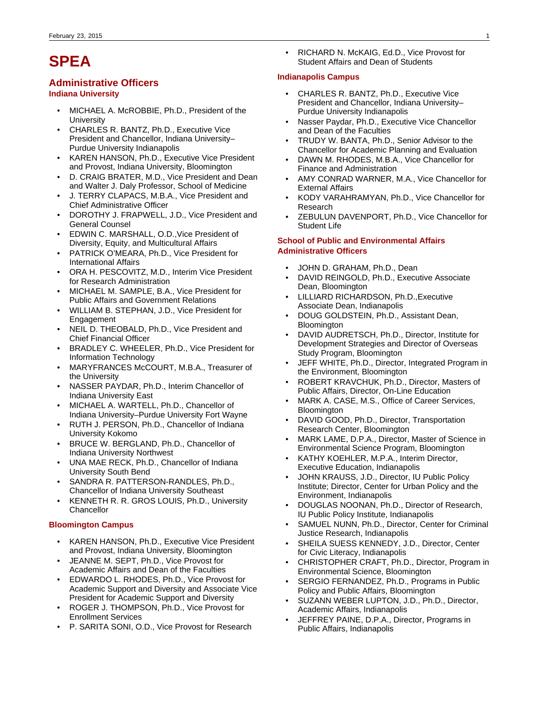# **SPEA**

# **Administrative Officers**

## **Indiana University**

- MICHAEL A. McROBBIE, Ph.D., President of the University
- CHARLES R. BANTZ, Ph.D., Executive Vice President and Chancellor, Indiana University– Purdue University Indianapolis
- KAREN HANSON, Ph.D., Executive Vice President and Provost, Indiana University, Bloomington
- D. CRAIG BRATER, M.D., Vice President and Dean and Walter J. Daly Professor, School of Medicine
- J. TERRY CLAPACS, M.B.A., Vice President and Chief Administrative Officer
- DOROTHY J. FRAPWELL, J.D., Vice President and General Counsel
- EDWIN C. MARSHALL, O.D.,Vice President of Diversity, Equity, and Multicultural Affairs
- PATRICK O'MEARA, Ph.D., Vice President for International Affairs
- ORA H. PESCOVITZ, M.D., Interim Vice President for Research Administration
- MICHAEL M. SAMPLE, B.A., Vice President for Public Affairs and Government Relations
- WILLIAM B. STEPHAN, J.D., Vice President for Engagement
- NEIL D. THEOBALD, Ph.D., Vice President and Chief Financial Officer
- BRADLEY C. WHEELER, Ph.D., Vice President for Information Technology
- MARYFRANCES McCOURT, M.B.A., Treasurer of the University
- NASSER PAYDAR, Ph.D., Interim Chancellor of Indiana University East
- MICHAEL A. WARTELL, Ph.D., Chancellor of Indiana University–Purdue University Fort Wayne
- RUTH J. PERSON, Ph.D., Chancellor of Indiana University Kokomo
- BRUCE W. BERGLAND, Ph.D., Chancellor of Indiana University Northwest
- UNA MAE RECK, Ph.D., Chancellor of Indiana University South Bend
- SANDRA R. PATTERSON-RANDLES, Ph.D., Chancellor of Indiana University Southeast
- KENNETH R. R. GROS LOUIS, Ph.D., University **Chancellor**

## **Bloomington Campus**

- KAREN HANSON, Ph.D., Executive Vice President and Provost, Indiana University, Bloomington
- JEANNE M. SEPT, Ph.D., Vice Provost for Academic Affairs and Dean of the Faculties
- EDWARDO L. RHODES, Ph.D., Vice Provost for Academic Support and Diversity and Associate Vice President for Academic Support and Diversity
- ROGER J. THOMPSON, Ph.D., Vice Provost for Enrollment Services
- P. SARITA SONI, O.D., Vice Provost for Research

• RICHARD N. McKAIG, Ed.D., Vice Provost for Student Affairs and Dean of Students

## **Indianapolis Campus**

- CHARLES R. BANTZ, Ph.D., Executive Vice President and Chancellor, Indiana University– Purdue University Indianapolis
- Nasser Paydar, Ph.D., Executive Vice Chancellor and Dean of the Faculties
- TRUDY W. BANTA, Ph.D., Senior Advisor to the Chancellor for Academic Planning and Evaluation
- DAWN M. RHODES, M.B.A., Vice Chancellor for Finance and Administration
- AMY CONRAD WARNER, M.A., Vice Chancellor for External Affairs
- KODY VARAHRAMYAN, Ph.D., Vice Chancellor for Research
- ZEBULUN DAVENPORT, Ph.D., Vice Chancellor for Student Life

## **School of Public and Environmental Affairs Administrative Officers**

- JOHN D. GRAHAM, Ph.D., Dean
- DAVID REINGOLD, Ph.D., Executive Associate Dean, Bloomington
- LILLIARD RICHARDSON, Ph.D.,Executive Associate Dean, Indianapolis
- DOUG GOLDSTEIN, Ph.D., Assistant Dean, **Bloomington**
- DAVID AUDRETSCH, Ph.D., Director, Institute for Development Strategies and Director of Overseas Study Program, Bloomington
- JEFF WHITE, Ph.D., Director, Integrated Program in the Environment, Bloomington
- ROBERT KRAVCHUK, Ph.D., Director, Masters of Public Affairs, Director, On-Line Education
- MARK A. CASE, M.S., Office of Career Services, **Bloomington**
- DAVID GOOD, Ph.D., Director, Transportation Research Center, Bloomington
- MARK LAME, D.P.A., Director, Master of Science in Environmental Science Program, Bloomington
- KATHY KOEHLER, M.P.A., Interim Director, Executive Education, Indianapolis
- JOHN KRAUSS, J.D., Director, IU Public Policy Institute; Director, Center for Urban Policy and the Environment, Indianapolis
- DOUGLAS NOONAN, Ph.D., Director of Research, IU Public Policy Institute, Indianapolis
- SAMUEL NUNN, Ph.D., Director, Center for Criminal Justice Research, Indianapolis
- SHEILA SUESS KENNEDY, J.D., Director, Center for Civic Literacy, Indianapolis
- CHRISTOPHER CRAFT, Ph.D., Director, Program in Environmental Science, Bloomington
- SERGIO FERNANDEZ, Ph.D., Programs in Public Policy and Public Affairs, Bloomington
- SUZANN WEBER LUPTON, J.D., Ph.D., Director, Academic Affairs, Indianapolis
- JEFFREY PAINE, D.P.A., Director, Programs in Public Affairs, Indianapolis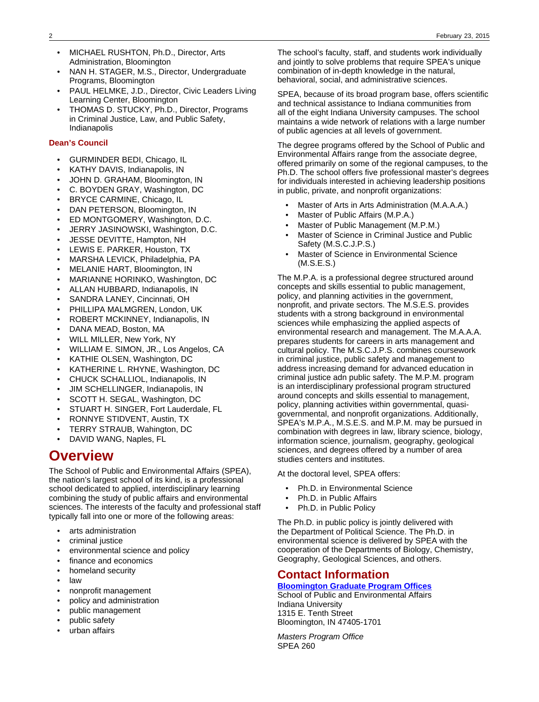- MICHAEL RUSHTON, Ph.D., Director, Arts Administration, Bloomington
- NAN H. STAGER, M.S., Director, Undergraduate Programs, Bloomington
- PAUL HELMKE, J.D., Director, Civic Leaders Living Learning Center, Bloomington
- THOMAS D. STUCKY, Ph.D., Director, Programs in Criminal Justice, Law, and Public Safety, Indianapolis

## **Dean's Council**

- GURMINDER BEDI, Chicago, IL
- KATHY DAVIS, Indianapolis, IN
- JOHN D. GRAHAM, Bloomington, IN
- C. BOYDEN GRAY, Washington, DC
- BRYCE CARMINE, Chicago, IL
- DAN PETERSON, Bloomington, IN
- ED MONTGOMERY, Washington, D.C.
- JERRY JASINOWSKI, Washington, D.C.
- JESSE DEVITTE, Hampton, NH
- LEWIS E. PARKER, Houston, TX
- MARSHA LEVICK, Philadelphia, PA
- MELANIE HART, Bloomington, IN
- MARIANNE HORINKO, Washington, DC
- ALLAN HUBBARD, Indianapolis, IN
- SANDRA LANEY, Cincinnati, OH
- PHILLIPA MALMGREN, London, UK
- ROBERT MCKINNEY, Indianapolis, IN
- DANA MEAD, Boston, MA
- WILL MILLER, New York, NY
- WILLIAM E. SIMON, JR., Los Angelos, CA
- KATHIE OLSEN, Washington, DC
- KATHERINE L. RHYNE, Washington, DC
- CHUCK SCHALLIOL, Indianapolis, IN
- JIM SCHELLINGER, Indianapolis, IN
- SCOTT H. SEGAL, Washington, DC
- STUART H. SINGER, Fort Lauderdale, FL
- RONNYE STIDVENT, Austin, TX
- TERRY STRAUB, Wahington, DC
- DAVID WANG, Naples, FL

# **Overview**

The School of Public and Environmental Affairs (SPEA), the nation's largest school of its kind, is a professional school dedicated to applied, interdisciplinary learning combining the study of public affairs and environmental sciences. The interests of the faculty and professional staff typically fall into one or more of the following areas:

- arts administration
- criminal justice
- environmental science and policy
- finance and economics
- homeland security
- law
- nonprofit management
- policy and administration
- public management
- public safety
- urban affairs

The school's faculty, staff, and students work individually and jointly to solve problems that require SPEA's unique combination of in-depth knowledge in the natural, behavioral, social, and administrative sciences.

SPEA, because of its broad program base, offers scientific and technical assistance to Indiana communities from all of the eight Indiana University campuses. The school maintains a wide network of relations with a large number of public agencies at all levels of government.

The degree programs offered by the School of Public and Environmental Affairs range from the associate degree, offered primarily on some of the regional campuses, to the Ph.D. The school offers five professional master's degrees for individuals interested in achieving leadership positions in public, private, and nonprofit organizations:

- Master of Arts in Arts Administration (M.A.A.A.)
- Master of Public Affairs (M.P.A.)
- Master of Public Management (M.P.M.)
- Master of Science in Criminal Justice and Public Safety (M.S.C.J.P.S.)
- Master of Science in Environmental Science (M.S.E.S.)

The M.P.A. is a professional degree structured around concepts and skills essential to public management, policy, and planning activities in the government, nonprofit, and private sectors. The M.S.E.S. provides students with a strong background in environmental sciences while emphasizing the applied aspects of environmental research and management. The M.A.A.A. prepares students for careers in arts management and cultural policy. The M.S.C.J.P.S. combines coursework in criminal justice, public safety and management to address increasing demand for advanced education in criminal justice adn public safety. The M.P.M. program is an interdisciplinary professional program structured around concepts and skills essential to management, policy, planning activities within governmental, quasigovernmental, and nonprofit organizations. Additionally, SPEA's M.P.A., M.S.E.S. and M.P.M. may be pursued in combination with degrees in law, library science, biology, information science, journalism, geography, geological sciences, and degrees offered by a number of area studies centers and institutes.

At the doctoral level, SPEA offers:

- Ph.D. in Environmental Science
- Ph.D. in Public Affairs
- Ph.D. in Public Policy

The Ph.D. in public policy is jointly delivered with the Department of Political Science. The Ph.D. in environmental science is delivered by SPEA with the cooperation of the Departments of Biology, Chemistry, Geography, Geological Sciences, and others.

## **Contact Information**

## **[Bloomington Graduate Program Offices](http://www.spea.indiana.edu)**

School of Public and Environmental Affairs Indiana University 1315 E. Tenth Street Bloomington, IN 47405-1701

Masters Program Office SPEA 260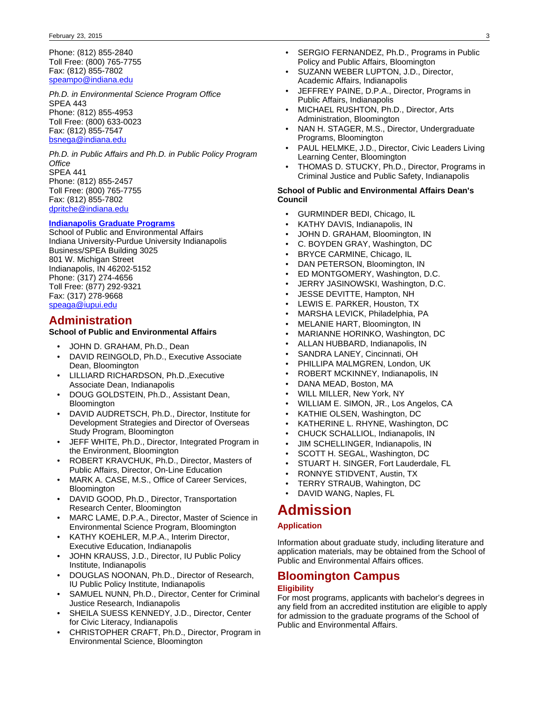Phone: (812) 855-2840 Toll Free: (800) 765-7755 Fax: (812) 855-7802 [speampo@indiana.edu](mailto:speampo@indiana.edu)

Ph.D. in Environmental Science Program Office SPEA 443 Phone: (812) 855-4953 Toll Free: (800) 633-0023 Fax: (812) 855-7547 [bsnega@indiana.edu](mailto:bsnega@indiana.edu)

Ph.D. in Public Affairs and Ph.D. in Public Policy Program **Office** SPEA 441 Phone: (812) 855-2457 Toll Free: (800) 765-7755 Fax: (812) 855-7802 [dpritche@indiana.edu](mailto:dpritche@indiana.edu)

## **[Indianapolis Graduate Programs](http://www.spea.iupui.edu)**

School of Public and Environmental Affairs Indiana University-Purdue University Indianapolis Business/SPEA Building 3025 801 W. Michigan Street Indianapolis, IN 46202-5152 Phone: (317) 274-4656 Toll Free: (877) 292-9321 Fax: (317) 278-9668 [speaga@iupui.edu](mailto:speaga@iupui.edu)

## **Administration**

## **School of Public and Environmental Affairs**

- JOHN D. GRAHAM, Ph.D., Dean
- DAVID REINGOLD, Ph.D., Executive Associate Dean, Bloomington
- LILLIARD RICHARDSON, Ph.D.,Executive Associate Dean, Indianapolis
- DOUG GOLDSTEIN, Ph.D., Assistant Dean, Bloomington
- DAVID AUDRETSCH, Ph.D., Director, Institute for Development Strategies and Director of Overseas Study Program, Bloomington
- JEFF WHITE, Ph.D., Director, Integrated Program in the Environment, Bloomington
- ROBERT KRAVCHUK, Ph.D., Director, Masters of Public Affairs, Director, On-Line Education
- MARK A. CASE, M.S., Office of Career Services, **Bloomington**
- DAVID GOOD, Ph.D., Director, Transportation Research Center, Bloomington
- MARC LAME, D.P.A., Director, Master of Science in Environmental Science Program, Bloomington
- KATHY KOEHLER, M.P.A., Interim Director, Executive Education, Indianapolis
- JOHN KRAUSS, J.D., Director, IU Public Policy Institute, Indianapolis
- DOUGLAS NOONAN, Ph.D., Director of Research, IU Public Policy Institute, Indianapolis
- SAMUEL NUNN, Ph.D., Director, Center for Criminal Justice Research, Indianapolis
- SHEILA SUESS KENNEDY, J.D., Director, Center for Civic Literacy, Indianapolis
- CHRISTOPHER CRAFT, Ph.D., Director, Program in Environmental Science, Bloomington
- SERGIO FERNANDEZ, Ph.D., Programs in Public Policy and Public Affairs, Bloomington
- SUZANN WEBER LUPTON, J.D., Director, Academic Affairs, Indianapolis
- JEFFREY PAINE, D.P.A., Director, Programs in Public Affairs, Indianapolis
- MICHAEL RUSHTON, Ph.D., Director, Arts Administration, Bloomington
- NAN H. STAGER, M.S., Director, Undergraduate Programs, Bloomington
- PAUL HELMKE, J.D., Director, Civic Leaders Living Learning Center, Bloomington
- THOMAS D. STUCKY, Ph.D., Director, Programs in Criminal Justice and Public Safety, Indianapolis

## **School of Public and Environmental Affairs Dean's Council**

- GURMINDER BEDI, Chicago, IL
- KATHY DAVIS, Indianapolis, IN
- JOHN D. GRAHAM, Bloomington, IN
- C. BOYDEN GRAY, Washington, DC
- BRYCE CARMINE, Chicago, IL
- DAN PETERSON, Bloomington, IN
- ED MONTGOMERY, Washington, D.C.
- JERRY JASINOWSKI, Washington, D.C.
- JESSE DEVITTE, Hampton, NH
- LEWIS E. PARKER, Houston, TX
- MARSHA LEVICK, Philadelphia, PA
- MELANIE HART, Bloomington, IN
- MARIANNE HORINKO, Washington, DC
- ALLAN HUBBARD, Indianapolis, IN
- SANDRA LANEY, Cincinnati, OH
- PHILLIPA MALMGREN, London, UK
- ROBERT MCKINNEY, Indianapolis, IN
- DANA MEAD, Boston, MA
- WILL MILLER, New York, NY
- WILLIAM E. SIMON, JR., Los Angelos, CA
- KATHIE OLSEN, Washington, DC
- KATHERINE L. RHYNE, Washington, DC
- CHUCK SCHALLIOL, Indianapolis, IN
- JIM SCHELLINGER, Indianapolis, IN
- SCOTT H. SEGAL, Washington, DC
- STUART H. SINGER, Fort Lauderdale, FL
- RONNYE STIDVENT, Austin, TX
- TERRY STRAUB, Wahington, DC
- DAVID WANG, Naples, FL

# **Admission**

## **Application**

Information about graduate study, including literature and application materials, may be obtained from the School of Public and Environmental Affairs offices.

## **Bloomington Campus Eligibility**

For most programs, applicants with bachelor's degrees in any field from an accredited institution are eligible to apply for admission to the graduate programs of the School of Public and Environmental Affairs.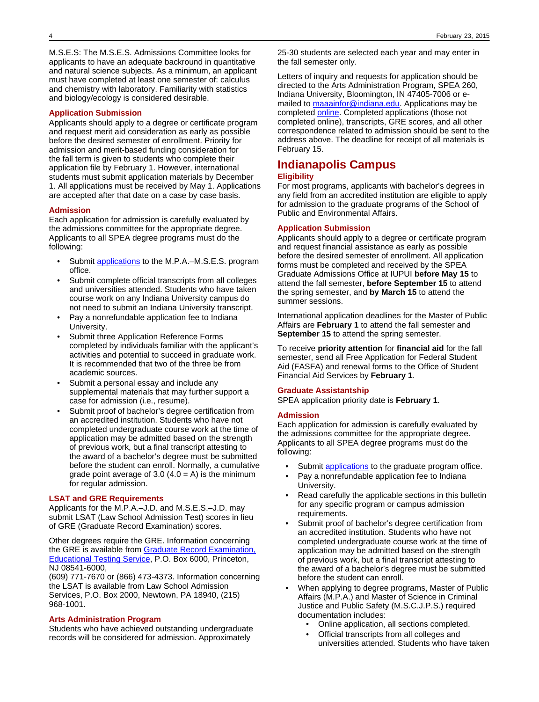M.S.E.S: The M.S.E.S. Admissions Committee looks for applicants to have an adequate backround in quantitative and natural science subjects. As a minimum, an applicant must have completed at least one semester of: calculus and chemistry with laboratory. Familiarity with statistics and biology/ecology is considered desirable.

## **Application Submission**

Applicants should apply to a degree or certificate program and request merit aid consideration as early as possible before the desired semester of enrollment. Priority for admission and merit-based funding consideration for the fall term is given to students who complete their application file by February 1. However, international students must submit application materials by December 1. All applications must be received by May 1. Applications are accepted after that date on a case by case basis.

### **Admission**

Each application for admission is carefully evaluated by the admissions committee for the appropriate degree. Applicants to all SPEA degree programs must do the following:

- Submit [applications](http://www.spea.indiana.edu) to the M.P.A.–M.S.E.S. program office.
- Submit complete official transcripts from all colleges and universities attended. Students who have taken course work on any Indiana University campus do not need to submit an Indiana University transcript.
- Pay a nonrefundable application fee to Indiana University.
- Submit three Application Reference Forms completed by individuals familiar with the applicant's activities and potential to succeed in graduate work. It is recommended that two of the three be from academic sources.
- Submit a personal essay and include any supplemental materials that may further support a case for admission (i.e., resume).
- Submit proof of bachelor's degree certification from an accredited institution. Students who have not completed undergraduate course work at the time of application may be admitted based on the strength of previous work, but a final transcript attesting to the award of a bachelor's degree must be submitted before the student can enroll. Normally, a cumulative grade point average of  $3.0$  (4.0 = A) is the minimum for regular admission.

## **LSAT and GRE Requirements**

Applicants for the M.P.A.–J.D. and M.S.E.S.–J.D. may submit LSAT (Law School Admission Test) scores in lieu of GRE (Graduate Record Examination) scores.

Other degrees require the GRE. Information concerning the GRE is available from [Graduate Record Examination,](http://www.gre.org) [Educational Testing Service,](http://www.gre.org) P.O. Box 6000, Princeton, NJ 08541-6000,

(609) 771-7670 or (866) 473-4373. Information concerning the LSAT is available from Law School Admission Services, P.O. Box 2000, Newtown, PA 18940, (215) 968-1001.

### **Arts Administration Program**

Students who have achieved outstanding undergraduate records will be considered for admission. Approximately

25-30 students are selected each year and may enter in the fall semester only.

Letters of inquiry and requests for application should be directed to the Arts Administration Program, SPEA 260, Indiana University, Bloomington, IN 47405-7006 or emailed to [maaainfor@indiana.edu.](mailto:maaainfor@indiana.edu) Applications may be completed **online**. Completed applications (those not completed online), transcripts, GRE scores, and all other correspondence related to admission should be sent to the address above. The deadline for receipt of all materials is February 15.

# **Indianapolis Campus**

## **Eligibility**

For most programs, applicants with bachelor's degrees in any field from an accredited institution are eligible to apply for admission to the graduate programs of the School of Public and Environmental Affairs.

### **Application Submission**

Applicants should apply to a degree or certificate program and request financial assistance as early as possible before the desired semester of enrollment. All application forms must be completed and received by the SPEA Graduate Admissions Office at IUPUI **before May 15** to attend the fall semester, **before September 15** to attend the spring semester, and **by March 15** to attend the summer sessions.

International application deadlines for the Master of Public Affairs are **February 1** to attend the fall semester and **September 15** to attend the spring semester.

To receive **priority attention** for **financial aid** for the fall semester, send all Free Application for Federal Student Aid (FASFA) and renewal forms to the Office of Student Financial Aid Services by **February 1**.

### **Graduate Assistantship**

SPEA application priority date is **February 1**.

### **Admission**

Each application for admission is carefully evaluated by the admissions committee for the appropriate degree. Applicants to all SPEA degree programs must do the following:

- Submit [applications](http://www.spea.iupui.edu) to the graduate program office.
- Pay a nonrefundable application fee to Indiana University.
- Read carefully the applicable sections in this bulletin for any specific program or campus admission requirements.
- Submit proof of bachelor's degree certification from an accredited institution. Students who have not completed undergraduate course work at the time of application may be admitted based on the strength of previous work, but a final transcript attesting to the award of a bachelor's degree must be submitted before the student can enroll.
- When applying to degree programs, Master of Public Affairs (M.P.A.) and Master of Science in Criminal Justice and Public Safety (M.S.C.J.P.S.) required documentation includes:
	- Online application, all sections completed.
	- Official transcripts from all colleges and universities attended. Students who have taken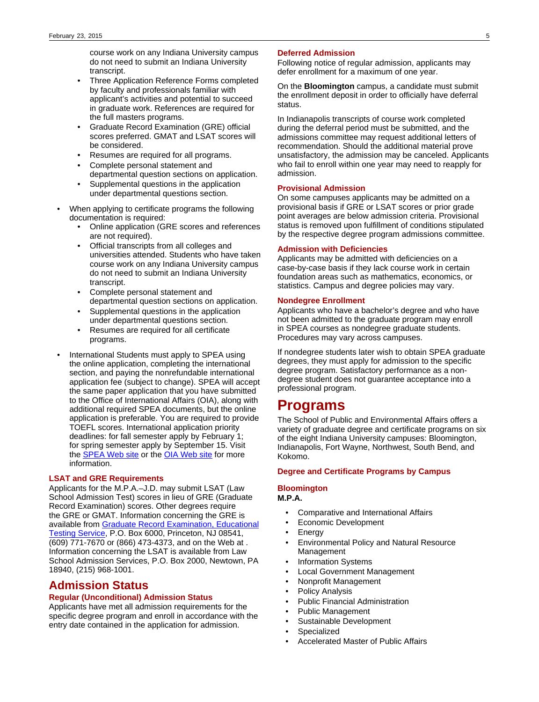course work on any Indiana University campus do not need to submit an Indiana University transcript.

- Three Application Reference Forms completed by faculty and professionals familiar with applicant's activities and potential to succeed in graduate work. References are required for the full masters programs.
- Graduate Record Examination (GRE) official scores preferred. GMAT and LSAT scores will be considered.
- Resumes are required for all programs.
- Complete personal statement and departmental question sections on application.
- Supplemental questions in the application under departmental questions section.
- When applying to certificate programs the following documentation is required:
	- Online application (GRE scores and references are not required).
	- Official transcripts from all colleges and universities attended. Students who have taken course work on any Indiana University campus do not need to submit an Indiana University transcript.
	- Complete personal statement and departmental question sections on application.
	- Supplemental questions in the application under departmental questions section.
	- Resumes are required for all certificate programs.
- International Students must apply to SPEA using the online application, completing the international section, and paying the nonrefundable international application fee (subject to change). SPEA will accept the same paper application that you have submitted to the Office of International Affairs (OIA), along with additional required SPEA documents, but the online application is preferable. You are required to provide TOEFL scores. International application priority deadlines: for fall semester apply by February 1; for spring semester apply by September 15. Visit the **[SPEA Web site](http://www.spea.iupui.edu) or the [OIA Web site](http://www.international.iupui.edu)** for more information.

### **LSAT and GRE Requirements**

Applicants for the M.P.A.–J.D. may submit LSAT (Law School Admission Test) scores in lieu of GRE (Graduate Record Examination) scores. Other degrees require the GRE or GMAT. Information concerning the GRE is available from [Graduate Record Examination, Educational](http://www.gre.org) [Testing Service](http://www.gre.org), P.O. Box 6000, Princeton, NJ 08541, (609) 771-7670 or (866) 473-4373, and on the Web at . Information concerning the LSAT is available from Law School Admission Services, P.O. Box 2000, Newtown, PA 18940, (215) 968-1001.

## **Admission Status**

### **Regular (Unconditional) Admission Status**

Applicants have met all admission requirements for the specific degree program and enroll in accordance with the entry date contained in the application for admission.

### **Deferred Admission**

Following notice of regular admission, applicants may defer enrollment for a maximum of one year.

On the **Bloomington** campus, a candidate must submit the enrollment deposit in order to officially have deferral status.

In Indianapolis transcripts of course work completed during the deferral period must be submitted, and the admissions committee may request additional letters of recommendation. Should the additional material prove unsatisfactory, the admission may be canceled. Applicants who fail to enroll within one year may need to reapply for admission.

## **Provisional Admission**

On some campuses applicants may be admitted on a provisional basis if GRE or LSAT scores or prior grade point averages are below admission criteria. Provisional status is removed upon fulfillment of conditions stipulated by the respective degree program admissions committee.

## **Admission with Deficiencies**

Applicants may be admitted with deficiencies on a case-by-case basis if they lack course work in certain foundation areas such as mathematics, economics, or statistics. Campus and degree policies may vary.

## **Nondegree Enrollment**

Applicants who have a bachelor's degree and who have not been admitted to the graduate program may enroll in SPEA courses as nondegree graduate students. Procedures may vary across campuses.

If nondegree students later wish to obtain SPEA graduate degrees, they must apply for admission to the specific degree program. Satisfactory performance as a nondegree student does not guarantee acceptance into a professional program.

# **Programs**

The School of Public and Environmental Affairs offers a variety of graduate degree and certificate programs on six of the eight Indiana University campuses: Bloomington, Indianapolis, Fort Wayne, Northwest, South Bend, and Kokomo.

### **Degree and Certificate Programs by Campus**

### **Bloomington M.P.A.**

- Comparative and International Affairs
- Economic Development
- **Energy**
- Environmental Policy and Natural Resource Management
- Information Systems
- Local Government Management
- Nonprofit Management
- Policy Analysis
- Public Financial Administration
- Public Management
- Sustainable Development
- **Specialized**
- Accelerated Master of Public Affairs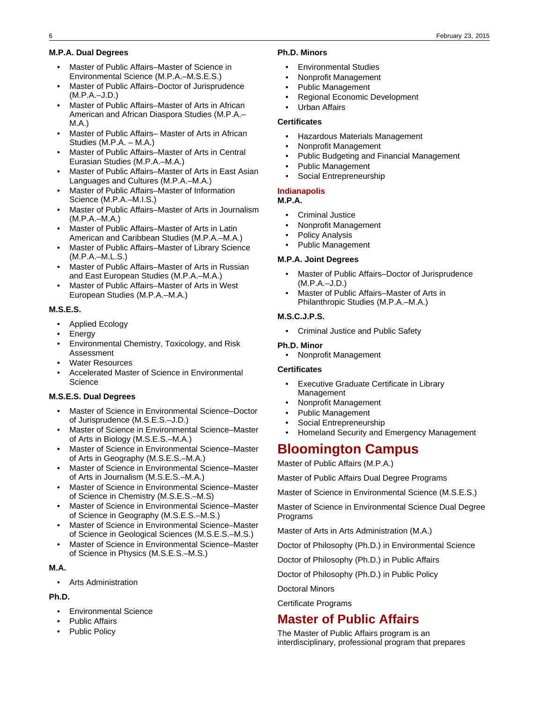## **M.P.A. Dual Degrees**

- Master of Public Affairs–Master of Science in Environmental Science (M.P.A.–M.S.E.S.)
- Master of Public Affairs–Doctor of Jurisprudence (M.P.A.–J.D.)
- Master of Public Affairs–Master of Arts in African American and African Diaspora Studies (M.P.A.– M.A.)
- Master of Public Affairs– Master of Arts in African Studies (M.P.A. – M.A.)
- Master of Public Affairs–Master of Arts in Central Eurasian Studies (M.P.A.–M.A.)
- Master of Public Affairs–Master of Arts in East Asian Languages and Cultures (M.P.A.–M.A.)
- Master of Public Affairs–Master of Information Science (M.P.A.–M.I.S.)
- Master of Public Affairs–Master of Arts in Journalism (M.P.A.–M.A.)
- Master of Public Affairs–Master of Arts in Latin American and Caribbean Studies (M.P.A.–M.A.)
- Master of Public Affairs–Master of Library Science (M.P.A.–M.L.S.)
- Master of Public Affairs–Master of Arts in Russian and East European Studies (M.P.A.–M.A.)
- Master of Public Affairs–Master of Arts in West European Studies (M.P.A.–M.A.)

## **M.S.E.S.**

- Applied Ecology
- Energy
- Environmental Chemistry, Toxicology, and Risk Assessment
- Water Resources
- Accelerated Master of Science in Environmental **Science**

## **M.S.E.S. Dual Degrees**

- Master of Science in Environmental Science–Doctor of Jurisprudence (M.S.E.S.–J.D.)
- Master of Science in Environmental Science–Master of Arts in Biology (M.S.E.S.–M.A.)
- Master of Science in Environmental Science–Master of Arts in Geography (M.S.E.S.–M.A.)
- Master of Science in Environmental Science–Master of Arts in Journalism (M.S.E.S.–M.A.)
- Master of Science in Environmental Science–Master of Science in Chemistry (M.S.E.S.–M.S)
- Master of Science in Environmental Science–Master of Science in Geography (M.S.E.S.–M.S.)
- Master of Science in Environmental Science–Master of Science in Geological Sciences (M.S.E.S.–M.S.)
- Master of Science in Environmental Science–Master of Science in Physics (M.S.E.S.–M.S.)

## **M.A.**

• Arts Administration

## **Ph.D.**

- Environmental Science
- Public Affairs
- Public Policy

### **Ph.D. Minors**

- Environmental Studies
- Nonprofit Management
- Public Management
- Regional Economic Development
- Urban Affairs

## **Certificates**

- Hazardous Materials Management
- Nonprofit Management
- Public Budgeting and Financial Management
- Public Management
- Social Entrepreneurship

## **Indianapolis**

- **M.P.A.**
	- Criminal Justice
	- Nonprofit Management
- Policy Analysis
- Public Management

## **M.P.A. Joint Degrees**

- Master of Public Affairs-Doctor of Jurisprudence (M.P.A.–J.D.)
- Master of Public Affairs–Master of Arts in Philanthropic Studies (M.P.A.–M.A.)

## **M.S.C.J.P.S.**

• Criminal Justice and Public Safety

## **Ph.D. Minor**

• Nonprofit Management

## **Certificates**

- Executive Graduate Certificate in Library Management
- Nonprofit Management
- Public Management
- Social Entrepreneurship
- Homeland Security and Emergency Management

# **Bloomington Campus**

Master of Public Affairs (M.P.A.)

Master of Public Affairs Dual Degree Programs

Master of Science in Environmental Science (M.S.E.S.)

Master of Science in Environmental Science Dual Degree Programs

Master of Arts in Arts Administration (M.A.)

Doctor of Philosophy (Ph.D.) in Environmental Science

Doctor of Philosophy (Ph.D.) in Public Affairs

Doctor of Philosophy (Ph.D.) in Public Policy

Doctoral Minors

Certificate Programs

# **Master of Public Affairs**

The Master of Public Affairs program is an interdisciplinary, professional program that prepares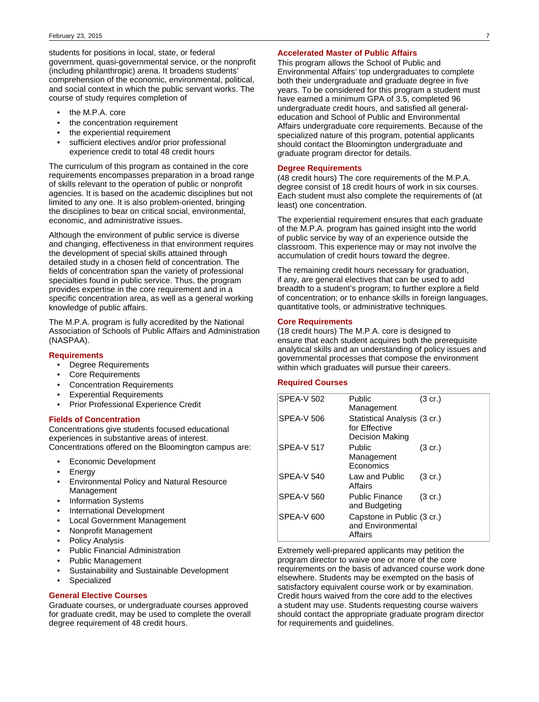students for positions in local, state, or federal government, quasi-governmental service, or the nonprofit (including philanthropic) arena. It broadens students' comprehension of the economic, environmental, political, and social context in which the public servant works. The course of study requires completion of

- the M.P.A. core
- the concentration requirement
- the experiential requirement
- sufficient electives and/or prior professional experience credit to total 48 credit hours

The curriculum of this program as contained in the core requirements encompasses preparation in a broad range of skills relevant to the operation of public or nonprofit agencies. It is based on the academic disciplines but not limited to any one. It is also problem-oriented, bringing the disciplines to bear on critical social, environmental, economic, and administrative issues.

Although the environment of public service is diverse and changing, effectiveness in that environment requires the development of special skills attained through detailed study in a chosen field of concentration. The fields of concentration span the variety of professional specialties found in public service. Thus, the program provides expertise in the core requirement and in a specific concentration area, as well as a general working knowledge of public affairs.

The M.P.A. program is fully accredited by the National Association of Schools of Public Affairs and Administration (NASPAA).

## **Requirements**

- Degree Requirements
- Core Requirements
- Concentration Requirements
- **Experential Requirements**
- Prior Professional Experience Credit

### **Fields of Concentration**

Concentrations give students focused educational experiences in substantive areas of interest. Concentrations offered on the Bloomington campus are:

- Economic Development
- **Energy**
- Environmental Policy and Natural Resource Management
- Information Systems
- International Development
- Local Government Management
- Nonprofit Management
- Policy Analysis
- Public Financial Administration
- Public Management
- Sustainability and Sustainable Development
- **Specialized**

### **General Elective Courses**

Graduate courses, or undergraduate courses approved for graduate credit, may be used to complete the overall degree requirement of 48 credit hours.

### **Accelerated Master of Public Affairs**

This program allows the School of Public and Environmental Affairs' top undergraduates to complete both their undergraduate and graduate degree in five years. To be considered for this program a student must have earned a minimum GPA of 3.5, completed 96 undergraduate credit hours, and satisfied all generaleducation and School of Public and Environmental Affairs undergraduate core requirements. Because of the specialized nature of this program, potential applicants should contact the Bloomington undergraduate and graduate program director for details.

## **Degree Requirements**

(48 credit hours) The core requirements of the M.P.A. degree consist of 18 credit hours of work in six courses. Each student must also complete the requirements of (at least) one concentration.

The experiential requirement ensures that each graduate of the M.P.A. program has gained insight into the world of public service by way of an experience outside the classroom. This experience may or may not involve the accumulation of credit hours toward the degree.

The remaining credit hours necessary for graduation, if any, are general electives that can be used to add breadth to a student's program; to further explore a field of concentration; or to enhance skills in foreign languages, quantitative tools, or administrative techniques.

## **Core Requirements**

(18 credit hours) The M.P.A. core is designed to ensure that each student acquires both the prerequisite analytical skills and an understanding of policy issues and governmental processes that compose the environment within which graduates will pursue their careers.

## **Required Courses**

| <b>SPEA-V 502</b> | Public<br>Management                                             | (3 cr.)           |
|-------------------|------------------------------------------------------------------|-------------------|
| <b>SPEA-V 506</b> | Statistical Analysis (3 cr.)<br>for Effective<br>Decision Making |                   |
| <b>SPEA-V 517</b> | Public<br>Management<br>Economics                                | $(3 \text{ cr.})$ |
| <b>SPEA-V 540</b> | Law and Public<br>Affairs                                        | $(3 \text{ cr.})$ |
| <b>SPEA-V 560</b> | Public Finance<br>and Budgeting                                  | $(3 \text{ cr.})$ |
| SPEA-V 600        | Capstone in Public (3 cr.)<br>and Environmental<br>Affairs       |                   |

Extremely well-prepared applicants may petition the program director to waive one or more of the core requirements on the basis of advanced course work done elsewhere. Students may be exempted on the basis of satisfactory equivalent course work or by examination. Credit hours waived from the core add to the electives a student may use. Students requesting course waivers should contact the appropriate graduate program director for requirements and guidelines.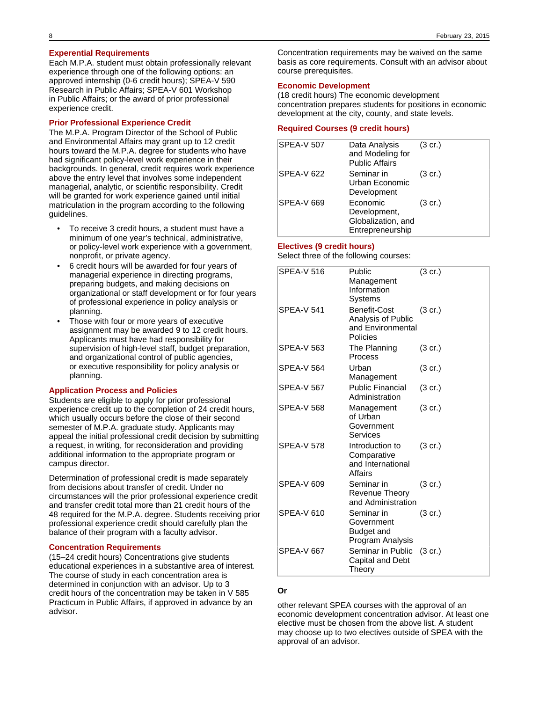## **Experential Requirements**

Each M.P.A. student must obtain professionally relevant experience through one of the following options: an approved internship (0-6 credit hours); SPEA-V 590 Research in Public Affairs; SPEA-V 601 Workshop in Public Affairs; or the award of prior professional experience credit.

## **Prior Professional Experience Credit**

The M.P.A. Program Director of the School of Public and Environmental Affairs may grant up to 12 credit hours toward the M.P.A. degree for students who have had significant policy-level work experience in their backgrounds. In general, credit requires work experience above the entry level that involves some independent managerial, analytic, or scientific responsibility. Credit will be granted for work experience gained until initial matriculation in the program according to the following guidelines.

- To receive 3 credit hours, a student must have a minimum of one year's technical, administrative, or policy-level work experience with a government, nonprofit, or private agency.
- 6 credit hours will be awarded for four years of managerial experience in directing programs, preparing budgets, and making decisions on organizational or staff development or for four years of professional experience in policy analysis or planning.
- Those with four or more years of executive assignment may be awarded 9 to 12 credit hours. Applicants must have had responsibility for supervision of high-level staff, budget preparation, and organizational control of public agencies, or executive responsibility for policy analysis or planning.

### **Application Process and Policies**

Students are eligible to apply for prior professional experience credit up to the completion of 24 credit hours, which usually occurs before the close of their second semester of M.P.A. graduate study. Applicants may appeal the initial professional credit decision by submitting a request, in writing, for reconsideration and providing additional information to the appropriate program or campus director.

Determination of professional credit is made separately from decisions about transfer of credit. Under no circumstances will the prior professional experience credit and transfer credit total more than 21 credit hours of the 48 required for the M.P.A. degree. Students receiving prior professional experience credit should carefully plan the balance of their program with a faculty advisor.

## **Concentration Requirements**

(15–24 credit hours) Concentrations give students educational experiences in a substantive area of interest. The course of study in each concentration area is determined in conjunction with an advisor. Up to 3 credit hours of the concentration may be taken in V 585 Practicum in Public Affairs, if approved in advance by an advisor.

Concentration requirements may be waived on the same basis as core requirements. Consult with an advisor about course prerequisites.

### **Economic Development**

(18 credit hours) The economic development concentration prepares students for positions in economic development at the city, county, and state levels.

## **Required Courses (9 credit hours)**

| <b>SPEA-V 507</b> | Data Analysis<br>and Modeling for<br><b>Public Affairs</b>         | $(3 \text{ cr.})$ |
|-------------------|--------------------------------------------------------------------|-------------------|
| <b>SPEA-V 622</b> | Seminar in<br>Urban Economic<br>Development                        | $(3 \text{ cr.})$ |
| <b>SPEA-V 669</b> | Economic<br>Development,<br>Globalization, and<br>Entrepreneurship | $(3 \text{ cr.})$ |

### **Electives (9 credit hours)**

Select three of the following courses:

| <b>SPEA-V 516</b> | Public<br>Management<br>Information<br>Systems                      | $(3 \text{ cr.})$ |
|-------------------|---------------------------------------------------------------------|-------------------|
| <b>SPEA-V 541</b> | Benefit-Cost<br>Analysis of Public<br>and Environmental<br>Policies | $(3 \text{ cr.})$ |
| <b>SPEA-V 563</b> | The Planning<br>Process                                             | $(3$ cr.)         |
| <b>SPEA-V 564</b> | Urban<br>Management                                                 | $(3 \text{ cr.})$ |
| <b>SPEA-V 567</b> | <b>Public Financial</b><br>Administration                           | $(3 \text{ cr.})$ |
| <b>SPEA-V 568</b> | Management<br>of Urban<br>Government<br>Services                    | $(3 \text{ cr.})$ |
| <b>SPFA-V 578</b> | Introduction to<br>Comparative<br>and International<br>Affairs      | $(3$ cr.)         |
| SPEA-V 609        | Seminar in<br>Revenue Theory<br>and Administration                  | $(3$ cr.)         |
| <b>SPEA-V 610</b> | Seminar in<br>Government<br>Budget and<br>Program Analysis          | $(3 \text{ cr.})$ |
| <b>SPEA-V 667</b> | Seminar in Public<br>Capital and Debt<br>Theory                     | $(3 \text{ cr.})$ |

## **Or**

other relevant SPEA courses with the approval of an economic development concentration advisor. At least one elective must be chosen from the above list. A student may choose up to two electives outside of SPEA with the approval of an advisor.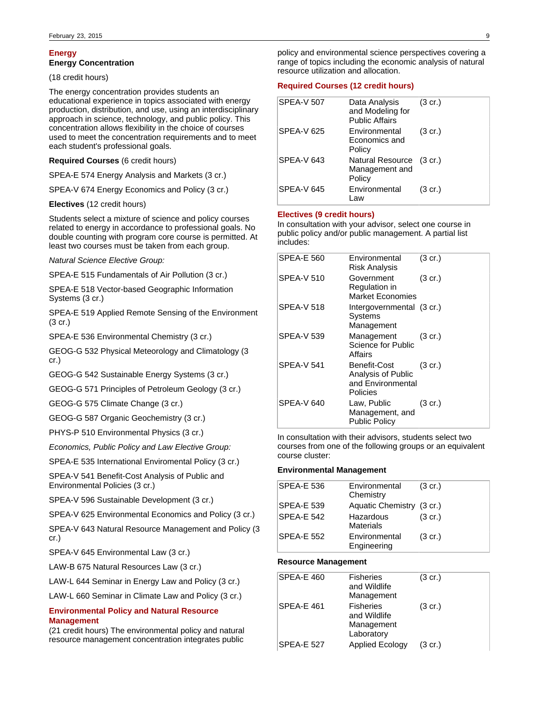## **Energy**

## **Energy Concentration**

(18 credit hours)

The energy concentration provides students an educational experience in topics associated with energy production, distribution, and use, using an interdisciplinary approach in science, technology, and public policy. This concentration allows flexibility in the choice of courses used to meet the concentration requirements and to meet each student's professional goals.

### **Required Courses** (6 credit hours)

SPEA-E 574 Energy Analysis and Markets (3 cr.)

SPEA-V 674 Energy Economics and Policy (3 cr.)

**Electives** (12 credit hours)

Students select a mixture of science and policy courses related to energy in accordance to professional goals. No double counting with program core course is permitted. At least two courses must be taken from each group.

Natural Science Elective Group:

SPEA-E 515 Fundamentals of Air Pollution (3 cr.)

SPEA-E 518 Vector-based Geographic Information Systems (3 cr.)

SPEA-E 519 Applied Remote Sensing of the Environment (3 cr.)

SPEA-E 536 Environmental Chemistry (3 cr.)

GEOG-G 532 Physical Meteorology and Climatology (3 cr.)

GEOG-G 542 Sustainable Energy Systems (3 cr.)

GEOG-G 571 Principles of Petroleum Geology (3 cr.)

GEOG-G 575 Climate Change (3 cr.)

GEOG-G 587 Organic Geochemistry (3 cr.)

PHYS-P 510 Environmental Physics (3 cr.)

Economics, Public Policy and Law Elective Group:

SPEA-E 535 International Enviromental Policy (3 cr.)

SPEA-V 541 Benefit-Cost Analysis of Public and Environmental Policies (3 cr.)

SPEA-V 596 Sustainable Development (3 cr.)

SPEA-V 625 Environmental Economics and Policy (3 cr.)

SPEA-V 643 Natural Resource Management and Policy (3 cr.)

SPEA-V 645 Environmental Law (3 cr.)

LAW-B 675 Natural Resources Law (3 cr.)

LAW-L 644 Seminar in Energy Law and Policy (3 cr.)

LAW-L 660 Seminar in Climate Law and Policy (3 cr.)

## **Environmental Policy and Natural Resource Management**

(21 credit hours) The environmental policy and natural resource management concentration integrates public policy and environmental science perspectives covering a range of topics including the economic analysis of natural resource utilization and allocation.

### **Required Courses (12 credit hours)**

| <b>SPEA-V 507</b> | Data Analysis<br>and Modeling for<br><b>Public Affairs</b> | $(3 \text{ cr.})$ |
|-------------------|------------------------------------------------------------|-------------------|
| <b>SPEA-V 625</b> | Environmental<br>Economics and<br>Policy                   | $(3 \text{ cr.})$ |
| <b>SPEA-V 643</b> | Natural Resource (3 cr.)<br>Management and<br>Policy       |                   |
| <b>SPEA-V 645</b> | Environmental<br>_aw                                       | (3 cr.)           |

### **Electives (9 credit hours)**

In consultation with your advisor, select one course in public policy and/or public management. A partial list includes:

| <b>SPEA-E 560</b> | Environmental<br><b>Risk Analysis</b>                               | $(3 \text{ cr.})$ |
|-------------------|---------------------------------------------------------------------|-------------------|
| SPEA-V 510        | Government<br>Regulation in<br><b>Market Economies</b>              | $(3 \text{ cr.})$ |
| <b>SPEA-V 518</b> | Intergovernmental (3 cr.)<br>Systems<br>Management                  |                   |
| SPEA-V 539        | Management<br>Science for Public<br>Affairs                         | $(3 \text{ cr.})$ |
| <b>SPEA-V 541</b> | Benefit-Cost<br>Analysis of Public<br>and Environmental<br>Policies | $(3 \text{ cr.})$ |
| SPEA-V 640        | Law, Public<br>Management, and<br><b>Public Policy</b>              | $(3 \text{ cr.})$ |

In consultation with their advisors, students select two courses from one of the following groups or an equivalent course cluster:

### **Environmental Management**

| <b>SPEA-E 536</b> | Environmental<br>Chemistry    | $(3 \text{ cr.})$ |
|-------------------|-------------------------------|-------------------|
| <b>SPEA-E 539</b> | Aquatic Chemistry (3 cr.)     |                   |
| SPEA-E 542        | Hazardous<br><b>Materials</b> | $(3 \text{ cr.})$ |
| <b>SPEA-E 552</b> | Environmental<br>Engineering  | $(3 \text{ cr.})$ |

### **Resource Management**

| SPEA-E 460        | <b>Fisheries</b><br>and Wildlife<br>Management               | $(3 \text{ cr.})$ |
|-------------------|--------------------------------------------------------------|-------------------|
| <b>SPEA-E 461</b> | <b>Fisheries</b><br>and Wildlife<br>Management<br>Laboratory | $(3 \text{ cr.})$ |
| <b>SPEA-E 527</b> | <b>Applied Ecology</b>                                       | (3 cr.)           |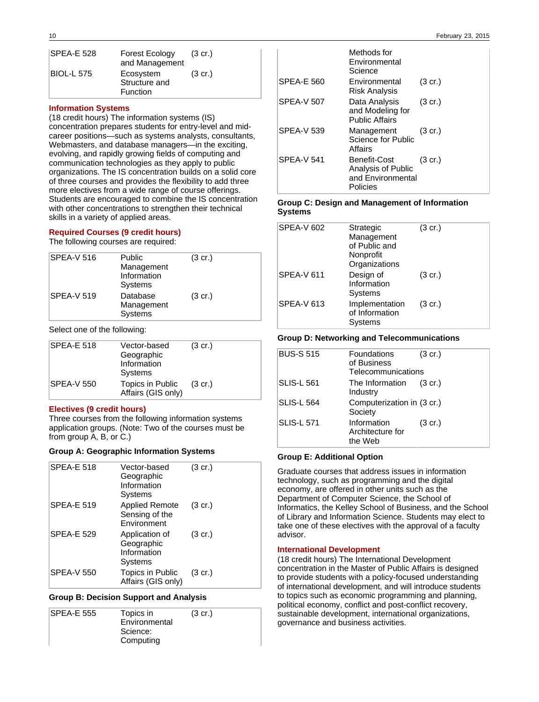| <b>SPEA-E 528</b> | <b>Forest Ecology</b><br>and Management       | $(3 \text{ cr.})$ |
|-------------------|-----------------------------------------------|-------------------|
| BIOL-L 575        | Ecosystem<br>Structure and<br><b>Function</b> | $(3 \text{ cr.})$ |

## **Information Systems**

(18 credit hours) The information systems (IS) concentration prepares students for entry-level and midcareer positions—such as systems analysts, consultants, Webmasters, and database managers—in the exciting, evolving, and rapidly growing fields of computing and communication technologies as they apply to public organizations. The IS concentration builds on a solid core of three courses and provides the flexibility to add three more electives from a wide range of course offerings. Students are encouraged to combine the IS concentration with other concentrations to strengthen their technical skills in a variety of applied areas.

### **Required Courses (9 credit hours)**

The following courses are required:

| <b>SPEA-V 516</b> | Public<br>Management<br>Information<br>Systems | $(3 \text{ cr.})$ |
|-------------------|------------------------------------------------|-------------------|
| <b>SPEA-V 519</b> | Database<br>Management<br>Systems              | $(3 \text{ cr.})$ |

Select one of the following:

| <b>SPEA-E 518</b> | Vector-based<br>Geographic<br>Information<br>Systems | $(3 \text{ cr.})$ |
|-------------------|------------------------------------------------------|-------------------|
| <b>SPEA-V 550</b> | Topics in Public<br>Affairs (GIS only)               | $(3 \text{ cr.})$ |

## **Electives (9 credit hours)**

Three courses from the following information systems application groups. (Note: Two of the courses must be from group A, B, or C.)

### **Group A: Geographic Information Systems**

| <b>SPEA-E 518</b> | Vector-based<br>Geographic<br>Information<br><b>Systems</b> | $(3 \text{ cr.})$ |
|-------------------|-------------------------------------------------------------|-------------------|
| <b>SPEA-E 519</b> | <b>Applied Remote</b><br>Sensing of the<br>Environment      | $(3 \text{ cr.})$ |
| <b>SPEA-E 529</b> | Application of<br>Geographic<br>Information<br>Systems      | (3 cr.)           |
| <b>SPEA-V 550</b> | Topics in Public<br>Affairs (GIS only)                      | (3 cr.)           |

### **Group B: Decision Support and Analysis**

| <b>SPEA-E 555</b><br>Topics in<br>$(3 \text{ cr.})$ |  |
|-----------------------------------------------------|--|
| Environmental                                       |  |
| Science:                                            |  |
| Computing                                           |  |

|                   | Methods for<br>Environmental<br>Science                             |                   |
|-------------------|---------------------------------------------------------------------|-------------------|
| <b>SPEA-E 560</b> | Environmental<br>Risk Analysis                                      | $(3 \text{ cr.})$ |
| <b>SPEA-V 507</b> | Data Analysis<br>and Modeling for<br><b>Public Affairs</b>          | $(3 \text{ cr.})$ |
| <b>SPEA-V 539</b> | Management<br>Science for Public<br>Affairs                         | $(3 \text{ cr.})$ |
| <b>SPEA-V 541</b> | Benefit-Cost<br>Analysis of Public<br>and Environmental<br>Policies | $(3 \text{ cr.})$ |

### **Group C: Design and Management of Information Systems**

| <b>SPEA-V 602</b> | Strategic<br>Management<br>of Public and<br>Nonprofit<br>Organizations | $(3 \text{ cr.})$ |
|-------------------|------------------------------------------------------------------------|-------------------|
| <b>SPEA-V 611</b> | Design of<br>Information<br>Systems                                    | (3 cr.)           |
| <b>SPEA-V 613</b> | Implementation<br>of Information<br>Systems                            | $(3 \text{ cr.})$ |

### **Group D: Networking and Telecommunications**

| <b>BUS-S 515</b>  | Foundations<br>of Business<br>Telecommunications | $(3 \text{ cr.})$ |
|-------------------|--------------------------------------------------|-------------------|
| <b>SLIS-L 561</b> | The Information<br>Industry                      | $(3 \text{ cr.})$ |
| <b>SLIS-L 564</b> | Computerization in (3 cr.)<br>Society            |                   |
| <b>SLIS-L 571</b> | Information<br>Architecture for<br>the Web       | $(3 \text{ cr.})$ |

## **Group E: Additional Option**

Graduate courses that address issues in information technology, such as programming and the digital economy, are offered in other units such as the Department of Computer Science, the School of Informatics, the Kelley School of Business, and the School of Library and Information Science. Students may elect to take one of these electives with the approval of a faculty advisor.

### **International Development**

(18 credit hours) The International Development concentration in the Master of Public Affairs is designed to provide students with a policy-focused understanding of international development, and will introduce students to topics such as economic programming and planning, political economy, conflict and post-conflict recovery, sustainable development, international organizations, governance and business activities.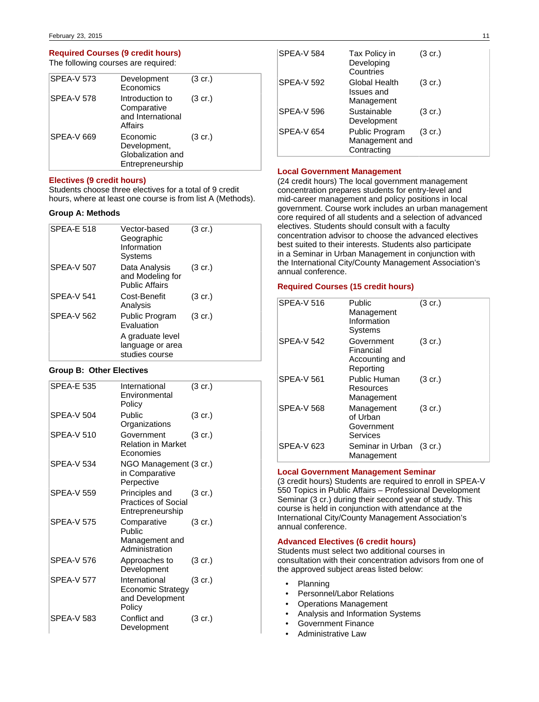## **Required Courses (9 credit hours)**

The following courses are required:

|                                                                                        | $(3 \text{ cr.})$ |
|----------------------------------------------------------------------------------------|-------------------|
| <b>SPEA-V 573</b><br>Development<br>Economics                                          |                   |
| <b>SPEA-V 578</b><br>Introduction to<br>Comparative<br>and International<br>Affairs    | $(3 \text{ cr.})$ |
| <b>SPEA-V 669</b><br>Economic<br>Development,<br>Globalization and<br>Entrepreneurship | $(3 \text{ cr.})$ |

## **Electives (9 credit hours)**

Students choose three electives for a total of 9 credit hours, where at least one course is from list A (Methods).

## **Group A: Methods**

| <b>SPEA-E 518</b> | Vector-based<br>Geographic<br>Information<br>Systems       | $(3 \text{ cr.})$ |
|-------------------|------------------------------------------------------------|-------------------|
| <b>SPEA-V 507</b> | Data Analysis<br>and Modeling for<br><b>Public Affairs</b> | $(3 \text{ cr.})$ |
| <b>SPEA-V 541</b> | Cost-Benefit<br>Analysis                                   | $(3 \text{ cr.})$ |
| <b>SPEA-V 562</b> | Public Program<br>Evaluation                               | $(3 \text{ cr.})$ |
|                   | A graduate level<br>language or area<br>studies course     |                   |

## **Group B: Other Electives**

| <b>SPEA-E 535</b> | International<br>Environmental<br>Policy                               | $(3 \text{ cr.})$ |
|-------------------|------------------------------------------------------------------------|-------------------|
| <b>SPEA-V 504</b> | Public<br>Organizations                                                | $(3 \text{ cr.})$ |
| <b>SPEA-V 510</b> | Government<br><b>Relation in Market</b><br>Economies                   | $(3 \text{ cr.})$ |
| SPEA-V 534        | NGO Management (3 cr.)<br>in Comparative<br>Perpective                 |                   |
| <b>SPEA-V 559</b> | Principles and<br><b>Practices of Social</b><br>Entrepreneurship       | $(3 \text{ cr.})$ |
| <b>SPEA-V 575</b> | Comparative<br>Public<br>Management and<br>Administration              | $(3 \text{ cr.})$ |
| SPEA-V 576        | Approaches to<br>Development                                           | $(3 \text{ cr.})$ |
| <b>SPEA-V 577</b> | International<br><b>Economic Strategy</b><br>and Development<br>Policy | $(3 \text{ cr.})$ |
| SPEA-V 583        | Conflict and<br>Development                                            | $(3 \text{ cr.})$ |

| <b>SPEA-V 584</b> | Tax Policy in<br>Developing<br>Countries        | $(3 \text{ cr.})$ |
|-------------------|-------------------------------------------------|-------------------|
| <b>SPEA-V 592</b> | Global Health<br>Issues and<br>Management       | $(3 \text{ cr.})$ |
| <b>SPEA-V 596</b> | Sustainable<br>Development                      | $(3 \text{ cr.})$ |
| <b>SPEA-V 654</b> | Public Program<br>Management and<br>Contracting | $(3 \text{ cr.})$ |

## **Local Government Management**

(24 credit hours) The local government management concentration prepares students for entry-level and mid-career management and policy positions in local government. Course work includes an urban management core required of all students and a selection of advanced electives. Students should consult with a faculty concentration advisor to choose the advanced electives best suited to their interests. Students also participate in a Seminar in Urban Management in conjunction with the International City/County Management Association's annual conference.

### **Required Courses (15 credit hours)**

| <b>SPEA-V 516</b> | Public<br>Management<br>Information<br>Systems         | $(3 \text{ cr.})$ |
|-------------------|--------------------------------------------------------|-------------------|
| <b>SPEA-V 542</b> | Government<br>Financial<br>Accounting and<br>Reporting | $(3 \text{ cr.})$ |
| <b>SPEA-V 561</b> | Public Human<br>Resources<br>Management                | $(3 \text{ cr.})$ |
| <b>SPEA-V 568</b> | Management<br>of Urban<br>Government<br>Services       | $(3 \text{ cr.})$ |
| <b>SPEA-V 623</b> | Seminar in Urban (3 cr.)<br>Management                 |                   |

### **Local Government Management Seminar**

(3 credit hours) Students are required to enroll in SPEA-V 550 Topics in Public Affairs – Professional Development Seminar (3 cr.) during their second year of study. This course is held in conjunction with attendance at the International City/County Management Association's annual conference.

## **Advanced Electives (6 credit hours)**

Students must select two additional courses in consultation with their concentration advisors from one of the approved subject areas listed below:

- Planning
- Personnel/Labor Relations
- Operations Management
- Analysis and Information Systems
- Government Finance
- Administrative Law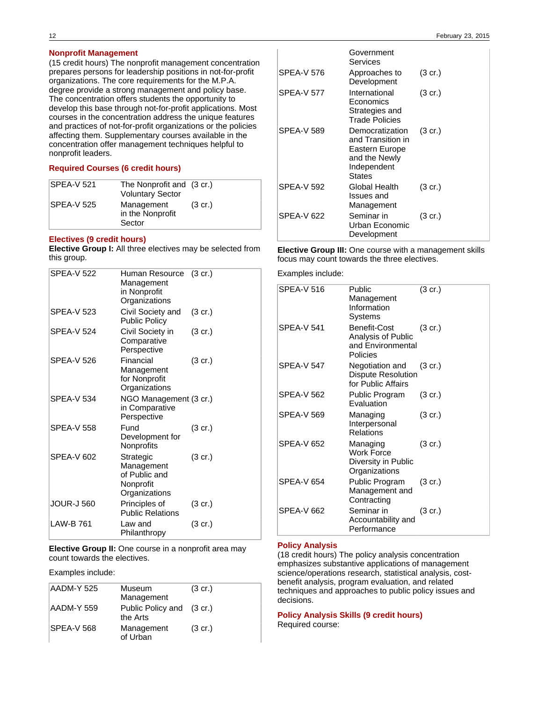(15 credit hours) The nonprofit management concentration prepares persons for leadership positions in not-for-profit organizations. The core requirements for the M.P.A. degree provide a strong management and policy base. The concentration offers students the opportunity to develop this base through not-for-profit applications. Most courses in the concentration address the unique features and practices of not-for-profit organizations or the policies affecting them. Supplementary courses available in the concentration offer management techniques helpful to nonprofit leaders.

## **Required Courses (6 credit hours)**

| SPEA-V 521  | The Nonprofit and (3 cr.)<br><b>Voluntary Sector</b> |                   |
|-------------|------------------------------------------------------|-------------------|
| ISPEA-V 525 | Management<br>in the Nonprofit<br>Sector             | $(3 \text{ cr.})$ |

## **Electives (9 credit hours)**

**Elective Group I:** All three electives may be selected from this group.

| <b>SPEA-V 522</b> | Human Resource (3 cr.)<br>Management<br>in Nonprofit<br>Organizations  |                   |
|-------------------|------------------------------------------------------------------------|-------------------|
| <b>SPEA-V 523</b> | Civil Society and<br><b>Public Policy</b>                              | $(3 \text{ cr.})$ |
| <b>SPEA-V 524</b> | Civil Society in<br>Comparative<br>Perspective                         | (3 cr.)           |
| SPEA-V 526        | Financial<br>Management<br>for Nonprofit<br>Organizations              | $(3 \text{ cr.})$ |
| <b>SPEA-V 534</b> | NGO Management (3 cr.)<br>in Comparative<br>Perspective                |                   |
| <b>SPEA-V 558</b> | Fund<br>Development for<br>Nonprofits                                  | $(3 \text{ cr.})$ |
| <b>SPEA-V 602</b> | Strategic<br>Management<br>of Public and<br>Nonprofit<br>Organizations | $(3 \text{ cr.})$ |
| <b>JOUR-J 560</b> | Principles of<br><b>Public Relations</b>                               | $(3 \text{ cr.})$ |
| LAW-B 761         | Law and<br>Philanthropy                                                | (3 cr.)           |

**Elective Group II:** One course in a nonprofit area may count towards the electives.

Examples include:

| AADM-Y 525        | Museum<br>Management                  | $(3 \text{ cr.})$ |
|-------------------|---------------------------------------|-------------------|
| AADM-Y 559        | Public Policy and (3 cr.)<br>the Arts |                   |
| <b>SPEA-V 568</b> | Management<br>of Urban                | $(3 \text{ cr.})$ |

|                   | Government<br>Services                                                                                  |                   |
|-------------------|---------------------------------------------------------------------------------------------------------|-------------------|
| SPEA-V 576        | Approaches to<br>Development                                                                            | $(3 \text{ cr.})$ |
| <b>SPEA-V 577</b> | International<br>Economics<br>Strategies and<br><b>Trade Policies</b>                                   | $(3 \text{ cr.})$ |
| <b>SPEA-V 589</b> | Democratization<br>and Transition in<br>Eastern Europe<br>and the Newly<br>Independent<br><b>States</b> | $(3 \text{ cr.})$ |
| <b>SPEA-V 592</b> | Global Health<br>Issues and<br>Management                                                               | $(3 \text{ cr.})$ |
| SPEA-V622         | Seminar in<br>Urban Economic<br>Development                                                             | $(3 \text{ cr.})$ |

## **Elective Group III:** One course with a management skills focus may count towards the three electives.

Examples include:

| <b>SPEA-V 516</b> | Public<br>Management<br>Information<br>Systems                      | $(3 \text{ cr.})$ |
|-------------------|---------------------------------------------------------------------|-------------------|
| <b>SPEA-V 541</b> | Benefit-Cost<br>Analysis of Public<br>and Environmental<br>Policies | $(3 \text{ cr.})$ |
| <b>SPEA-V 547</b> | Negotiation and<br><b>Dispute Resolution</b><br>for Public Affairs  | $(3 \text{ cr.})$ |
| <b>SPEA-V 562</b> | Public Program<br>Evaluation                                        | $(3 \text{ cr.})$ |
| <b>SPEA-V 569</b> | Managing<br>Interpersonal<br><b>Relations</b>                       | $(3 \text{ cr.})$ |
| <b>SPEA-V 652</b> | Managing<br>Work Force<br>Diversity in Public<br>Organizations      | $(3 \text{ cr.})$ |
| <b>SPEA-V 654</b> | Public Program<br>Management and<br>Contracting                     | $(3 \text{ cr.})$ |
| SPEA-V 662        | Seminar in<br>Accountability and<br>Performance                     | $(3 \text{ cr.})$ |

### **Policy Analysis**

(18 credit hours) The policy analysis concentration emphasizes substantive applications of management science/operations research, statistical analysis, costbenefit analysis, program evaluation, and related techniques and approaches to public policy issues and decisions.

**Policy Analysis Skills (9 credit hours)** Required course: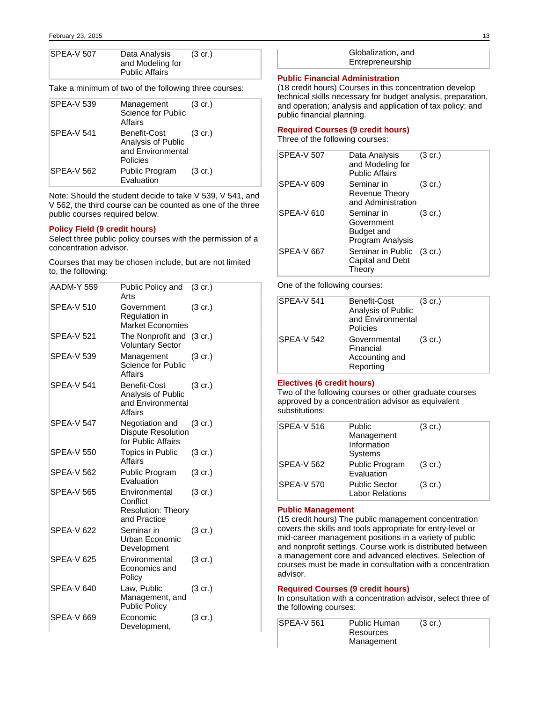| SPEA-V 507 | Data Analysis         | $(3 \text{ cr.})$ |
|------------|-----------------------|-------------------|
|            | and Modeling for      |                   |
|            | <b>Public Affairs</b> |                   |

Take a minimum of two of the following three courses:

| <b>SPEA-V 539</b> | Management<br>Science for Public<br>Affairs                         | $(3 \text{ cr.})$ |
|-------------------|---------------------------------------------------------------------|-------------------|
| SPEA-V 541        | Benefit-Cost<br>Analysis of Public<br>and Environmental<br>Policies | $(3 \text{ cr.})$ |
| <b>SPEA-V 562</b> | Public Program<br>Evaluation                                        | $(3 \text{ cr.})$ |

Note: Should the student decide to take V 539, V 541, and V 562, the third course can be counted as one of the three public courses required below.

## **Policy Field (9 credit hours)**

Select three public policy courses with the permission of a concentration advisor.

Courses that may be chosen include, but are not limited to, the following:

| <b>AADM-Y 559</b> | Public Policy and<br>Arts                                              | (3 cr.)           |
|-------------------|------------------------------------------------------------------------|-------------------|
| <b>SPEA-V 510</b> | Government<br>Regulation in<br><b>Market Economies</b>                 | $(3 \text{ cr.})$ |
| <b>SPEA-V 521</b> | The Nonprofit and<br><b>Voluntary Sector</b>                           | $(3 \text{ cr.})$ |
| <b>SPEA-V 539</b> | Management<br>Science for Public<br>Affairs                            | $(3 \text{ cr.})$ |
| <b>SPEA-V 541</b> | Benefit-Cost<br>Analysis of Public<br>and Environmental<br>Affairs     | $(3 \text{ cr.})$ |
| <b>SPEA-V 547</b> | Negotiation and<br><b>Dispute Resolution</b><br>for Public Affairs     | $(3 \text{ cr.})$ |
| <b>SPEA-V 550</b> | Topics in Public<br>Affairs                                            | $(3 \text{ cr.})$ |
| <b>SPEA-V 562</b> | <b>Public Program</b><br>Evaluation                                    | $(3 \text{ cr.})$ |
| <b>SPEA-V 565</b> | Environmental<br>Conflict<br><b>Resolution: Theory</b><br>and Practice | $(3 \text{ cr.})$ |
| <b>SPEA-V 622</b> | Seminar in<br>Urban Economic<br>Development                            | (3 cr.)           |
| <b>SPEA-V 625</b> | Environmental<br>Economics and<br>Policy                               | $(3 \text{ cr.})$ |
| SPEA-V 640        | Law, Public<br>Management, and<br><b>Public Policy</b>                 | $(3 \text{ cr.})$ |
| SPEA-V 669        | Economic<br>Development,                                               | $(3 \text{ cr.})$ |

Globalization, and Entrepreneurship

### **Public Financial Administration**

(18 credit hours) Courses in this concentration develop technical skills necessary for budget analysis, preparation, and operation; analysis and application of tax policy; and public financial planning.

### **Required Courses (9 credit hours)**

Three of the following courses:

| <b>SPEA-V 507</b> | Data Analysis<br>and Modeling for<br><b>Public Affairs</b> | $(3 \text{ cr.})$ |
|-------------------|------------------------------------------------------------|-------------------|
| <b>SPEA-V 609</b> | Seminar in<br>Revenue Theory<br>and Administration         | $(3 \text{ cr.})$ |
| <b>SPEA-V 610</b> | Seminar in<br>Government<br>Budget and<br>Program Analysis | $(3 \text{ cr.})$ |
| <b>SPEA-V 667</b> | Seminar in Public (3 cr.)<br>Capital and Debt<br>Theory    |                   |

One of the following courses:

| SPEA-V 541        | Benefit-Cost<br>Analysis of Public<br>and Environmental<br>Policies | $(3 \text{ cr.})$ |
|-------------------|---------------------------------------------------------------------|-------------------|
| <b>SPEA-V 542</b> | Governmental<br>Financial<br>Accounting and<br>Reporting            | $(3 \text{ cr.})$ |

#### **Electives (6 credit hours)**

Two of the following courses or other graduate courses approved by a concentration advisor as equivalent substitutions:

| <b>SPEA-V 516</b> | Public<br>Management<br>Information<br>Systems | $(3 \text{ cr.})$ |
|-------------------|------------------------------------------------|-------------------|
| <b>SPEA-V 562</b> | Public Program<br>Evaluation                   | $(3 \text{ cr.})$ |
| <b>SPEA-V 570</b> | <b>Public Sector</b><br><b>Labor Relations</b> | $(3 \text{ cr.})$ |

## **Public Management**

(15 credit hours) The public management concentration covers the skills and tools appropriate for entry-level or mid-career management positions in a variety of public and nonprofit settings. Course work is distributed between a management core and advanced electives. Selection of courses must be made in consultation with a concentration advisor.

## **Required Courses (9 credit hours)**

In consultation with a concentration advisor, select three of the following courses:

| <b>SPEA-V 561</b> | <b>Public Human</b> | $(3 \text{ cr.})$ |  |
|-------------------|---------------------|-------------------|--|
|                   | Resources           |                   |  |
|                   | Management          |                   |  |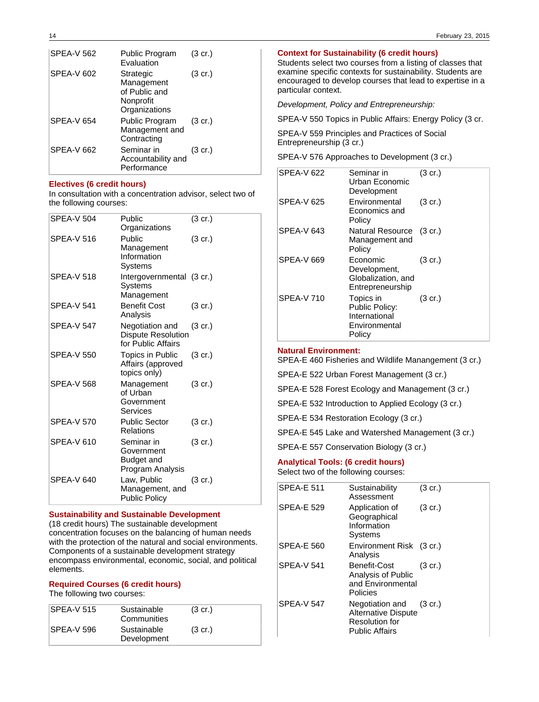| <b>SPEA-V 562</b> | Public Program<br>Evaluation                                           | (3 cr.)           |
|-------------------|------------------------------------------------------------------------|-------------------|
| <b>SPEA-V 602</b> | Strategic<br>Management<br>of Public and<br>Nonprofit<br>Organizations | $(3 \text{ cr.})$ |
| <b>SPEA-V 654</b> | Public Program<br>Management and<br>Contracting                        | $(3 \text{ cr.})$ |
| <b>SPEA-V 662</b> | Seminar in<br>Accountability and<br>Performance                        | $(3 \text{ cr.})$ |

## **Electives (6 credit hours)**

In consultation with a concentration advisor, select two of the following courses:

| <b>SPEA-V 504</b> | Public<br>Organizations                                            | $(3 \text{ cr.})$ |
|-------------------|--------------------------------------------------------------------|-------------------|
| <b>SPEA-V 516</b> | Public<br>Management<br>Information<br>Systems                     | $(3 \text{ cr.})$ |
| <b>SPEA-V 518</b> | Intergovernmental (3 cr.)<br>Systems<br>Management                 |                   |
| <b>SPEA-V 541</b> | <b>Benefit Cost</b><br>Analysis                                    | $(3 \text{ cr.})$ |
| <b>SPEA-V 547</b> | Negotiation and<br><b>Dispute Resolution</b><br>for Public Affairs | $(3 \text{ cr.})$ |
| <b>SPEA-V 550</b> | <b>Topics in Public</b><br>Affairs (approved<br>topics only)       | $(3 \text{ cr.})$ |
| <b>SPEA-V 568</b> | Management<br>of Urban<br>Government<br>Services                   | $(3 \text{ cr.})$ |
| SPEA-V 570        | <b>Public Sector</b><br>Relations                                  | $(3 \text{ cr.})$ |
| <b>SPEA-V 610</b> | Seminar in<br>Government<br><b>Budget and</b><br>Program Analysis  | $(3 \text{ cr.})$ |
| <b>SPEA-V 640</b> | Law, Public<br>Management, and<br><b>Public Policy</b>             | $(3 \text{ cr.})$ |

## **Sustainability and Sustainable Development**

(18 credit hours) The sustainable development concentration focuses on the balancing of human needs with the protection of the natural and social environments. Components of a sustainable development strategy encompass environmental, economic, social, and political elements.

## **Required Courses (6 credit hours)**

The following two courses:

| SPEA-V 515 | Sustainable<br>Communities | $(3 \text{ cr.})$ |
|------------|----------------------------|-------------------|
| SPEA-V 596 | Sustainable<br>Development | $(3 \text{ cr.})$ |

### **Context for Sustainability (6 credit hours)**

Students select two courses from a listing of classes that examine specific contexts for sustainability. Students are encouraged to develop courses that lead to expertise in a particular context.

Development, Policy and Entrepreneurship:

SPEA-V 550 Topics in Public Affairs: Energy Policy (3 cr.

SPEA-V 559 Principles and Practices of Social Entrepreneurship (3 cr.)

SPEA-V 576 Approaches to Development (3 cr.)

| <b>SPEA-V 622</b> | Seminar in<br>Urban Economic<br>Development                             | $(3 \text{ cr.})$ |
|-------------------|-------------------------------------------------------------------------|-------------------|
| <b>SPEA-V 625</b> | Environmental<br>Economics and<br>Policy                                | $(3 \text{ cr.})$ |
| SPEA-V 643        | Natural Resource (3 cr.)<br>Management and<br>Policy                    |                   |
| <b>SPEA-V 669</b> | Economic<br>Development,<br>Globalization, and<br>Entrepreneurship      | $(3 \text{ cr.})$ |
| <b>SPEA-V 710</b> | Topics in<br>Public Policy:<br>International<br>Environmental<br>Policy | $(3 \text{ cr.})$ |

### **Natural Environment:**

SPEA-E 460 Fisheries and Wildlife Manangement (3 cr.)

SPEA-E 522 Urban Forest Management (3 cr.)

SPEA-E 528 Forest Ecology and Management (3 cr.)

SPEA-E 532 Introduction to Applied Ecology (3 cr.)

SPEA-E 534 Restoration Ecology (3 cr.)

SPEA-E 545 Lake and Watershed Management (3 cr.)

SPEA-E 557 Conservation Biology (3 cr.)

### **Analytical Tools: (6 credit hours)**

Select two of the following courses:

| <b>SPEA-E 511</b> | Sustainability<br>Assessment                                                                    | $(3 \text{ cr.})$ |
|-------------------|-------------------------------------------------------------------------------------------------|-------------------|
| <b>SPEA-E 529</b> | Application of<br>Geographical<br>Information<br>Systems                                        | $(3 \text{ cr.})$ |
| <b>SPEA-E 560</b> | Environment Risk (3 cr.)<br>Analysis                                                            |                   |
| <b>SPFA-V541</b>  | Benefit-Cost<br>Analysis of Public<br>and Environmental<br>Policies                             | $(3 \text{ cr.})$ |
| <b>SPEA-V 547</b> | Negotiation and<br><b>Alternative Dispute</b><br><b>Resolution for</b><br><b>Public Affairs</b> | $(3 \text{ cr.})$ |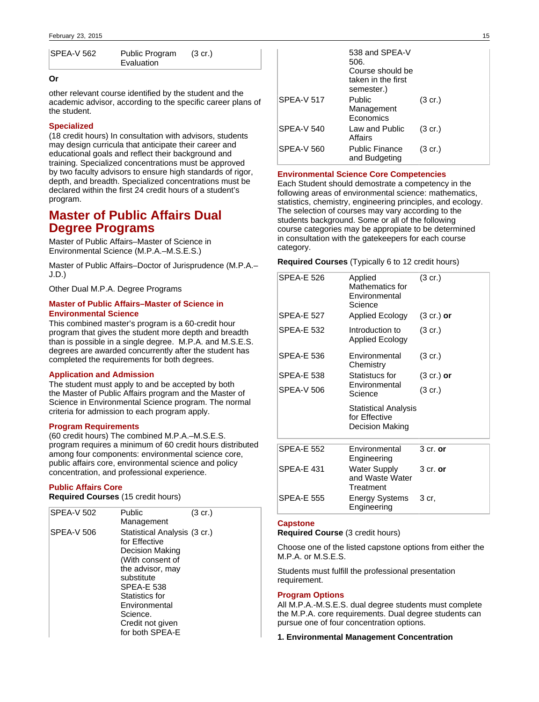| SPEA-V 562 | Public Program | $(3 \text{ cr.})$ |  |
|------------|----------------|-------------------|--|
|            | Evaluation     |                   |  |

## **Or**

other relevant course identified by the student and the academic advisor, according to the specific career plans of the student.

## **Specialized**

(18 credit hours) In consultation with advisors, students may design curricula that anticipate their career and educational goals and reflect their background and training. Specialized concentrations must be approved by two faculty advisors to ensure high standards of rigor, depth, and breadth. Specialized concentrations must be declared within the first 24 credit hours of a student's program.

# **Master of Public Affairs Dual Degree Programs**

Master of Public Affairs–Master of Science in Environmental Science (M.P.A.–M.S.E.S.)

Master of Public Affairs–Doctor of Jurisprudence (M.P.A.– J.D.)

Other Dual M.P.A. Degree Programs

## **Master of Public Affairs–Master of Science in Environmental Science**

This combined master's program is a 60-credit hour program that gives the student more depth and breadth than is possible in a single degree. M.P.A. and M.S.E.S. degrees are awarded concurrently after the student has completed the requirements for both degrees.

## **Application and Admission**

The student must apply to and be accepted by both the Master of Public Affairs program and the Master of Science in Environmental Science program. The normal criteria for admission to each program apply.

## **Program Requirements**

(60 credit hours) The combined M.P.A.–M.S.E.S. program requires a minimum of 60 credit hours distributed among four components: environmental science core, public affairs core, environmental science and policy concentration, and professional experience.

## **Public Affairs Core**

**Required Courses** (15 credit hours)

| <b>SPEA-V 502</b> | Public<br>Management                                                                                                                                                                                                              | $(3 \text{ cr.})$ |
|-------------------|-----------------------------------------------------------------------------------------------------------------------------------------------------------------------------------------------------------------------------------|-------------------|
| <b>SPEA-V 506</b> | Statistical Analysis (3 cr.)<br>for Effective<br>Decision Making<br>(With consent of<br>the advisor, may<br>substitute<br><b>SPEA-E 538</b><br>Statistics for<br>Environmental<br>Science.<br>Credit not given<br>for both SPEA-E |                   |

|                   | 538 and SPEA-V<br>506.<br>Course should be<br>taken in the first<br>semester.) |                   |
|-------------------|--------------------------------------------------------------------------------|-------------------|
| <b>SPEA-V 517</b> | Public<br>Management<br>Economics                                              | $(3 \text{ cr.})$ |
| <b>SPEA-V 540</b> | Law and Public<br>Affairs                                                      | $(3 \text{ cr.})$ |
| <b>SPEA-V 560</b> | <b>Public Finance</b><br>and Budgeting                                         | $(3 \text{ cr.})$ |

### **Environmental Science Core Competencies**

Each Student should demostrate a competency in the following areas of environmental science: mathematics, statistics, chemistry, engineering principles, and ecology. The selection of courses may vary according to the students background. Some or all of the following course categories may be appropiate to be determined in consultation with the gatekeepers for each course category.

**Required Courses** (Typically 6 to 12 credit hours)

| <b>SPFA-F 526</b> | Applied<br>Mathematics for<br>Environmental<br>Science   | $(3 \text{ cr.})$    |
|-------------------|----------------------------------------------------------|----------------------|
| <b>SPFA-F 527</b> | Applied Ecology                                          | $(3 \text{ cr.})$ or |
| <b>SPEA-E 532</b> | Introduction to<br><b>Applied Ecology</b>                | $(3 \text{ cr.})$    |
| <b>SPEA-E 536</b> | Environmental<br>Chemistry                               | $(3 \text{ cr.})$    |
| <b>SPFA-F 538</b> | Statistucs for                                           | $(3 \text{ cr.})$ or |
| SPFA-V 506        | Environmental<br>Science                                 | $(3 \text{ cr.})$    |
|                   | Statistical Analysis<br>for Effective<br>Decision Making |                      |
| <b>SPEA-E 552</b> | Environmental<br>Engineering                             | $3$ cr. or           |
| <b>SPFA-F431</b>  | <b>Water Supply</b><br>and Waste Water<br>Treatment      | $3$ cr. or           |
| <b>SPEA-E 555</b> | <b>Energy Systems</b><br>Engineering                     | 3 cr.                |

### **Capstone**

**Required Course** (3 credit hours)

Choose one of the listed capstone options from either the M.P.A. or M.S.E.S.

Students must fulfill the professional presentation requirement.

### **Program Options**

All M.P.A.-M.S.E.S. dual degree students must complete the M.P.A. core requirements. Dual degree students can pursue one of four concentration options.

**1. Environmental Management Concentration**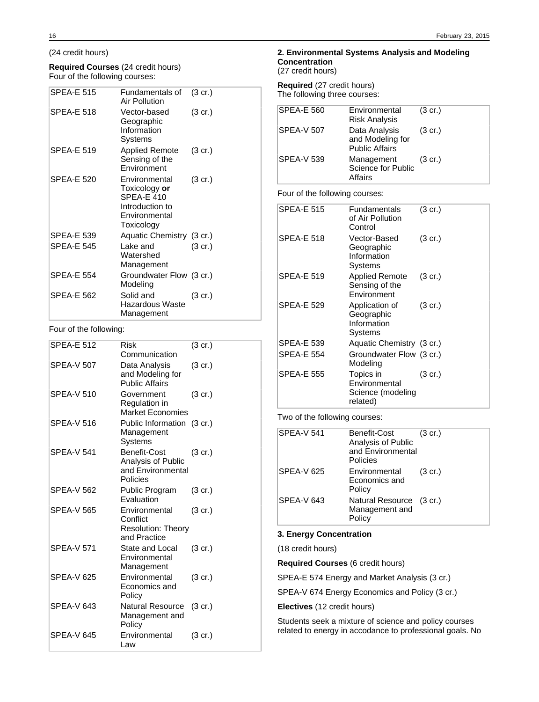## (24 credit hours)

### **Required Courses** (24 credit hours) Four of the following courses:

| <b>SPEA-E 515</b> | Fundamentals of<br>Air Pollution                                                                      | $(3 \text{ cr.})$ |
|-------------------|-------------------------------------------------------------------------------------------------------|-------------------|
| <b>SPEA-E 518</b> | Vector-based<br>Geographic<br>Information<br>Systems                                                  | $(3 \text{ cr.})$ |
| <b>SPEA-E 519</b> | <b>Applied Remote</b><br>Sensing of the<br>Environment                                                | $(3 \text{ cr.})$ |
| <b>SPEA-E 520</b> | Environmental<br>Toxicology or<br><b>SPEA-E 410</b><br>Introduction to<br>Environmental<br>Toxicology | $(3 \text{ cr.})$ |
| <b>SPEA-E 539</b> | Aquatic Chemistry (3 cr.)                                                                             |                   |
| <b>SPEA-E 545</b> | Lake and<br>Watershed<br>Management                                                                   | $(3 \text{ cr.})$ |
| <b>SPEA-E 554</b> | Groundwater Flow (3 cr.)<br>Modeling                                                                  |                   |
| <b>SPEA-E 562</b> | Solid and<br>Hazardous Waste<br>Management                                                            | $(3 \text{ cr.})$ |

## Four of the following:

| <b>SPEA-E 512</b> | <b>Risk</b><br>Communication                                           | (3 cr.)           |
|-------------------|------------------------------------------------------------------------|-------------------|
| <b>SPEA-V 507</b> | Data Analysis<br>and Modeling for<br><b>Public Affairs</b>             | (3 cr.)           |
| <b>SPEA-V 510</b> | Government<br>Regulation in<br><b>Market Economies</b>                 | (3 cr.)           |
| <b>SPEA-V 516</b> | Public Information (3 cr.)<br>Management<br>Systems                    |                   |
| <b>SPEA-V 541</b> | Benefit-Cost<br>Analysis of Public<br>and Environmental<br>Policies    | (3 cr.)           |
| SPFA-V 562        | Public Program<br>Evaluation                                           | $(3$ cr.)         |
| SPFA-V 565        | Environmental<br>Conflict<br><b>Resolution: Theory</b><br>and Practice | $(3 \text{ cr.})$ |
| <b>SPEA-V 571</b> | State and Local<br>Environmental<br>Management                         | (3 cr.)           |
| <b>SPEA-V 625</b> | Environmental<br>Economics and<br>Policy                               | $(3 \text{ cr.})$ |
| <b>SPEA-V 643</b> | <b>Natural Resource</b><br>Management and<br>Policy                    | (3 cr.)           |
| SPEA-V645         | Environmental<br>Law                                                   | (3 cr.)           |

## **2. Environmental Systems Analysis and Modeling Concentration**

(27 credit hours)

**Required** (27 credit hours) The following three courses:

| <b>SPEA-E 560</b>              | Environmental<br><b>Risk Analysis</b>                      | $(3 \text{ cr.})$ |
|--------------------------------|------------------------------------------------------------|-------------------|
| <b>SPEA-V 507</b>              | Data Analysis<br>and Modeling for<br><b>Public Affairs</b> | $(3 \text{ cr.})$ |
| <b>SPEA-V 539</b>              | Management<br>Science for Public<br>Affairs                | $(3 \text{ cr.})$ |
| Four of the following courses: |                                                            |                   |
| SPEA-E 515                     | Fundamentals                                               | 3 cr.)            |

| of Air Pollution<br>Control                                 |                   |
|-------------------------------------------------------------|-------------------|
| Vector-Based<br>Geographic<br>Information<br>Systems        | $(3 \text{ cr.})$ |
| <b>Applied Remote</b><br>Sensing of the<br>Environment      | $(3 \text{ cr.})$ |
| Application of<br>Geographic<br>Information<br>Systems      | $(3 \text{ cr.})$ |
| Aquatic Chemistry (3 cr.)                                   |                   |
| Groundwater Flow (3 cr.)<br>Modeling                        |                   |
| Topics in<br>Environmental<br>Science (modeling<br>related) | $(3 \text{ cr.})$ |
|                                                             |                   |

Two of the following courses:

| <b>SPEA-V 541</b> | Benefit-Cost<br>Analysis of Public<br>and Environmental<br>Policies | $(3 \text{ cr.})$ |
|-------------------|---------------------------------------------------------------------|-------------------|
| <b>SPEA-V 625</b> | Environmental<br>Economics and<br>Policy                            | $(3 \text{ cr.})$ |
| <b>SPEA-V 643</b> | Natural Resource (3 cr.)<br>Management and<br>Policy                |                   |

## **3. Energy Concentration**

(18 credit hours)

**Required Courses** (6 credit hours)

SPEA-E 574 Energy and Market Analysis (3 cr.)

SPEA-V 674 Energy Economics and Policy (3 cr.)

**Electives** (12 credit hours)

Students seek a mixture of science and policy courses related to energy in accodance to professional goals. No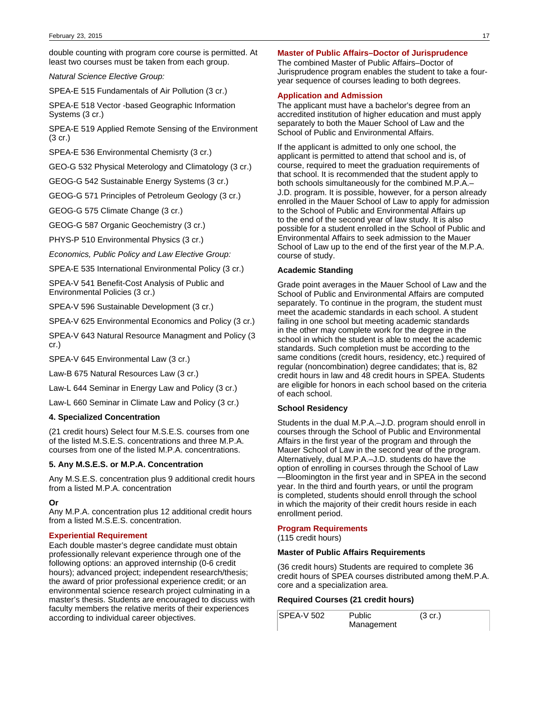double counting with program core course is permitted. At least two courses must be taken from each group.

Natural Science Elective Group:

SPEA-E 515 Fundamentals of Air Pollution (3 cr.)

SPEA-E 518 Vector -based Geographic Information Systems (3 cr.)

SPEA-E 519 Applied Remote Sensing of the Environment (3 cr.)

SPEA-E 536 Environmental Chemisrty (3 cr.)

GEO-G 532 Physical Meterology and Climatology (3 cr.)

GEOG-G 542 Sustainable Energy Systems (3 cr.)

GEOG-G 571 Principles of Petroleum Geology (3 cr.)

GEOG-G 575 Climate Change (3 cr.)

GEOG-G 587 Organic Geochemistry (3 cr.)

PHYS-P 510 Environmental Physics (3 cr.)

Economics, Public Policy and Law Elective Group:

SPEA-E 535 International Environmental Policy (3 cr.)

SPEA-V 541 Benefit-Cost Analysis of Public and Environmental Policies (3 cr.)

SPEA-V 596 Sustainable Development (3 cr.)

SPEA-V 625 Environmental Economics and Policy (3 cr.)

SPEA-V 643 Natural Resource Managment and Policy (3 cr.)

SPEA-V 645 Environmental Law (3 cr.)

Law-B 675 Natural Resources Law (3 cr.)

Law-L 644 Seminar in Energy Law and Policy (3 cr.)

Law-L 660 Seminar in Climate Law and Policy (3 cr.)

## **4. Specialized Concentration**

(21 credit hours) Select four M.S.E.S. courses from one of the listed M.S.E.S. concentrations and three M.P.A. courses from one of the listed M.P.A. concentrations.

## **5. Any M.S.E.S. or M.P.A. Concentration**

Any M.S.E.S. concentration plus 9 additional credit hours from a listed M.P.A. concentration

#### **Or**

Any M.P.A. concentration plus 12 additional credit hours from a listed M.S.E.S. concentration.

## **Experiential Requirement**

Each double master's degree candidate must obtain professionally relevant experience through one of the following options: an approved internship (0-6 credit hours); advanced project; independent research/thesis; the award of prior professional experience credit; or an environmental science research project culminating in a master's thesis. Students are encouraged to discuss with faculty members the relative merits of their experiences according to individual career objectives.

## **Master of Public Affairs–Doctor of Jurisprudence**

The combined Master of Public Affairs–Doctor of Jurisprudence program enables the student to take a fouryear sequence of courses leading to both degrees.

### **Application and Admission**

The applicant must have a bachelor's degree from an accredited institution of higher education and must apply separately to both the Mauer School of Law and the School of Public and Environmental Affairs.

If the applicant is admitted to only one school, the applicant is permitted to attend that school and is, of course, required to meet the graduation requirements of that school. It is recommended that the student apply to both schools simultaneously for the combined M.P.A.– J.D. program. It is possible, however, for a person already enrolled in the Mauer School of Law to apply for admission to the School of Public and Environmental Affairs up to the end of the second year of law study. It is also possible for a student enrolled in the School of Public and Environmental Affairs to seek admission to the Mauer School of Law up to the end of the first year of the M.P.A. course of study.

### **Academic Standing**

Grade point averages in the Mauer School of Law and the School of Public and Environmental Affairs are computed separately. To continue in the program, the student must meet the academic standards in each school. A student failing in one school but meeting academic standards in the other may complete work for the degree in the school in which the student is able to meet the academic standards. Such completion must be according to the same conditions (credit hours, residency, etc.) required of regular (noncombination) degree candidates; that is, 82 credit hours in law and 48 credit hours in SPEA. Students are eligible for honors in each school based on the criteria of each school.

## **School Residency**

Students in the dual M.P.A.–J.D. program should enroll in courses through the School of Public and Environmental Affairs in the first year of the program and through the Mauer School of Law in the second year of the program. Alternatively, dual M.P.A.–J.D. students do have the option of enrolling in courses through the School of Law —Bloomington in the first year and in SPEA in the second year. In the third and fourth years, or until the program is completed, students should enroll through the school in which the majority of their credit hours reside in each enrollment period.

#### **Program Requirements**

(115 credit hours)

### **Master of Public Affairs Requirements**

(36 credit hours) Students are required to complete 36 credit hours of SPEA courses distributed among theM.P.A. core and a specialization area.

### **Required Courses (21 credit hours)**

| <b>SPEA-V 502</b> | Public     | $(3 \text{ cr.})$ |  |
|-------------------|------------|-------------------|--|
|                   | Management |                   |  |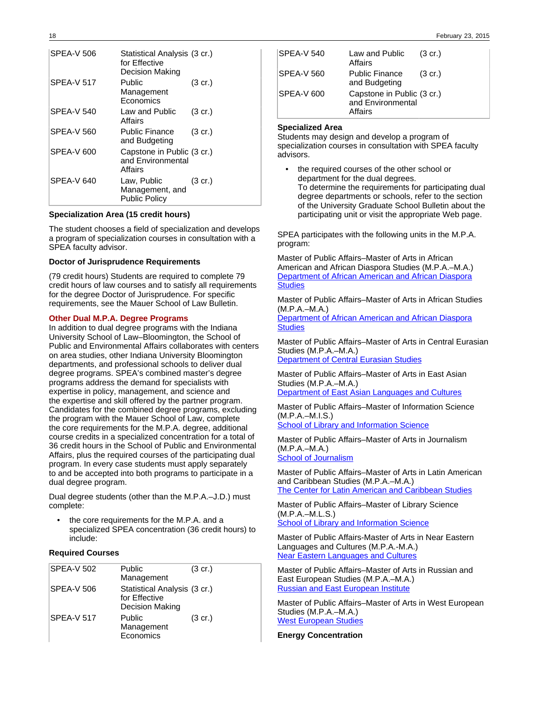| <b>SPEA-V 506</b> | Statistical Analysis (3 cr.)<br>for Effective<br>Decision Making |                   |
|-------------------|------------------------------------------------------------------|-------------------|
| <b>SPEA-V 517</b> | Public<br>Management<br>Economics                                | $(3 \text{ cr.})$ |
| <b>SPEA-V 540</b> | Law and Public<br>Affairs                                        | $(3 \text{ cr.})$ |
| SPEA-V 560        | <b>Public Finance</b><br>and Budgeting                           | $(3 \text{ cr.})$ |
| SPEA-V 600        | Capstone in Public (3 cr.)<br>and Environmental<br>Affairs       |                   |
| <b>SPEA-V 640</b> | Law, Public<br>Management, and<br><b>Public Policy</b>           | $(3 \text{ cr.})$ |

### **Specialization Area (15 credit hours)**

The student chooses a field of specialization and develops a program of specialization courses in consultation with a SPEA faculty advisor.

### **Doctor of Jurisprudence Requirements**

(79 credit hours) Students are required to complete 79 credit hours of law courses and to satisfy all requirements for the degree Doctor of Jurisprudence. For specific requirements, see the Mauer School of Law Bulletin.

## **Other Dual M.P.A. Degree Programs**

In addition to dual degree programs with the Indiana University School of Law–Bloomington, the School of Public and Environmental Affairs collaborates with centers on area studies, other Indiana University Bloomington departments, and professional schools to deliver dual degree programs. SPEA's combined master's degree programs address the demand for specialists with expertise in policy, management, and science and the expertise and skill offered by the partner program. Candidates for the combined degree programs, excluding the program with the Mauer School of Law, complete the core requirements for the M.P.A. degree, additional course credits in a specialized concentration for a total of 36 credit hours in the School of Public and Environmental Affairs, plus the required courses of the participating dual program. In every case students must apply separately to and be accepted into both programs to participate in a dual degree program.

Dual degree students (other than the M.P.A.–J.D.) must complete:

the core requirements for the M.P.A. and a specialized SPEA concentration (36 credit hours) to include:

## **Required Courses**

| <b>SPEA-V 502</b> | Public                       | $(3 \text{ cr.})$ |
|-------------------|------------------------------|-------------------|
|                   | Management                   |                   |
| <b>SPEA-V 506</b> | Statistical Analysis (3 cr.) |                   |
|                   | for Effective                |                   |
|                   | <b>Decision Making</b>       |                   |
| SPEA-V 517        | Public                       | $(3 \text{ cr.})$ |
|                   | Management                   |                   |
|                   | Economics                    |                   |

| <b>SPEA-V 540</b> | Law and Public<br>Affairs                                  | $(3 \text{ cr.})$ |
|-------------------|------------------------------------------------------------|-------------------|
| SPEA-V 560        | <b>Public Finance</b><br>and Budgeting                     | $(3 \text{ cr.})$ |
| <b>SPEA-V 600</b> | Capstone in Public (3 cr.)<br>and Environmental<br>Affairs |                   |

### **Specialized Area**

Students may design and develop a program of specialization courses in consultation with SPEA faculty advisors.

the required courses of the other school or department for the dual degrees. To determine the requirements for participating dual degree departments or schools, refer to the section of the University Graduate School Bulletin about the participating unit or visit the appropriate Web page.

SPEA participates with the following units in the M.P.A. program:

Master of Public Affairs–Master of Arts in African American and African Diaspora Studies (M.P.A.–M.A.) [Department of African American and African Diaspora](http://www.indiana.edu/~afroamer/) **[Studies](http://www.indiana.edu/~afroamer/)** 

Master of Public Affairs–Master of Arts in African Studies (M.P.A.–M.A.)

[Department of African American and African Diaspora](http://www.indiana.edu/~afroamer/) **[Studies](http://www.indiana.edu/~afroamer/)** 

Master of Public Affairs–Master of Arts in Central Eurasian Studies (M.P.A.–M.A.)

**[Department of Central Eurasian Studies](http://www.indiana.edu/~ceus/)** 

Master of Public Affairs–Master of Arts in East Asian Studies (M.P.A.–M.A.) [Department of East Asian Languages and Cultures](http://www.indiana.edu/~ealc/)

Master of Public Affairs–Master of Information Science (M.P.A.–M.I.S.)

[School of Library and Information Science](http://www.slis.indiana.edu/)

Master of Public Affairs–Master of Arts in Journalism (M.P.A.–M.A.) [School of Journalism](http://www.journalism.indiana.edu/)

Master of Public Affairs–Master of Arts in Latin American and Caribbean Studies (M.P.A.–M.A.) [The Center for Latin American and Caribbean Studies](http://www.indiana.edu/~clacs/)

Master of Public Affairs–Master of Library Science (M.P.A.–M.L.S.)

[School of Library and Information Science](http://www.slis.indiana.edu/)

Master of Public Affairs-Master of Arts in Near Eastern Languages and Cultures (M.P.A.-M.A.) [Near Eastern Languages and Cultures](#http://www.indiana.edu/~nelc/)

Master of Public Affairs–Master of Arts in Russian and East European Studies (M.P.A.–M.A.) **[Russian and East European Institute](http://www.indiana.edu/~reeiweb/)** 

Master of Public Affairs–Master of Arts in West European Studies (M.P.A.–M.A.) [West European Studies](http://www.indiana.edu/~west/)

**Energy Concentration**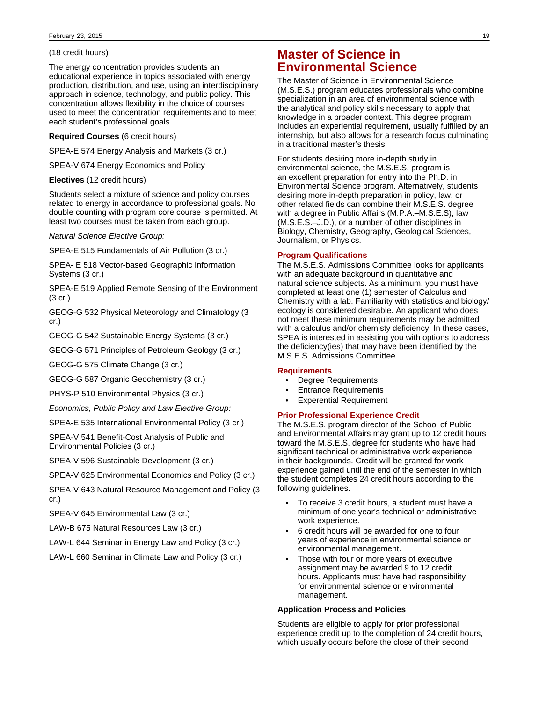### (18 credit hours)

The energy concentration provides students an educational experience in topics associated with energy production, distribution, and use, using an interdisciplinary approach in science, technology, and public policy. This concentration allows flexibility in the choice of courses used to meet the concentration requirements and to meet each student's professional goals.

#### **Required Courses** (6 credit hours)

SPEA-E 574 Energy Analysis and Markets (3 cr.)

SPEA-V 674 Energy Economics and Policy

### **Electives** (12 credit hours)

Students select a mixture of science and policy courses related to energy in accordance to professional goals. No double counting with program core course is permitted. At least two courses must be taken from each group.

Natural Science Elective Group:

SPEA-E 515 Fundamentals of Air Pollution (3 cr.)

SPEA- E 518 Vector-based Geographic Information Systems (3 cr.)

SPEA-E 519 Applied Remote Sensing of the Environment (3 cr.)

GEOG-G 532 Physical Meteorology and Climatology (3 cr.)

GEOG-G 542 Sustainable Energy Systems (3 cr.)

GEOG-G 571 Principles of Petroleum Geology (3 cr.)

GEOG-G 575 Climate Change (3 cr.)

GEOG-G 587 Organic Geochemistry (3 cr.)

PHYS-P 510 Environmental Physics (3 cr.)

Economics, Public Policy and Law Elective Group:

SPEA-E 535 International Environmental Policy (3 cr.)

SPEA-V 541 Benefit-Cost Analysis of Public and Environmental Policies (3 cr.)

SPEA-V 596 Sustainable Development (3 cr.)

SPEA-V 625 Environmental Economics and Policy (3 cr.)

SPEA-V 643 Natural Resource Management and Policy (3 cr.)

SPEA-V 645 Environmental Law (3 cr.)

LAW-B 675 Natural Resources Law (3 cr.)

LAW-L 644 Seminar in Energy Law and Policy (3 cr.)

LAW-L 660 Seminar in Climate Law and Policy (3 cr.)

# **Master of Science in Environmental Science**

The Master of Science in Environmental Science (M.S.E.S.) program educates professionals who combine specialization in an area of environmental science with the analytical and policy skills necessary to apply that knowledge in a broader context. This degree program includes an experiential requirement, usually fulfilled by an internship, but also allows for a research focus culminating in a traditional master's thesis.

For students desiring more in-depth study in environmental science, the M.S.E.S. program is an excellent preparation for entry into the Ph.D. in Environmental Science program. Alternatively, students desiring more in-depth preparation in policy, law, or other related fields can combine their M.S.E.S. degree with a degree in Public Affairs (M.P.A.–M.S.E.S), law (M.S.E.S.–J.D.), or a number of other disciplines in Biology, Chemistry, Geography, Geological Sciences, Journalism, or Physics.

## **Program Qualifications**

The M.S.E.S. Admissions Committee looks for applicants with an adequate background in quantitative and natural science subjects. As a minimum, you must have completed at least one (1) semester of Calculus and Chemistry with a lab. Familiarity with statistics and biology/ ecology is considered desirable. An applicant who does not meet these minimum requirements may be admitted with a calculus and/or chemisty deficiency. In these cases, SPEA is interested in assisting you with options to address the deficiency(ies) that may have been identified by the M.S.E.S. Admissions Committee.

### **Requirements**

- Degree Requirements
- Entrance Requirements
- **Experential Requirement**

## **Prior Professional Experience Credit**

The M.S.E.S. program director of the School of Public and Environmental Affairs may grant up to 12 credit hours toward the M.S.E.S. degree for students who have had significant technical or administrative work experience in their backgrounds. Credit will be granted for work experience gained until the end of the semester in which the student completes 24 credit hours according to the following guidelines.

- To receive 3 credit hours, a student must have a minimum of one year's technical or administrative work experience.
- 6 credit hours will be awarded for one to four years of experience in environmental science or environmental management.
- Those with four or more years of executive assignment may be awarded 9 to 12 credit hours. Applicants must have had responsibility for environmental science or environmental management.

### **Application Process and Policies**

Students are eligible to apply for prior professional experience credit up to the completion of 24 credit hours, which usually occurs before the close of their second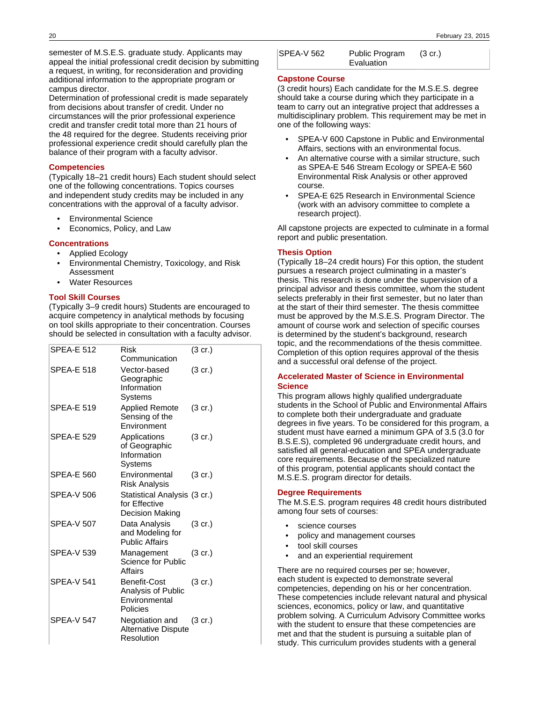semester of M.S.E.S. graduate study. Applicants may appeal the initial professional credit decision by submitting a request, in writing, for reconsideration and providing additional information to the appropriate program or campus director.

Determination of professional credit is made separately from decisions about transfer of credit. Under no circumstances will the prior professional experience credit and transfer credit total more than 21 hours of the 48 required for the degree. Students receiving prior professional experience credit should carefully plan the balance of their program with a faculty advisor.

## **Competencies**

(Typically 18–21 credit hours) Each student should select one of the following concentrations. Topics courses and independent study credits may be included in any concentrations with the approval of a faculty advisor.

- Environmental Science
- Economics, Policy, and Law

## **Concentrations**

- Applied Ecology
- Environmental Chemistry, Toxicology, and Risk Assessment
- Water Resources

## **Tool Skill Courses**

(Typically 3–9 credit hours) Students are encouraged to acquire competency in analytical methods by focusing on tool skills appropriate to their concentration. Courses should be selected in consultation with a faculty advisor.

| <b>SPEA-E 512</b> | Risk<br>Communication                                            | $(3 \text{ cr.})$ |
|-------------------|------------------------------------------------------------------|-------------------|
| <b>SPEA-E 518</b> | Vector-based<br>Geographic<br>Information<br>Systems             | $(3 \text{ cr.})$ |
| <b>SPEA-E 519</b> | <b>Applied Remote</b><br>Sensing of the<br>Environment           | (3 cr.)           |
| <b>SPEA-E 529</b> | Applications<br>of Geographic<br>Information<br>Systems          | $(3 \text{ cr.})$ |
| <b>SPEA-E 560</b> | Environmental<br>Risk Analysis                                   | $(3 \text{ cr.})$ |
| <b>SPEA-V 506</b> | Statistical Analysis (3 cr.)<br>for Effective<br>Decision Making |                   |
| <b>SPEA-V 507</b> | Data Analysis<br>and Modeling for<br><b>Public Affairs</b>       | $(3 \text{ cr.})$ |
| <b>SPEA-V 539</b> | Management<br>Science for Public<br>Affairs                      | $(3 \text{ cr.})$ |
| <b>SPEA-V 541</b> | Benefit-Cost<br>Analysis of Public<br>Environmental<br>Policies  | (3 cr.)           |
| <b>SPEA-V 547</b> | Negotiation and<br><b>Alternative Dispute</b><br>Resolution      | $(3 \text{ cr.})$ |

| SPEA-V 562 | Public Program | $(3 \text{ cr.})$ |
|------------|----------------|-------------------|
|            | Evaluation     |                   |

## **Capstone Course**

(3 credit hours) Each candidate for the M.S.E.S. degree should take a course during which they participate in a team to carry out an integrative project that addresses a multidisciplinary problem. This requirement may be met in one of the following ways:

- SPEA-V 600 Capstone in Public and Environmental Affairs, sections with an environmental focus.
- An alternative course with a similar structure, such as SPEA-E 546 Stream Ecology or SPEA-E 560 Environmental Risk Analysis or other approved course.
- SPEA-E 625 Research in Environmental Science (work with an advisory committee to complete a research project).

All capstone projects are expected to culminate in a formal report and public presentation.

## **Thesis Option**

(Typically 18–24 credit hours) For this option, the student pursues a research project culminating in a master's thesis. This research is done under the supervision of a principal advisor and thesis committee, whom the student selects preferably in their first semester, but no later than at the start of their third semester. The thesis committee must be approved by the M.S.E.S. Program Director. The amount of course work and selection of specific courses is determined by the student's background, research topic, and the recommendations of the thesis committee. Completion of this option requires approval of the thesis and a successful oral defense of the project.

## **Accelerated Master of Science in Environmental Science**

This program allows highly qualified undergraduate students in the School of Public and Environmental Affairs to complete both their undergraduate and graduate degrees in five years. To be considered for this program, a student must have earned a minimum GPA of 3.5 (3.0 for B.S.E.S), completed 96 undergraduate credit hours, and satisfied all general-education and SPEA undergraduate core requirements. Because of the specialized nature of this program, potential applicants should contact the M.S.E.S. program director for details.

### **Degree Requirements**

The M.S.E.S. program requires 48 credit hours distributed among four sets of courses:

- science courses
- policy and management courses
- tool skill courses
- and an experiential requirement

There are no required courses per se; however, each student is expected to demonstrate several competencies, depending on his or her concentration. These competencies include relevant natural and physical sciences, economics, policy or law, and quantitative problem solving. A Curriculum Advisory Committee works with the student to ensure that these competencies are met and that the student is pursuing a suitable plan of study. This curriculum provides students with a general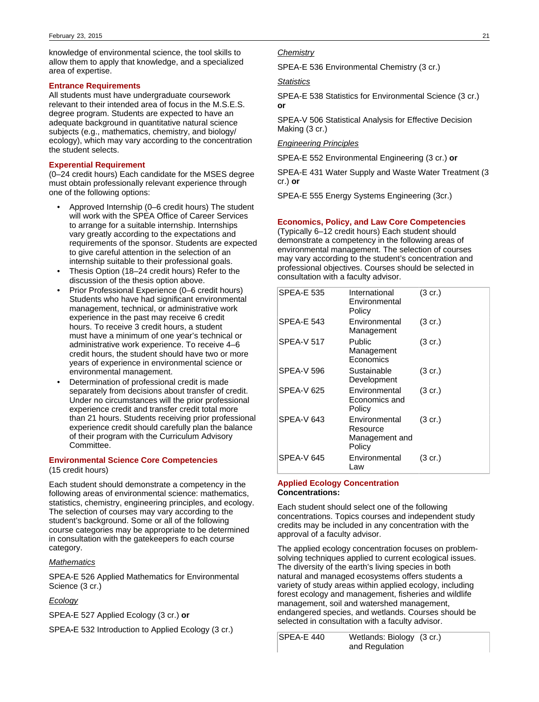knowledge of environmental science, the tool skills to allow them to apply that knowledge, and a specialized area of expertise.

### **Entrance Requirements**

All students must have undergraduate coursework relevant to their intended area of focus in the M.S.E.S. degree program. Students are expected to have an adequate background in quantitative natural science subjects (e.g., mathematics, chemistry, and biology/ ecology), which may vary according to the concentration the student selects.

## **Experential Requirement**

(0–24 credit hours) Each candidate for the MSES degree must obtain professionally relevant experience through one of the following options:

- Approved Internship (0–6 credit hours) The student will work with the SPEA Office of Career Services to arrange for a suitable internship. Internships vary greatly according to the expectations and requirements of the sponsor. Students are expected to give careful attention in the selection of an internship suitable to their professional goals.
- Thesis Option (18–24 credit hours) Refer to the discussion of the thesis option above.
- Prior Professional Experience (0–6 credit hours) Students who have had significant environmental management, technical, or administrative work experience in the past may receive 6 credit hours. To receive 3 credit hours, a student must have a minimum of one year's technical or administrative work experience. To receive 4–6 credit hours, the student should have two or more years of experience in environmental science or environmental management.
- Determination of professional credit is made separately from decisions about transfer of credit. Under no circumstances will the prior professional experience credit and transfer credit total more than 21 hours. Students receiving prior professional experience credit should carefully plan the balance of their program with the Curriculum Advisory Committee.

### **Environmental Science Core Competencies** (15 credit hours)

Each student should demonstrate a competency in the following areas of environmental science: mathematics, statistics, chemistry, engineering principles, and ecology. The selection of courses may vary according to the student's background. Some or all of the following course categories may be appropriate to be determined in consultation with the gatekeepers fo each course category.

### **Mathematics**

SPEA-E 526 Applied Mathematics for Environmental Science (3 cr.)

## **Ecology**

SPEA-E 527 Applied Ecology (3 cr.) **or**

SPEA**-**E 532 Introduction to Applied Ecology (3 cr.)

### **Chemistry**

SPEA-E 536 Environmental Chemistry (3 cr.)

## **Statistics**

SPEA-E 538 Statistics for Environmental Science (3 cr.) **or**

SPEA-V 506 Statistical Analysis for Effective Decision Making (3 cr.)

### Engineering Principles

SPEA-E 552 Environmental Engineering (3 cr.) **or**

SPEA-E 431 Water Supply and Waste Water Treatment (3 cr.) **or**

SPEA-E 555 Energy Systems Engineering (3cr.)

## **Economics, Policy, and Law Core Competencies**

(Typically 6–12 credit hours) Each student should demonstrate a competency in the following areas of environmental management. The selection of courses may vary according to the student's concentration and professional objectives. Courses should be selected in consultation with a faculty advisor.

| <b>SPEA-E 535</b> | International<br>Environmental<br>Policy              | $(3 \text{ cr.})$ |
|-------------------|-------------------------------------------------------|-------------------|
| <b>SPEA-E 543</b> | Environmental<br>Management                           | $(3 \text{ cr.})$ |
| <b>SPEA-V 517</b> | Public<br>Management<br>Economics                     | $(3 \text{ cr.})$ |
| <b>SPEA-V 596</b> | Sustainable<br>Development                            | $(3 \text{ cr.})$ |
| <b>SPEA-V 625</b> | Environmental<br>Economics and<br>Policy              | $(3 \text{ cr.})$ |
| SPEA-V 643        | Environmental<br>Resource<br>Management and<br>Policy | $(3 \text{ cr.})$ |
| SPEA-V 645        | Environmental<br>Law                                  | (3 cr.)           |

### **Applied Ecology Concentration Concentrations:**

Each student should select one of the following concentrations. Topics courses and independent study credits may be included in any concentration with the approval of a faculty advisor.

The applied ecology concentration focuses on problemsolving techniques applied to current ecological issues. The diversity of the earth's living species in both natural and managed ecosystems offers students a variety of study areas within applied ecology, including forest ecology and management, fisheries and wildlife management, soil and watershed management, endangered species, and wetlands. Courses should be selected in consultation with a faculty advisor.

SPEA-E 440 Wetlands: Biology (3 cr.)and Regulation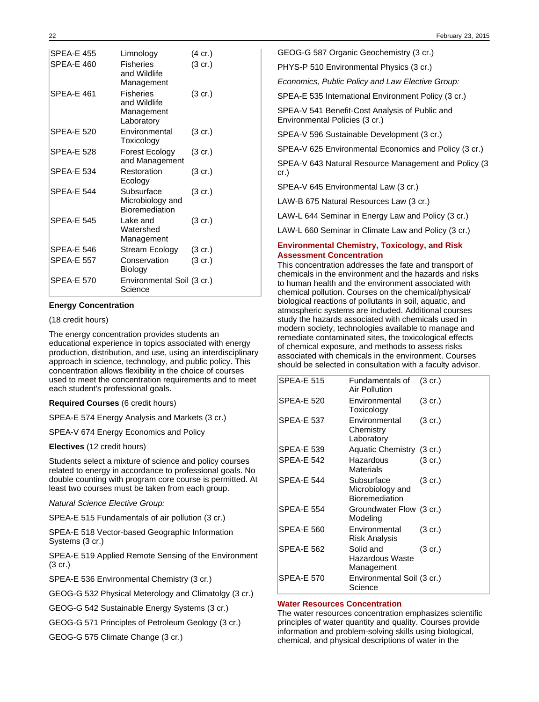| <b>SPFA-F455</b>  | Limnology                                                    | (4 cr.)           |
|-------------------|--------------------------------------------------------------|-------------------|
| SPEA-E 460        | <b>Fisheries</b><br>and Wildlife<br>Management               | (3 cr.)           |
| <b>SPFA-F461</b>  | <b>Fisheries</b><br>and Wildlife<br>Management<br>Laboratory | $(3 \text{ cr.})$ |
| <b>SPEA-E 520</b> | Environmental<br>Toxicology                                  | $(3 \text{ cr.})$ |
| <b>SPEA-E 528</b> | Forest Ecology<br>and Management                             | $(3 \text{ cr.})$ |
| <b>SPEA-E 534</b> | Restoration<br>Ecology                                       | $(3 \text{ cr.})$ |
| <b>SPFA-F 544</b> | Subsurface<br>Microbiology and<br><b>Bioremediation</b>      | $(3 \text{ cr.})$ |
| <b>SPEA-E 545</b> | Lake and<br>Watershed<br>Management                          | $(3 \text{ cr.})$ |
| SPEA-E 546        | Stream Ecology                                               | $(3 \text{ cr.})$ |
| <b>SPEA-E 557</b> | Conservation<br>Biology                                      | $(3 \text{ cr.})$ |
| <b>SPEA-E 570</b> | Environmental Soil (3 cr.)<br>Science                        |                   |

## **Energy Concentration**

### (18 credit hours)

The energy concentration provides students an educational experience in topics associated with energy production, distribution, and use, using an interdisciplinary approach in science, technology, and public policy. This concentration allows flexibility in the choice of courses used to meet the concentration requirements and to meet each student's professional goals.

**Required Courses** (6 credit hours)

SPEA-E 574 Energy Analysis and Markets (3 cr.)

SPEA-V 674 Energy Economics and Policy

**Electives** (12 credit hours)

Students select a mixture of science and policy courses related to energy in accordance to professional goals. No double counting with program core course is permitted. At least two courses must be taken from each group.

Natural Science Elective Group:

SPEA-E 515 Fundamentals of air pollution (3 cr.)

SPEA-E 518 Vector-based Geographic Information Systems (3 cr.)

SPEA-E 519 Applied Remote Sensing of the Environment (3 cr.)

SPEA-E 536 Environmental Chemistry (3 cr.)

GEOG-G 532 Physical Meterology and Climatolgy (3 cr.)

GEOG-G 542 Sustainable Energy Systems (3 cr.)

GEOG-G 571 Principles of Petroleum Geology (3 cr.)

GEOG-G 575 Climate Change (3 cr.)

GEOG-G 587 Organic Geochemistry (3 cr.)

PHYS-P 510 Environmental Physics (3 cr.)

Economics, Public Policy and Law Elective Group:

SPEA-E 535 International Environment Policy (3 cr.)

SPEA-V 541 Benefit-Cost Analysis of Public and Environmental Policies (3 cr.)

SPEA-V 596 Sustainable Development (3 cr.)

SPEA-V 625 Environmental Economics and Policy (3 cr.)

SPEA-V 643 Natural Resource Management and Policy (3 cr.)

SPEA-V 645 Environmental Law (3 cr.)

LAW-B 675 Natural Resources Law (3 cr.)

LAW-L 644 Seminar in Energy Law and Policy (3 cr.)

LAW-L 660 Seminar in Climate Law and Policy (3 cr.)

### **Environmental Chemistry, Toxicology, and Risk Assessment Concentration**

This concentration addresses the fate and transport of chemicals in the environment and the hazards and risks to human health and the environment associated with chemical pollution. Courses on the chemical/physical/ biological reactions of pollutants in soil, aquatic, and atmospheric systems are included. Additional courses study the hazards associated with chemicals used in modern society, technologies available to manage and remediate contaminated sites, the toxicological effects of chemical exposure, and methods to assess risks associated with chemicals in the environment. Courses should be selected in consultation with a faculty advisor.

| <b>SPEA-E 515</b> | Fundamentals of<br>Air Pollution                 | $(3 \text{ cr.})$ |
|-------------------|--------------------------------------------------|-------------------|
| <b>SPEA-E 520</b> | Environmental<br>Toxicology                      | (3 cr.)           |
| <b>SPEA-E 537</b> | Environmental<br>Chemistry<br>Laboratory         | $(3 \text{ cr.})$ |
| SPEA-E 539        | Aquatic Chemistry (3 cr.)                        |                   |
| <b>SPEA-E 542</b> | Hazardous<br>Materials                           | (3 cr.)           |
| <b>SPEA-E 544</b> | Subsurface<br>Microbiology and<br>Bioremediation | $(3 \text{ cr.})$ |
| <b>SPEA-E 554</b> | Groundwater Flow (3 cr.)<br>Modeling             |                   |
| <b>SPEA-E 560</b> | Environmental<br><b>Risk Analysis</b>            | $(3 \text{ cr.})$ |
| <b>SPEA-E 562</b> | Solid and<br>Hazardous Waste<br>Management       | $(3 \text{ cr.})$ |
| <b>SPEA-E 570</b> | Environmental Soil (3 cr.)<br>Science            |                   |

### **Water Resources Concentration**

The water resources concentration emphasizes scientific principles of water quantity and quality. Courses provide information and problem-solving skills using biological, chemical, and physical descriptions of water in the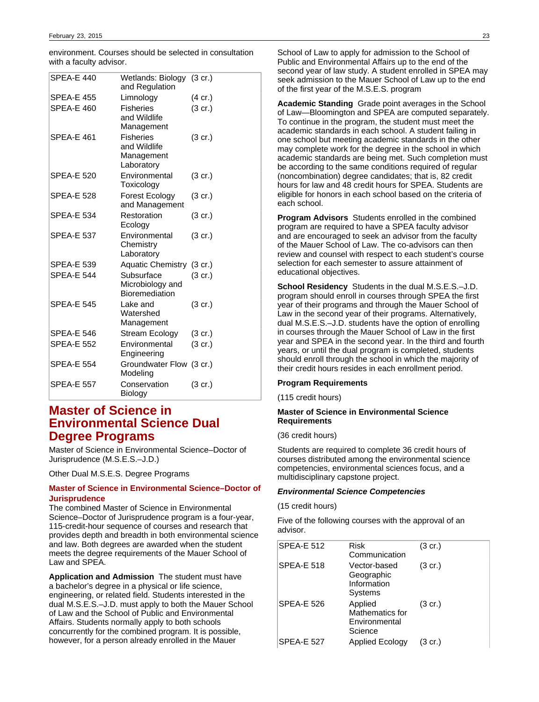environment. Courses should be selected in consultation with a faculty advisor.

| SPEA-E 440        | Wetlands: Biology (3 cr.)<br>and Regulation                  |                   |
|-------------------|--------------------------------------------------------------|-------------------|
| <b>SPEA-E 455</b> | Limnology                                                    | $(4 \text{ cr.})$ |
| SPEA-E 460        | <b>Fisheries</b><br>and Wildlife<br>Management               | $(3 \text{ cr.})$ |
| <b>SPEA-E 461</b> | <b>Fisheries</b><br>and Wildlife<br>Management<br>Laboratory | $(3 \text{ cr.})$ |
| <b>SPEA-E 520</b> | Environmental<br>Toxicology                                  | $(3 \text{ cr.})$ |
| <b>SPEA-E 528</b> | Forest Ecology<br>and Management                             | $(3 \text{ cr.})$ |
| <b>SPEA-E 534</b> | Restoration<br>Ecology                                       | $(3 \text{ cr.})$ |
| <b>SPEA-E 537</b> | Environmental<br>Chemistry<br>Laboratory                     | $(3 \text{ cr.})$ |
| <b>SPEA-E 539</b> | Aquatic Chemistry (3 cr.)                                    |                   |
| <b>SPEA-E 544</b> | Subsurface<br>Microbiology and<br>Bioremediation             | $(3 \text{ cr.})$ |
| <b>SPEA-E 545</b> | Lake and<br>Watershed<br>Management                          | $(3 \text{ cr.})$ |
| <b>SPEA-E 546</b> | Stream Ecology                                               | $(3 \text{ cr.})$ |
| <b>SPEA-E 552</b> | Environmental<br>Engineering                                 | $(3 \text{ cr.})$ |
| <b>SPEA-E 554</b> | Groundwater Flow (3 cr.)<br>Modeling                         |                   |
| <b>SPEA-E 557</b> | Conservation<br>Biology                                      | $(3 \text{ cr.})$ |

# **Master of Science in Environmental Science Dual Degree Programs**

Master of Science in Environmental Science–Doctor of Jurisprudence (M.S.E.S.–J.D.)

Other Dual M.S.E.S. Degree Programs

## **Master of Science in Environmental Science–Doctor of Jurisprudence**

The combined Master of Science in Environmental Science–Doctor of Jurisprudence program is a four-year, 115-credit-hour sequence of courses and research that provides depth and breadth in both environmental science and law. Both degrees are awarded when the student meets the degree requirements of the Mauer School of Law and SPEA.

**Application and Admission** The student must have a bachelor's degree in a physical or life science, engineering, or related field. Students interested in the dual M.S.E.S.–J.D. must apply to both the Mauer School of Law and the School of Public and Environmental Affairs. Students normally apply to both schools concurrently for the combined program. It is possible, however, for a person already enrolled in the Mauer

School of Law to apply for admission to the School of Public and Environmental Affairs up to the end of the second year of law study. A student enrolled in SPEA may seek admission to the Mauer School of Law up to the end of the first year of the M.S.E.S. program

**Academic Standing** Grade point averages in the School of Law—Bloomington and SPEA are computed separately. To continue in the program, the student must meet the academic standards in each school. A student failing in one school but meeting academic standards in the other may complete work for the degree in the school in which academic standards are being met. Such completion must be according to the same conditions required of regular (noncombination) degree candidates; that is, 82 credit hours for law and 48 credit hours for SPEA. Students are eligible for honors in each school based on the criteria of each school.

**Program Advisors** Students enrolled in the combined program are required to have a SPEA faculty advisor and are encouraged to seek an advisor from the faculty of the Mauer School of Law. The co-advisors can then review and counsel with respect to each student's course selection for each semester to assure attainment of educational objectives.

**School Residency** Students in the dual M.S.E.S.–J.D. program should enroll in courses through SPEA the first year of their programs and through the Mauer School of Law in the second year of their programs. Alternatively, dual M.S.E.S.–J.D. students have the option of enrolling in courses through the Mauer School of Law in the first year and SPEA in the second year. In the third and fourth years, or until the dual program is completed, students should enroll through the school in which the majority of their credit hours resides in each enrollment period.

### **Program Requirements**

(115 credit hours)

### **Master of Science in Environmental Science Requirements**

(36 credit hours)

Students are required to complete 36 credit hours of courses distributed among the environmental science competencies, environmental sciences focus, and a multidisciplinary capstone project.

### **Environmental Science Competencies**

(15 credit hours)

Five of the following courses with the approval of an advisor.

| <b>SPEA-E 512</b> | Risk<br>Communication                                  | $(3 \text{ cr.})$ |
|-------------------|--------------------------------------------------------|-------------------|
| <b>SPEA-E 518</b> | Vector-based<br>Geographic<br>Information<br>Systems   | (3 cr.)           |
| <b>SPEA-E 526</b> | Applied<br>Mathematics for<br>Environmental<br>Science | $(3 \text{ cr.})$ |
| <b>SPEA-E 527</b> | <b>Applied Ecology</b>                                 | (3 cr.)           |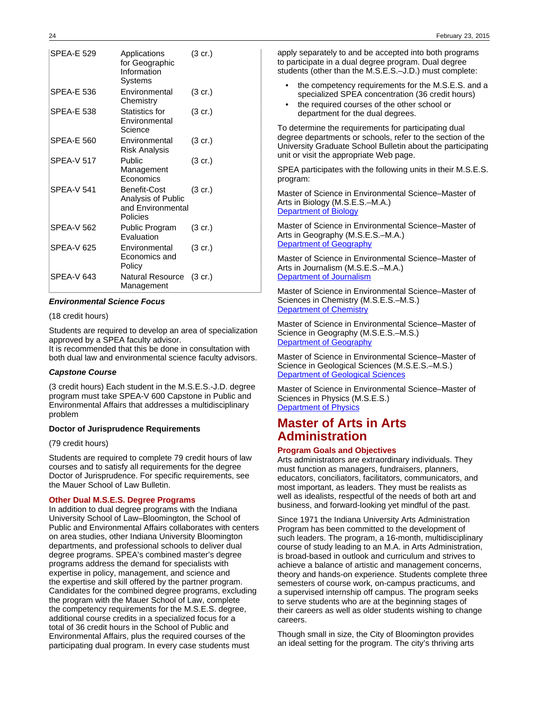| <b>SPFA-F 529</b> | Applications<br>for Geographic<br>Information<br>Systems            | $(3 \text{ cr.})$ |
|-------------------|---------------------------------------------------------------------|-------------------|
| SPFA-F 536        | Environmental<br>Chemistry                                          | $(3 \text{ cr.})$ |
| <b>SPEA-E 538</b> | Statistics for<br>Environmental<br>Science                          | $(3 \text{ cr.})$ |
| SPEA-E 560        | Environmental<br>Risk Analysis                                      | $(3 \text{ cr.})$ |
| <b>SPEA-V 517</b> | Public<br>Management<br>Economics                                   | $(3 \text{ cr.})$ |
| SPFA-V 541        | Benefit-Cost<br>Analysis of Public<br>and Environmental<br>Policies | $(3 \text{ cr.})$ |
| SPFA-V 562        | Public Program<br>Evaluation                                        | $(3 \text{ cr.})$ |
| <b>SPEA-V 625</b> | Environmental<br>Economics and<br>Policy                            | $(3 \text{ cr.})$ |
| SPFA-V 643        | Natural Resource<br>Management                                      | (3 cr.)           |

### **Environmental Science Focus**

### (18 credit hours)

Students are required to develop an area of specialization approved by a SPEA faculty advisor.

It is recommended that this be done in consultation with both dual law and environmental science faculty advisors.

### **Capstone Course**

(3 credit hours) Each student in the M.S.E.S.-J.D. degree program must take SPEA-V 600 Capstone in Public and Environmental Affairs that addresses a multidisciplinary problem

### **Doctor of Jurisprudence Requirements**

(79 credit hours)

Students are required to complete 79 credit hours of law courses and to satisfy all requirements for the degree Doctor of Jurisprudence. For specific requirements, see the Mauer School of Law Bulletin.

### **Other Dual M.S.E.S. Degree Programs**

In addition to dual degree programs with the Indiana University School of Law–Bloomington, the School of Public and Environmental Affairs collaborates with centers on area studies, other Indiana University Bloomington departments, and professional schools to deliver dual degree programs. SPEA's combined master's degree programs address the demand for specialists with expertise in policy, management, and science and the expertise and skill offered by the partner program. Candidates for the combined degree programs, excluding the program with the Mauer School of Law, complete the competency requirements for the M.S.E.S. degree, additional course credits in a specialized focus for a total of 36 credit hours in the School of Public and Environmental Affairs, plus the required courses of the participating dual program. In every case students must

apply separately to and be accepted into both programs to participate in a dual degree program. Dual degree students (other than the M.S.E.S.–J.D.) must complete:

- the competency requirements for the M.S.E.S. and a specialized SPEA concentration (36 credit hours)
- the required courses of the other school or department for the dual degrees.

To determine the requirements for participating dual degree departments or schools, refer to the section of the University Graduate School Bulletin about the participating unit or visit the appropriate Web page.

SPEA participates with the following units in their M.S.E.S. program:

Master of Science in Environmental Science–Master of Arts in Biology (M.S.E.S.–M.A.) [Department of Biology](http://www.bio.indiana.edu/)

Master of Science in Environmental Science–Master of Arts in Geography (M.S.E.S.–M.A.) [Department of Geography](http://www.indiana.edu/~geog/)

Master of Science in Environmental Science–Master of Arts in Journalism (M.S.E.S.–M.A.) [Department of Journalism](http://www.journalism.indiana.edu/)

Master of Science in Environmental Science–Master of Sciences in Chemistry (M.S.E.S.–M.S.) [Department of Chemistry](http://www.chem.indiana.edu/)

Master of Science in Environmental Science–Master of Science in Geography (M.S.E.S.–M.S.) **[Department of Geography](http://www.indiana.edu/~geog/)** 

Master of Science in Environmental Science–Master of Science in Geological Sciences (M.S.E.S.–M.S.) [Department of Geological Sciences](http://www.indiana.edu/~geosci/)

Master of Science in Environmental Science–Master of Sciences in Physics (M.S.E.S.) [Department of Physics](http://www.physics.indiana.edu/)

## **Master of Arts in Arts Administration**

### **Program Goals and Objectives**

Arts administrators are extraordinary individuals. They must function as managers, fundraisers, planners, educators, conciliators, facilitators, communicators, and most important, as leaders. They must be realists as well as idealists, respectful of the needs of both art and business, and forward-looking yet mindful of the past.

Since 1971 the Indiana University Arts Administration Program has been committed to the development of such leaders. The program, a 16-month, multidisciplinary course of study leading to an M.A. in Arts Administration, is broad-based in outlook and curriculum and strives to achieve a balance of artistic and management concerns, theory and hands-on experience. Students complete three semesters of course work, on-campus practicums, and a supervised internship off campus. The program seeks to serve students who are at the beginning stages of their careers as well as older students wishing to change careers.

Though small in size, the City of Bloomington provides an ideal setting for the program. The city's thriving arts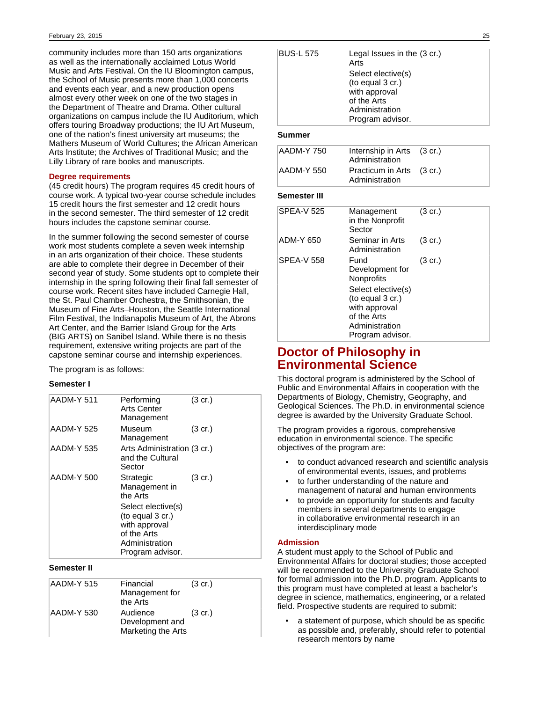community includes more than 150 arts organizations as well as the internationally acclaimed Lotus World Music and Arts Festival. On the IU Bloomington campus, the School of Music presents more than 1,000 concerts and events each year, and a new production opens almost every other week on one of the two stages in the Department of Theatre and Drama. Other cultural organizations on campus include the IU Auditorium, which offers touring Broadway productions; the IU Art Museum, one of the nation's finest university art museums; the Mathers Museum of World Cultures; the African American Arts Institute; the Archives of Traditional Music; and the Lilly Library of rare books and manuscripts.

## **Degree requirements**

(45 credit hours) The program requires 45 credit hours of course work. A typical two-year course schedule includes 15 credit hours the first semester and 12 credit hours in the second semester. The third semester of 12 credit hours includes the capstone seminar course.

In the summer following the second semester of course work most students complete a seven week internship in an arts organization of their choice. These students are able to complete their degree in December of their second year of study. Some students opt to complete their internship in the spring following their final fall semester of course work. Recent sites have included Carnegie Hall, the St. Paul Chamber Orchestra, the Smithsonian, the Museum of Fine Arts–Houston, the Seattle International Film Festival, the Indianapolis Museum of Art, the Abrons Art Center, and the Barrier Island Group for the Arts (BIG ARTS) on Sanibel Island. While there is no thesis requirement, extensive writing projects are part of the capstone seminar course and internship experiences.

The program is as follows:

### **Semester I**

| AADM-Y 511 | Performing<br>Arts Center<br>Management                                                                      | $(3 \text{ cr.})$ |
|------------|--------------------------------------------------------------------------------------------------------------|-------------------|
| AADM-Y 525 | Museum<br>Management                                                                                         | $(3 \text{ cr.})$ |
| AADM-Y 535 | Arts Administration (3 cr.)<br>and the Cultural<br>Sector                                                    |                   |
| AADM-Y 500 | Strategic<br>Management in<br>the Arts                                                                       | $(3 \text{ cr.})$ |
|            | Select elective(s)<br>(to equal 3 cr.)<br>with approval<br>of the Arts<br>Administration<br>Program advisor. |                   |

**Semester II**

| AADM-Y 515 | Financial<br>Management for<br>the Arts           | $(3 \text{ cr.})$ |
|------------|---------------------------------------------------|-------------------|
| AADM-Y 530 | Audience<br>Development and<br>Marketing the Arts | $(3 \text{ cr.})$ |

| <b>BUS-L 575</b><br><b>Summer</b> | Legal Issues in the (3 cr.)<br>Arts<br>Select elective(s)<br>(to equal 3 cr.)<br>with approval<br>of the Arts<br>Administration<br>Program advisor. |  |
|-----------------------------------|-----------------------------------------------------------------------------------------------------------------------------------------------------|--|
| <b>AADM-Y 750</b>                 | Internship in Arts (3 cr.)<br>Administration                                                                                                        |  |

|            | <u>Aulilliotiation</u>                      |  |
|------------|---------------------------------------------|--|
| AADM-Y 550 | Practicum in Arts (3 cr.)<br>Administration |  |
|            |                                             |  |

## **Semester III**

| <b>SPEA-V 525</b> | Management<br>in the Nonprofit<br>Sector                               | $(3 \text{ cr.})$ |
|-------------------|------------------------------------------------------------------------|-------------------|
| ADM-Y 650         | Seminar in Arts<br>Administration                                      | $(3 \text{ cr.})$ |
| <b>SPEA-V 558</b> | Fund<br>Development for<br>Nonprofits                                  | $(3 \text{ cr.})$ |
|                   | Select elective(s)<br>(to equal 3 cr.)<br>with approval<br>of the Arts |                   |
|                   | Administration<br>Program advisor.                                     |                   |

# **Doctor of Philosophy in Environmental Science**

This doctoral program is administered by the School of Public and Environmental Affairs in cooperation with the Departments of Biology, Chemistry, Geography, and Geological Sciences. The Ph.D. in environmental science degree is awarded by the University Graduate School.

The program provides a rigorous, comprehensive education in environmental science. The specific objectives of the program are:

- to conduct advanced research and scientific analysis of environmental events, issues, and problems
- to further understanding of the nature and management of natural and human environments
- to provide an opportunity for students and faculty members in several departments to engage in collaborative environmental research in an interdisciplinary mode

### **Admission**

A student must apply to the School of Public and Environmental Affairs for doctoral studies; those accepted will be recommended to the University Graduate School for formal admission into the Ph.D. program. Applicants to this program must have completed at least a bachelor's degree in science, mathematics, engineering, or a related field. Prospective students are required to submit:

a statement of purpose, which should be as specific as possible and, preferably, should refer to potential research mentors by name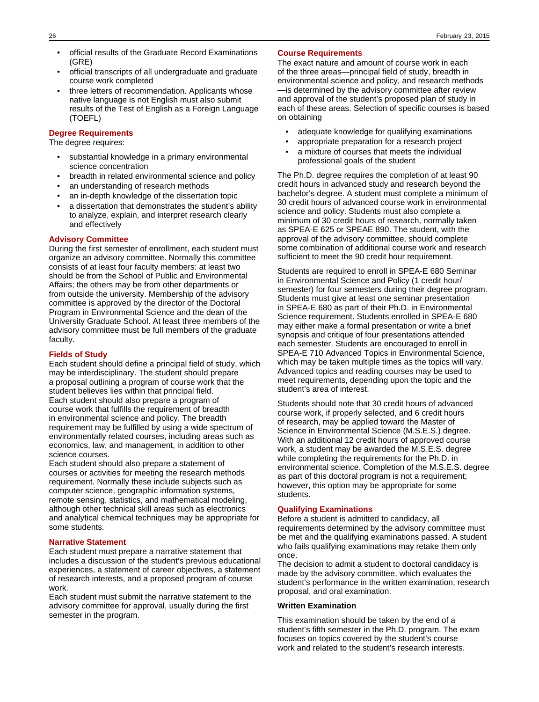- official results of the Graduate Record Examinations (GRE)
- official transcripts of all undergraduate and graduate course work completed
- three letters of recommendation. Applicants whose native language is not English must also submit results of the Test of English as a Foreign Language (TOEFL)

## **Degree Requirements**

## The degree requires:

- substantial knowledge in a primary environmental science concentration
- breadth in related environmental science and policy
- an understanding of research methods
- an in-depth knowledge of the dissertation topic
- a dissertation that demonstrates the student's ability to analyze, explain, and interpret research clearly and effectively

## **Advisory Committee**

During the first semester of enrollment, each student must organize an advisory committee. Normally this committee consists of at least four faculty members: at least two should be from the School of Public and Environmental Affairs; the others may be from other departments or from outside the university. Membership of the advisory committee is approved by the director of the Doctoral Program in Environmental Science and the dean of the University Graduate School. At least three members of the advisory committee must be full members of the graduate faculty.

### **Fields of Study**

Each student should define a principal field of study, which may be interdisciplinary. The student should prepare a proposal outlining a program of course work that the student believes lies within that principal field. Each student should also prepare a program of course work that fulfills the requirement of breadth in environmental science and policy. The breadth requirement may be fulfilled by using a wide spectrum of environmentally related courses, including areas such as economics, law, and management, in addition to other science courses.

Each student should also prepare a statement of courses or activities for meeting the research methods requirement. Normally these include subjects such as computer science, geographic information systems, remote sensing, statistics, and mathematical modeling, although other technical skill areas such as electronics and analytical chemical techniques may be appropriate for some students.

#### **Narrative Statement**

Each student must prepare a narrative statement that includes a discussion of the student's previous educational experiences, a statement of career objectives, a statement of research interests, and a proposed program of course work.

Each student must submit the narrative statement to the advisory committee for approval, usually during the first semester in the program.

### **Course Requirements**

The exact nature and amount of course work in each of the three areas—principal field of study, breadth in environmental science and policy, and research methods —is determined by the advisory committee after review and approval of the student's proposed plan of study in each of these areas. Selection of specific courses is based on obtaining

- adequate knowledge for qualifying examinations
- appropriate preparation for a research project
- a mixture of courses that meets the individual professional goals of the student

The Ph.D. degree requires the completion of at least 90 credit hours in advanced study and research beyond the bachelor's degree. A student must complete a minimum of 30 credit hours of advanced course work in environmental science and policy. Students must also complete a minimum of 30 credit hours of research, normally taken as SPEA-E 625 or SPEAE 890. The student, with the approval of the advisory committee, should complete some combination of additional course work and research sufficient to meet the 90 credit hour requirement.

Students are required to enroll in SPEA-E 680 Seminar in Environmental Science and Policy (1 credit hour/ semester) for four semesters during their degree program. Students must give at least one seminar presentation in SPEA-E 680 as part of their Ph.D. in Environmental Science requirement. Students enrolled in SPEA-E 680 may either make a formal presentation or write a brief synopsis and critique of four presentations attended each semester. Students are encouraged to enroll in SPEA-E 710 Advanced Topics in Environmental Science, which may be taken multiple times as the topics will vary. Advanced topics and reading courses may be used to meet requirements, depending upon the topic and the student's area of interest.

Students should note that 30 credit hours of advanced course work, if properly selected, and 6 credit hours of research, may be applied toward the Master of Science in Environmental Science (M.S.E.S.) degree. With an additional 12 credit hours of approved course work, a student may be awarded the M.S.E.S. degree while completing the requirements for the Ph.D. in environmental science. Completion of the M.S.E.S. degree as part of this doctoral program is not a requirement; however, this option may be appropriate for some students.

## **Qualifying Examinations**

Before a student is admitted to candidacy, all requirements determined by the advisory committee must be met and the qualifying examinations passed. A student who fails qualifying examinations may retake them only once.

The decision to admit a student to doctoral candidacy is made by the advisory committee, which evaluates the student's performance in the written examination, research proposal, and oral examination.

### **Written Examination**

This examination should be taken by the end of a student's fifth semester in the Ph.D. program. The exam focuses on topics covered by the student's course work and related to the student's research interests.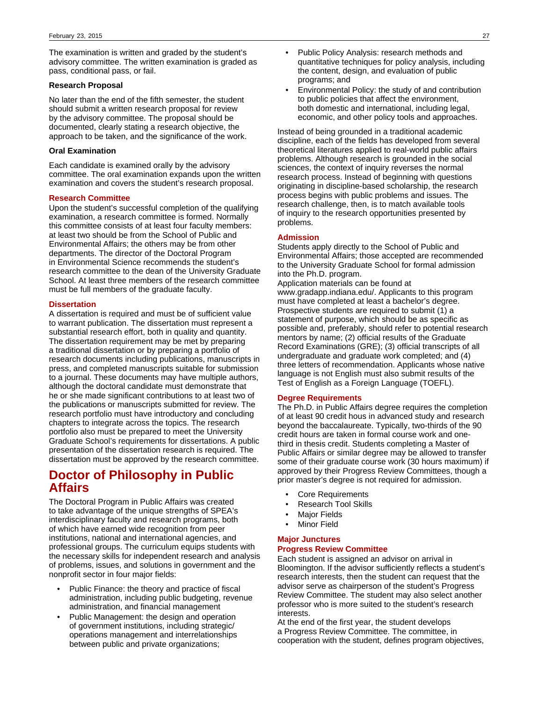The examination is written and graded by the student's advisory committee. The written examination is graded as pass, conditional pass, or fail.

### **Research Proposal**

No later than the end of the fifth semester, the student should submit a written research proposal for review by the advisory committee. The proposal should be documented, clearly stating a research objective, the approach to be taken, and the significance of the work.

### **Oral Examination**

Each candidate is examined orally by the advisory committee. The oral examination expands upon the written examination and covers the student's research proposal.

### **Research Committee**

Upon the student's successful completion of the qualifying examination, a research committee is formed. Normally this committee consists of at least four faculty members: at least two should be from the School of Public and Environmental Affairs; the others may be from other departments. The director of the Doctoral Program in Environmental Science recommends the student's research committee to the dean of the University Graduate School. At least three members of the research committee must be full members of the graduate faculty.

### **Dissertation**

A dissertation is required and must be of sufficient value to warrant publication. The dissertation must represent a substantial research effort, both in quality and quantity. The dissertation requirement may be met by preparing a traditional dissertation or by preparing a portfolio of research documents including publications, manuscripts in press, and completed manuscripts suitable for submission to a journal. These documents may have multiple authors, although the doctoral candidate must demonstrate that he or she made significant contributions to at least two of the publications or manuscripts submitted for review. The research portfolio must have introductory and concluding chapters to integrate across the topics. The research portfolio also must be prepared to meet the University Graduate School's requirements for dissertations. A public presentation of the dissertation research is required. The dissertation must be approved by the research committee.

# **Doctor of Philosophy in Public Affairs**

The Doctoral Program in Public Affairs was created to take advantage of the unique strengths of SPEA's interdisciplinary faculty and research programs, both of which have earned wide recognition from peer institutions, national and international agencies, and professional groups. The curriculum equips students with the necessary skills for independent research and analysis of problems, issues, and solutions in government and the nonprofit sector in four major fields:

- Public Finance: the theory and practice of fiscal administration, including public budgeting, revenue administration, and financial management
- Public Management: the design and operation of government institutions, including strategic/ operations management and interrelationships between public and private organizations;
- Public Policy Analysis: research methods and quantitative techniques for policy analysis, including the content, design, and evaluation of public programs; and
- Environmental Policy: the study of and contribution to public policies that affect the environment, both domestic and international, including legal, economic, and other policy tools and approaches.

Instead of being grounded in a traditional academic discipline, each of the fields has developed from several theoretical literatures applied to real-world public affairs problems. Although research is grounded in the social sciences, the context of inquiry reverses the normal research process. Instead of beginning with questions originating in discipline-based scholarship, the research process begins with public problems and issues. The research challenge, then, is to match available tools of inquiry to the research opportunities presented by problems.

### **Admission**

Students apply directly to the School of Public and Environmental Affairs; those accepted are recommended to the University Graduate School for formal admission into the Ph.D. program.

Application materials can be found at www.gradapp.indiana.edu/. Applicants to this program must have completed at least a bachelor's degree. Prospective students are required to submit (1) a statement of purpose, which should be as specific as possible and, preferably, should refer to potential research mentors by name; (2) official results of the Graduate Record Examinations (GRE); (3) official transcripts of all undergraduate and graduate work completed; and (4) three letters of recommendation. Applicants whose native language is not English must also submit results of the Test of English as a Foreign Language (TOEFL).

### **Degree Requirements**

The Ph.D. in Public Affairs degree requires the completion of at least 90 credit hous in advanced study and research beyond the baccalaureate. Typically, two-thirds of the 90 credit hours are taken in formal course work and onethird in thesis credit. Students completing a Master of Public Affairs or similar degree may be allowed to transfer some of their graduate course work (30 hours maximum) if approved by their Progress Review Committees, though a prior master's degree is not required for admission.

- Core Requirements
- Research Tool Skills
- **Major Fields**
- **Minor Field**

#### **Major Junctures**

#### **Progress Review Committee**

Each student is assigned an advisor on arrival in Bloomington. If the advisor sufficiently reflects a student's research interests, then the student can request that the advisor serve as chairperson of the student's Progress Review Committee. The student may also select another professor who is more suited to the student's research interests.

At the end of the first year, the student develops a Progress Review Committee. The committee, in cooperation with the student, defines program objectives,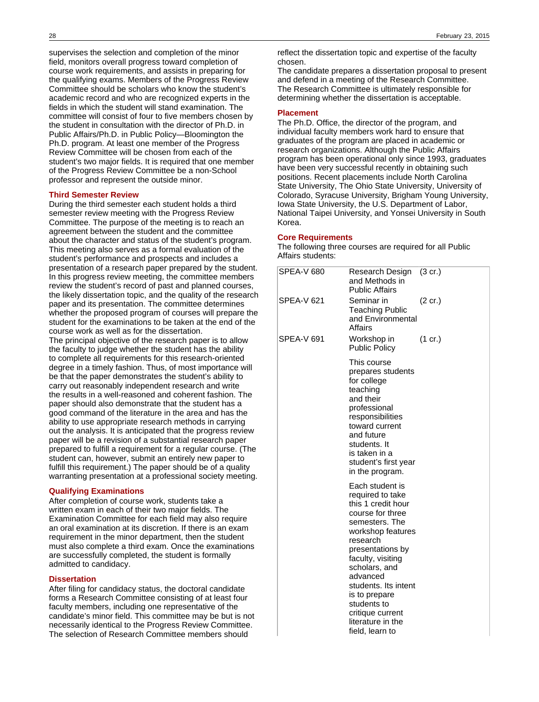supervises the selection and completion of the minor field, monitors overall progress toward completion of course work requirements, and assists in preparing for the qualifying exams. Members of the Progress Review Committee should be scholars who know the student's academic record and who are recognized experts in the fields in which the student will stand examination. The committee will consist of four to five members chosen by the student in consultation with the director of Ph.D. in Public Affairs/Ph.D. in Public Policy—Bloomington the Ph.D. program. At least one member of the Progress Review Committee will be chosen from each of the student's two major fields. It is required that one member of the Progress Review Committee be a non-School professor and represent the outside minor.

#### **Third Semester Review**

During the third semester each student holds a third semester review meeting with the Progress Review Committee. The purpose of the meeting is to reach an agreement between the student and the committee about the character and status of the student's program. This meeting also serves as a formal evaluation of the student's performance and prospects and includes a presentation of a research paper prepared by the student. In this progress review meeting, the committee members review the student's record of past and planned courses, the likely dissertation topic, and the quality of the research paper and its presentation. The committee determines whether the proposed program of courses will prepare the student for the examinations to be taken at the end of the course work as well as for the dissertation.

The principal objective of the research paper is to allow the faculty to judge whether the student has the ability to complete all requirements for this research-oriented degree in a timely fashion. Thus, of most importance will be that the paper demonstrates the student's ability to carry out reasonably independent research and write the results in a well-reasoned and coherent fashion. The paper should also demonstrate that the student has a good command of the literature in the area and has the ability to use appropriate research methods in carrying out the analysis. It is anticipated that the progress review paper will be a revision of a substantial research paper prepared to fulfill a requirement for a regular course. (The student can, however, submit an entirely new paper to fulfill this requirement.) The paper should be of a quality warranting presentation at a professional society meeting.

#### **Qualifying Examinations**

After completion of course work, students take a written exam in each of their two major fields. The Examination Committee for each field may also require an oral examination at its discretion. If there is an exam requirement in the minor department, then the student must also complete a third exam. Once the examinations are successfully completed, the student is formally admitted to candidacy.

#### **Dissertation**

After filing for candidacy status, the doctoral candidate forms a Research Committee consisting of at least four faculty members, including one representative of the candidate's minor field. This committee may be but is not necessarily identical to the Progress Review Committee. The selection of Research Committee members should

reflect the dissertation topic and expertise of the faculty chosen.

The candidate prepares a dissertation proposal to present and defend in a meeting of the Research Committee. The Research Committee is ultimately responsible for determining whether the dissertation is acceptable.

## **Placement**

The Ph.D. Office, the director of the program, and individual faculty members work hard to ensure that graduates of the program are placed in academic or research organizations. Although the Public Affairs program has been operational only since 1993, graduates have been very successful recently in obtaining such positions. Recent placements include North Carolina State University, The Ohio State University, University of Colorado, Syracuse University, Brigham Young University, Iowa State University, the U.S. Department of Labor, National Taipei University, and Yonsei University in South Korea.

### **Core Requirements**

The following three courses are required for all Public Affairs students:

| <b>SPEA-V 680</b> | Research Design<br>and Methods in<br><b>Public Affairs</b>                                                                                                                                                                                                                                                                 | $(3 \text{ cr.})$ |
|-------------------|----------------------------------------------------------------------------------------------------------------------------------------------------------------------------------------------------------------------------------------------------------------------------------------------------------------------------|-------------------|
| SPEA-V 621        | Seminar in<br><b>Teaching Public</b><br>and Environmental<br>Affairs                                                                                                                                                                                                                                                       | (2 cr.)           |
| <b>SPEA-V 691</b> | Workshop in<br><b>Public Policy</b>                                                                                                                                                                                                                                                                                        | $(1 \text{ cr.})$ |
|                   | This course<br>prepares students<br>for college<br>teaching<br>and their<br>professional<br>responsibilities<br>toward current<br>and future<br>students. It<br>is taken in a<br>student's first year<br>in the program.                                                                                                   |                   |
|                   | Each student is<br>required to take<br>this 1 credit hour<br>course for three<br>semesters. The<br>workshop features<br>research<br>presentations by<br>faculty, visiting<br>scholars, and<br>advanced<br>students. Its intent<br>is to prepare<br>students to<br>critique current<br>literature in the<br>field, learn to |                   |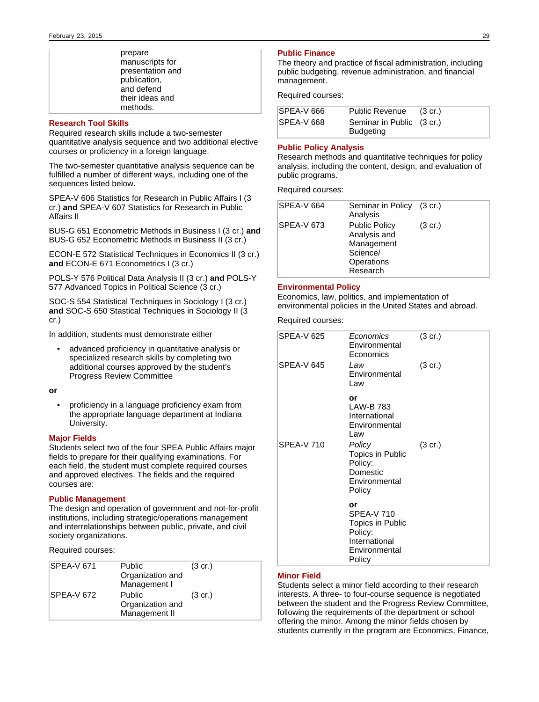| prepare          |
|------------------|
| manuscripts for  |
| presentation and |
| publication,     |
| and defend       |
| their ideas and  |
| methods.         |

### **Research Tool Skills**

Required research skills include a two-semester quantitative analysis sequence and two additional elective courses or proficiency in a foreign language.

The two-semester quantitative analysis sequence can be fulfilled a number of different ways, including one of the sequences listed below.

SPEA-V 606 Statistics for Research in Public Affairs I (3 cr.) **and** SPEA-V 607 Statistics for Research in Public Affairs II

BUS-G 651 Econometric Methods in Business I (3 cr.) **and** BUS-G 652 Econometric Methods in Business II (3 cr.)

ECON-E 572 Statistical Techniques in Economics II (3 cr.) **and** ECON-E 671 Econometrics I (3 cr.)

POLS-Y 576 Political Data Analysis II (3 cr.) **and** POLS-Y 577 Advanced Topics in Political Science (3 cr.)

SOC-S 554 Statistical Techniques in Sociology I (3 cr.) **and** SOC-S 650 Stastical Techniques in Sociology II (3 cr.)

In addition, students must demonstrate either

• advanced proficiency in quantitative analysis or specialized research skills by completing two additional courses approved by the student's Progress Review Committee

**or**

• proficiency in a language proficiency exam from the appropriate language department at Indiana University.

## **Major Fields**

Students select two of the four SPEA Public Affairs major fields to prepare for their qualifying examinations. For each field, the student must complete required courses and approved electives. The fields and the required courses are:

### **Public Management**

The design and operation of government and not-for-profit institutions, including strategic/operations management and interrelationships between public, private, and civil society organizations.

Required courses:

| SPEA-V 671        | <b>Public</b><br>Organization and<br>Management I  | $(3 \text{ cr.})$ |
|-------------------|----------------------------------------------------|-------------------|
| <b>SPEA-V 672</b> | <b>Public</b><br>Organization and<br>Management II | $(3 \text{ cr.})$ |

### **Public Finance**

The theory and practice of fiscal administration, including public budgeting, revenue administration, and financial management.

Required courses:

| <b>SPEA-V 666</b> | <b>Public Revenue</b>                         | (3 cr.) |
|-------------------|-----------------------------------------------|---------|
| <b>SPEA-V 668</b> | Seminar in Public (3 cr.)<br><b>Budgeting</b> |         |

## **Public Policy Analysis**

Research methods and quantitative techniques for policy analysis, including the content, design, and evaluation of public programs.

Required courses:

| SPEA-V 664 | Seminar in Policy (3 cr.)<br>Analysis                                                    |                   |
|------------|------------------------------------------------------------------------------------------|-------------------|
| SPEA-V 673 | <b>Public Policy</b><br>Analysis and<br>Management<br>Science/<br>Operations<br>Research | $(3 \text{ cr.})$ |

## **Environmental Policy**

Economics, law, politics, and implementation of environmental policies in the United States and abroad.

Required courses:

| <b>SPEA-V 625</b> | Economics<br>Environmental<br>Economics                                                                                                        | $(3 \text{ cr.})$ |
|-------------------|------------------------------------------------------------------------------------------------------------------------------------------------|-------------------|
| <b>SPEA-V 645</b> | Law<br>Environmental<br>Law                                                                                                                    | $(3 \text{ cr.})$ |
| <b>SPEA-V 710</b> | or<br><b>LAW-B783</b><br>International<br>Environmental<br>Law<br>Policy<br>Topics in Public<br>Policy:<br>Domestic<br>Environmental<br>Policy | $(3 \text{ cr.})$ |
|                   | or<br><b>SPEA-V710</b><br>Topics in Public<br>Policy:<br>International<br>Environmental<br>Policy                                              |                   |

## **Minor Field**

Students select a minor field according to their research interests. A three- to four-course sequence is negotiated between the student and the Progress Review Committee, following the requirements of the department or school offering the minor. Among the minor fields chosen by students currently in the program are Economics, Finance,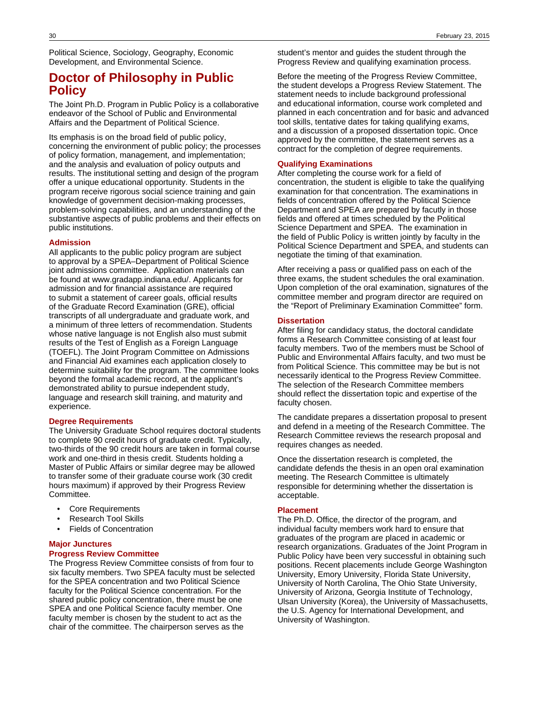Political Science, Sociology, Geography, Economic Development, and Environmental Science.

# **Doctor of Philosophy in Public Policy**

The Joint Ph.D. Program in Public Policy is a collaborative endeavor of the School of Public and Environmental Affairs and the Department of Political Science.

Its emphasis is on the broad field of public policy, concerning the environment of public policy; the processes of policy formation, management, and implementation; and the analysis and evaluation of policy outputs and results. The institutional setting and design of the program offer a unique educational opportunity. Students in the program receive rigorous social science training and gain knowledge of government decision-making processes, problem-solving capabilities, and an understanding of the substantive aspects of public problems and their effects on public institutions.

### **Admission**

All applicants to the public policy program are subject to approval by a SPEA–Department of Political Science joint admissions committee. Application materials can be found at www.gradapp.indiana.edu/. Applicants for admission and for financial assistance are required to submit a statement of career goals, official results of the Graduate Record Examination (GRE), official transcripts of all undergraduate and graduate work, and a minimum of three letters of recommendation. Students whose native language is not English also must submit results of the Test of English as a Foreign Language (TOEFL). The Joint Program Committee on Admissions and Financial Aid examines each application closely to determine suitability for the program. The committee looks beyond the formal academic record, at the applicant's demonstrated ability to pursue independent study, language and research skill training, and maturity and experience.

### **Degree Requirements**

The University Graduate School requires doctoral students to complete 90 credit hours of graduate credit. Typically, two-thirds of the 90 credit hours are taken in formal course work and one-third in thesis credit. Students holding a Master of Public Affairs or similar degree may be allowed to transfer some of their graduate course work (30 credit hours maximum) if approved by their Progress Review Committee.

- Core Requirements
- Research Tool Skills
- Fields of Concentration

### **Major Junctures**

### **Progress Review Committee**

The Progress Review Committee consists of from four to six faculty members. Two SPEA faculty must be selected for the SPEA concentration and two Political Science faculty for the Political Science concentration. For the shared public policy concentration, there must be one SPEA and one Political Science faculty member. One faculty member is chosen by the student to act as the chair of the committee. The chairperson serves as the

student's mentor and guides the student through the Progress Review and qualifying examination process.

Before the meeting of the Progress Review Committee, the student develops a Progress Review Statement. The statement needs to include background professional and educational information, course work completed and planned in each concentration and for basic and advanced tool skills, tentative dates for taking qualifying exams, and a discussion of a proposed dissertation topic. Once approved by the committee, the statement serves as a contract for the completion of degree requirements.

### **Qualifying Examinations**

After completing the course work for a field of concentration, the student is eligible to take the qualifying examination for that concentration. The examinations in fields of concentration offered by the Political Science Department and SPEA are prepared by facutly in those fields and offered at times scheduled by the Political Science Department and SPEA. The examination in the field of Public Policy is written jointly by faculty in the Political Science Department and SPEA, and students can negotiate the timing of that examination.

After receiving a pass or qualified pass on each of the three exams, the student schedules the oral examination. Upon completion of the oral examination, signatures of the committee member and program director are required on the "Report of Preliminary Examination Committee" form.

## **Dissertation**

After filing for candidacy status, the doctoral candidate forms a Research Committee consisting of at least four faculty members. Two of the members must be School of Public and Environmental Affairs faculty, and two must be from Political Science. This committee may be but is not necessarily identical to the Progress Review Committee. The selection of the Research Committee members should reflect the dissertation topic and expertise of the faculty chosen.

The candidate prepares a dissertation proposal to present and defend in a meeting of the Research Committee. The Research Committee reviews the research proposal and requires changes as needed.

Once the dissertation research is completed, the candidate defends the thesis in an open oral examination meeting. The Research Committee is ultimately responsible for determining whether the dissertation is acceptable.

## **Placement**

The Ph.D. Office, the director of the program, and individual faculty members work hard to ensure that graduates of the program are placed in academic or research organizations. Graduates of the Joint Program in Public Policy have been very successful in obtaining such positions. Recent placements include George Washington University, Emory University, Florida State University, University of North Carolina, The Ohio State University, University of Arizona, Georgia Institute of Technology, Ulsan University (Korea), the University of Massachusetts, the U.S. Agency for International Development, and University of Washington.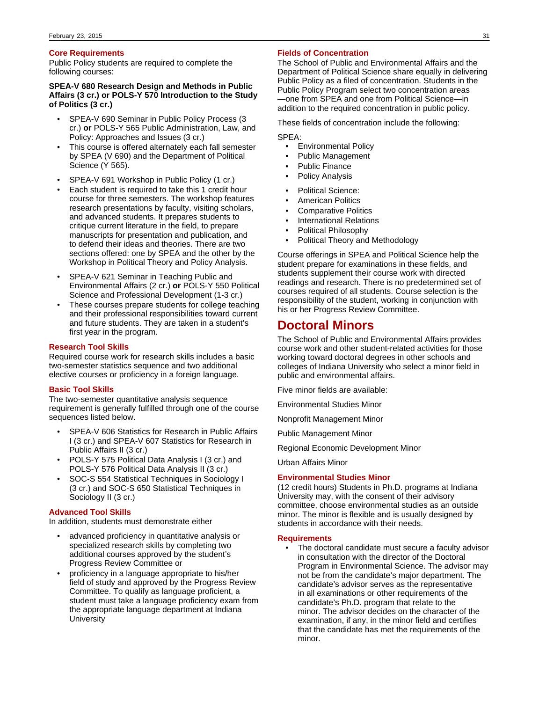### **Core Requirements**

Public Policy students are required to complete the following courses:

### **SPEA-V 680 Research Design and Methods in Public Affairs (3 cr.) or POLS-Y 570 Introduction to the Study of Politics (3 cr.)**

- SPEA-V 690 Seminar in Public Policy Process (3 cr.) **or** POLS-Y 565 Public Administration, Law, and Policy: Approaches and Issues (3 cr.)
- This course is offered alternately each fall semester by SPEA (V 690) and the Department of Political Science (Y 565).
- SPEA-V 691 Workshop in Public Policy (1 cr.)
- Each student is required to take this 1 credit hour course for three semesters. The workshop features research presentations by faculty, visiting scholars, and advanced students. It prepares students to critique current literature in the field, to prepare manuscripts for presentation and publication, and to defend their ideas and theories. There are two sections offered: one by SPEA and the other by the Workshop in Political Theory and Policy Analysis.
- SPEA-V 621 Seminar in Teaching Public and Environmental Affairs (2 cr.) **or** POLS-Y 550 Political Science and Professional Development (1-3 cr.)
- These courses prepare students for college teaching and their professional responsibilities toward current and future students. They are taken in a student's first year in the program.

## **Research Tool Skills**

Required course work for research skills includes a basic two-semester statistics sequence and two additional elective courses or proficiency in a foreign language.

### **Basic Tool Skills**

The two-semester quantitative analysis sequence requirement is generally fulfilled through one of the course sequences listed below.

- SPEA-V 606 Statistics for Research in Public Affairs I (3 cr.) and SPEA-V 607 Statistics for Research in Public Affairs II (3 cr.)
- POLS-Y 575 Political Data Analysis I (3 cr.) and POLS-Y 576 Political Data Analysis II (3 cr.)
- SOC-S 554 Statistical Techniques in Sociology I (3 cr.) and SOC-S 650 Statistical Techniques in Sociology II (3 cr.)

### **Advanced Tool Skills**

In addition, students must demonstrate either

- advanced proficiency in quantitative analysis or specialized research skills by completing two additional courses approved by the student's Progress Review Committee or
- proficiency in a language appropriate to his/her field of study and approved by the Progress Review Committee. To qualify as language proficient, a student must take a language proficiency exam from the appropriate language department at Indiana **University**

### **Fields of Concentration**

The School of Public and Environmental Affairs and the Department of Political Science share equally in delivering Public Policy as a filed of concentration. Students in the Public Policy Program select two concentration areas —one from SPEA and one from Political Science—in addition to the required concentration in public policy.

These fields of concentration include the following:

SPEA:

- Environmental Policy
- Public Management
- Public Finance
- Policy Analysis
- Political Science:
- American Politics
- Comparative Politics
- International Relations
- Political Philosophy
- Political Theory and Methodology

Course offerings in SPEA and Political Science help the student prepare for examinations in these fields, and students supplement their course work with directed readings and research. There is no predetermined set of courses required of all students. Course selection is the responsibility of the student, working in conjunction with his or her Progress Review Committee.

## **Doctoral Minors**

The School of Public and Environmental Affairs provides course work and other student-related activities for those working toward doctoral degrees in other schools and colleges of Indiana University who select a minor field in public and environmental affairs.

Five minor fields are available:

Environmental Studies Minor

Nonprofit Management Minor

Public Management Minor

Regional Economic Development Minor

Urban Affairs Minor

### **Environmental Studies Minor**

(12 credit hours) Students in Ph.D. programs at Indiana University may, with the consent of their advisory committee, choose environmental studies as an outside minor. The minor is flexible and is usually designed by students in accordance with their needs.

## **Requirements**

The doctoral candidate must secure a faculty advisor in consultation with the director of the Doctoral Program in Environmental Science. The advisor may not be from the candidate's major department. The candidate's advisor serves as the representative in all examinations or other requirements of the candidate's Ph.D. program that relate to the minor. The advisor decides on the character of the examination, if any, in the minor field and certifies that the candidate has met the requirements of the minor.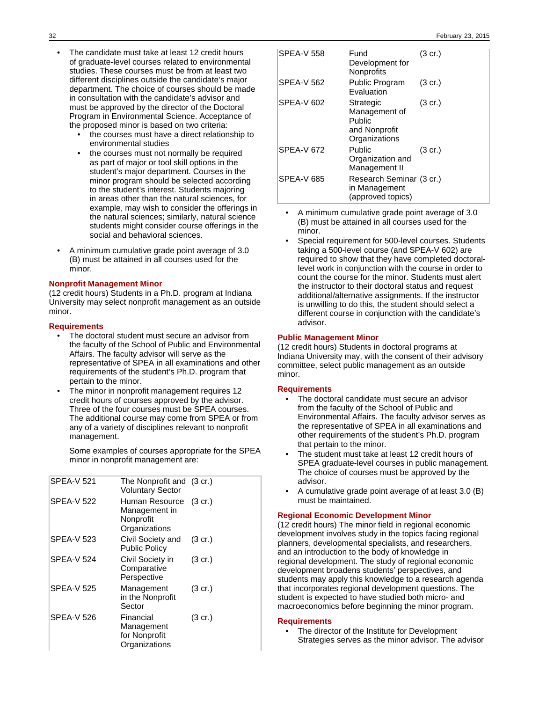- The candidate must take at least 12 credit hours of graduate-level courses related to environmental studies. These courses must be from at least two different disciplines outside the candidate's major department. The choice of courses should be made in consultation with the candidate's advisor and must be approved by the director of the Doctoral Program in Environmental Science. Acceptance of the proposed minor is based on two criteria:
	- the courses must have a direct relationship to environmental studies
	- the courses must not normally be required as part of major or tool skill options in the student's major department. Courses in the minor program should be selected according to the student's interest. Students majoring in areas other than the natural sciences, for example, may wish to consider the offerings in the natural sciences; similarly, natural science students might consider course offerings in the social and behavioral sciences.
- A minimum cumulative grade point average of 3.0 (B) must be attained in all courses used for the minor.

## **Nonprofit Management Minor**

(12 credit hours) Students in a Ph.D. program at Indiana University may select nonprofit management as an outside minor.

### **Requirements**

- The doctoral student must secure an advisor from the faculty of the School of Public and Environmental Affairs. The faculty advisor will serve as the representative of SPEA in all examinations and other requirements of the student's Ph.D. program that pertain to the minor.
- The minor in nonprofit management requires 12 credit hours of courses approved by the advisor. Three of the four courses must be SPEA courses. The additional course may come from SPEA or from any of a variety of disciplines relevant to nonprofit management.

Some examples of courses appropriate for the SPEA minor in nonprofit management are:

| <b>SPEA-V 521</b> | The Nonprofit and (3 cr.)<br><b>Voluntary Sector</b>          |                   |
|-------------------|---------------------------------------------------------------|-------------------|
| <b>SPEA-V 522</b> | Human Resource<br>Management in<br>Nonprofit<br>Organizations | $(3 \text{ cr.})$ |
| <b>SPEA-V 523</b> | Civil Society and<br><b>Public Policy</b>                     | $(3 \text{ cr.})$ |
| <b>SPEA-V 524</b> | Civil Society in<br>Comparative<br>Perspective                | $(3 \text{ cr.})$ |
| <b>SPEA-V 525</b> | Management<br>in the Nonprofit<br>Sector                      | $(3 \text{ cr.})$ |
| <b>SPEA-V 526</b> | Financial<br>Management<br>for Nonprofit<br>Organizations     | $(3 \text{ cr.})$ |

| <b>SPEA-V 558</b> | Fund<br>Development for<br>Nonprofits                                         | (3 cr.)           |
|-------------------|-------------------------------------------------------------------------------|-------------------|
| <b>SPEA-V 562</b> | Public Program<br>Evaluation                                                  | $(3 \text{ cr.})$ |
| <b>SPEA-V 602</b> | Strategic<br>Management of<br><b>Public</b><br>and Nonprofit<br>Organizations | $(3 \text{ cr.})$ |
| <b>SPEA-V 672</b> | Public<br>Organization and<br>Management II                                   | $(3 \text{ cr.})$ |
| <b>SPEA-V 685</b> | Research Seminar (3 cr.)<br>in Management<br>(approved topics)                |                   |

- A minimum cumulative grade point average of 3.0 (B) must be attained in all courses used for the minor.
- Special requirement for 500-level courses. Students taking a 500-level course (and SPEA-V 602) are required to show that they have completed doctorallevel work in conjunction with the course in order to count the course for the minor. Students must alert the instructor to their doctoral status and request additional/alternative assignments. If the instructor is unwilling to do this, the student should select a different course in conjunction with the candidate's advisor.

## **Public Management Minor**

(12 credit hours) Students in doctoral programs at Indiana University may, with the consent of their advisory committee, select public management as an outside minor.

### **Requirements**

- The doctoral candidate must secure an advisor from the faculty of the School of Public and Environmental Affairs. The faculty advisor serves as the representative of SPEA in all examinations and other requirements of the student's Ph.D. program that pertain to the minor.
- The student must take at least 12 credit hours of SPEA graduate-level courses in public management. The choice of courses must be approved by the advisor.
- A cumulative grade point average of at least 3.0 (B) must be maintained.

## **Regional Economic Development Minor**

(12 credit hours) The minor field in regional economic development involves study in the topics facing regional planners, developmental specialists, and researchers, and an introduction to the body of knowledge in regional development. The study of regional economic development broadens students' perspectives, and students may apply this knowledge to a research agenda that incorporates regional development questions. The student is expected to have studied both micro- and macroeconomics before beginning the minor program.

#### **Requirements**

The director of the Institute for Development Strategies serves as the minor advisor. The advisor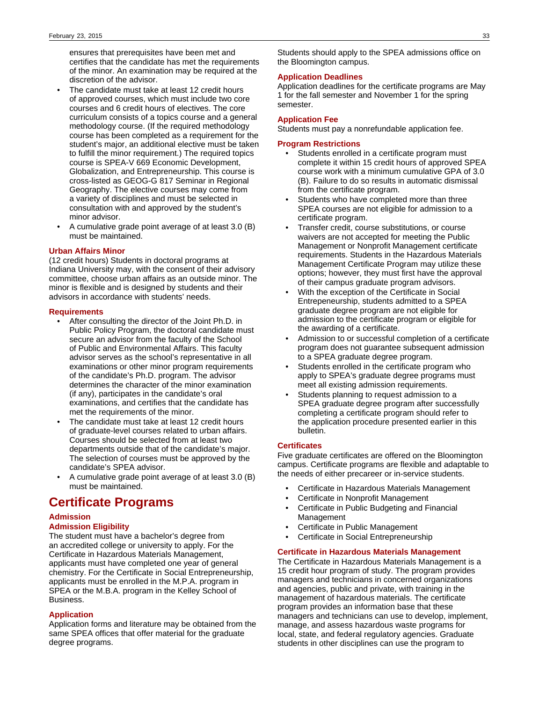ensures that prerequisites have been met and certifies that the candidate has met the requirements of the minor. An examination may be required at the discretion of the advisor.

- The candidate must take at least 12 credit hours of approved courses, which must include two core courses and 6 credit hours of electives. The core curriculum consists of a topics course and a general methodology course. (If the required methodology course has been completed as a requirement for the student's major, an additional elective must be taken to fulfill the minor requirement.) The required topics course is SPEA-V 669 Economic Development, Globalization, and Entrepreneurship. This course is cross-listed as GEOG-G 817 Seminar in Regional Geography. The elective courses may come from a variety of disciplines and must be selected in consultation with and approved by the student's minor advisor.
- A cumulative grade point average of at least 3.0 (B) must be maintained.

## **Urban Affairs Minor**

(12 credit hours) Students in doctoral programs at Indiana University may, with the consent of their advisory committee, choose urban affairs as an outside minor. The minor is flexible and is designed by students and their advisors in accordance with students' needs.

### **Requirements**

- After consulting the director of the Joint Ph.D. in Public Policy Program, the doctoral candidate must secure an advisor from the faculty of the School of Public and Environmental Affairs. This faculty advisor serves as the school's representative in all examinations or other minor program requirements of the candidate's Ph.D. program. The advisor determines the character of the minor examination (if any), participates in the candidate's oral examinations, and certifies that the candidate has met the requirements of the minor.
- The candidate must take at least 12 credit hours of graduate-level courses related to urban affairs. Courses should be selected from at least two departments outside that of the candidate's major. The selection of courses must be approved by the candidate's SPEA advisor.
- A cumulative grade point average of at least 3.0 (B) must be maintained.

# **Certificate Programs**

# **Admission**

## **Admission Eligibility**

The student must have a bachelor's degree from an accredited college or university to apply. For the Certificate in Hazardous Materials Management, applicants must have completed one year of general chemistry. For the Certificate in Social Entrepreneurship, applicants must be enrolled in the M.P.A. program in SPEA or the M.B.A. program in the Kelley School of Business.

### **Application**

Application forms and literature may be obtained from the same SPEA offices that offer material for the graduate degree programs.

Students should apply to the SPEA admissions office on the Bloomington campus.

### **Application Deadlines**

Application deadlines for the certificate programs are May 1 for the fall semester and November 1 for the spring semester.

### **Application Fee**

Students must pay a nonrefundable application fee.

### **Program Restrictions**

- Students enrolled in a certificate program must complete it within 15 credit hours of approved SPEA course work with a minimum cumulative GPA of 3.0 (B). Failure to do so results in automatic dismissal from the certificate program.
- Students who have completed more than three SPEA courses are not eligible for admission to a certificate program.
- Transfer credit, course substitutions, or course waivers are not accepted for meeting the Public Management or Nonprofit Management certificate requirements. Students in the Hazardous Materials Management Certificate Program may utilize these options; however, they must first have the approval of their campus graduate program advisors.
- With the exception of the Certificate in Social Entrepeneurship, students admitted to a SPEA graduate degree program are not eligible for admission to the certificate program or eligible for the awarding of a certificate.
- Admission to or successful completion of a certificate program does not guarantee subsequent admission to a SPEA graduate degree program.
- Students enrolled in the certificate program who apply to SPEA's graduate degree programs must meet all existing admission requirements.
- Students planning to request admission to a SPEA graduate degree program after successfully completing a certificate program should refer to the application procedure presented earlier in this bulletin.

### **Certificates**

Five graduate certificates are offered on the Bloomington campus. Certificate programs are flexible and adaptable to the needs of either precareer or in-service students.

- Certificate in Hazardous Materials Management
- Certificate in Nonprofit Management
- Certificate in Public Budgeting and Financial Management
- Certificate in Public Management
- Certificate in Social Entrepreneurship

## **Certificate in Hazardous Materials Management**

The Certificate in Hazardous Materials Management is a 15 credit hour program of study. The program provides managers and technicians in concerned organizations and agencies, public and private, with training in the management of hazardous materials. The certificate program provides an information base that these managers and technicians can use to develop, implement, manage, and assess hazardous waste programs for local, state, and federal regulatory agencies. Graduate students in other disciplines can use the program to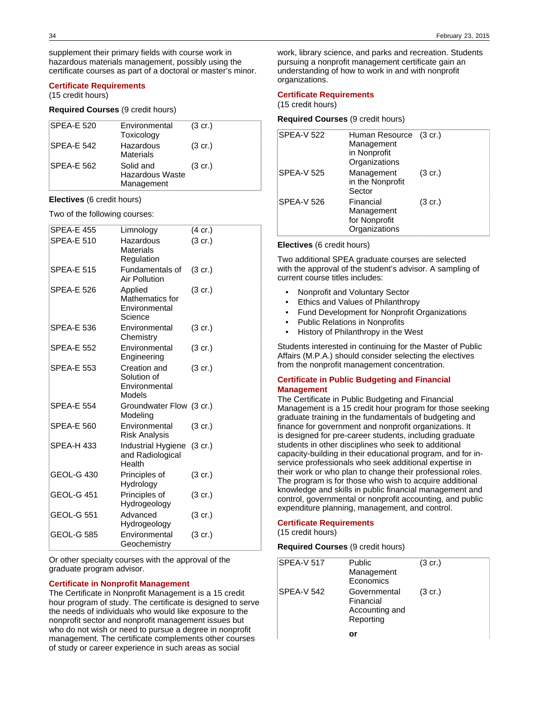supplement their primary fields with course work in hazardous materials management, possibly using the certificate courses as part of a doctoral or master's minor.

## **Certificate Requirements**

(15 credit hours)

## **Required Courses** (9 credit hours)

| <b>SPEA-E 520</b> | Environmental<br>Toxicology                | $(3 \text{ cr.})$ |
|-------------------|--------------------------------------------|-------------------|
| <b>SPEA-E 542</b> | Hazardous<br><b>Materials</b>              | $(3 \text{ cr.})$ |
| <b>SPEA-E 562</b> | Solid and<br>Hazardous Waste<br>Management | $(3 \text{ cr.})$ |

## **Electives** (6 credit hours)

Two of the following courses:

| <b>SPEA-E 455</b> | Limnology                                              | $(4 \text{ cr.})$ |
|-------------------|--------------------------------------------------------|-------------------|
| <b>SPEA-E 510</b> | Hazardous<br>Materials<br>Regulation                   | $(3 \text{ cr.})$ |
| <b>SPEA-E 515</b> | Fundamentals of<br><b>Air Pollution</b>                | $(3 \text{ cr.})$ |
| <b>SPEA-E 526</b> | Applied<br>Mathematics for<br>Environmental<br>Science | (3 cr.)           |
| <b>SPEA-E 536</b> | Environmental<br>Chemistry                             | $(3 \text{ cr.})$ |
| <b>SPEA-E 552</b> | Environmental<br>Engineering                           | $(3 \text{ cr.})$ |
| <b>SPEA-E 553</b> | Creation and<br>Solution of<br>Environmental<br>Models | (3 cr.)           |
| <b>SPEA-E 554</b> | Groundwater Flow (3 cr.)<br>Modeling                   |                   |
| <b>SPEA-E 560</b> | Environmental<br>Risk Analysis                         | $(3 \text{ cr.})$ |
| SPEA-H 433        | Industrial Hygiene<br>and Radiological<br>Health       | $(3 \text{ cr.})$ |
| <b>GEOL-G 430</b> | Principles of<br>Hydrology                             | $(3 \text{ cr.})$ |
| <b>GEOL-G 451</b> | Principles of<br>Hydrogeology                          | (3 cr.)           |
| <b>GEOL-G 551</b> | Advanced<br>Hydrogeology                               | (3 cr.)           |
| <b>GEOL-G 585</b> | Environmental<br>Geochemistry                          | $(3 \text{ cr.})$ |

Or other specialty courses with the approval of the graduate program advisor.

### **Certificate in Nonprofit Management**

The Certificate in Nonprofit Management is a 15 credit hour program of study. The certificate is designed to serve the needs of individuals who would like exposure to the nonprofit sector and nonprofit management issues but who do not wish or need to pursue a degree in nonprofit management. The certificate complements other courses of study or career experience in such areas as social

work, library science, and parks and recreation. Students pursuing a nonprofit management certificate gain an understanding of how to work in and with nonprofit organizations.

#### **Certificate Requirements**

(15 credit hours)

## **Required Courses** (9 credit hours)

| <b>SPEA-V 522</b> | Human Resource (3 cr.)<br>Management<br>in Nonprofit<br>Organizations |                   |
|-------------------|-----------------------------------------------------------------------|-------------------|
| <b>SPEA-V 525</b> | Management<br>in the Nonprofit<br>Sector                              | $(3 \text{ cr.})$ |
| <b>SPEA-V 526</b> | Financial<br>Management<br>for Nonprofit<br>Organizations             | $(3 \text{ cr.})$ |

#### **Electives** (6 credit hours)

Two additional SPEA graduate courses are selected with the approval of the student's advisor. A sampling of current course titles includes:

- Nonprofit and Voluntary Sector
- Ethics and Values of Philanthropy
- Fund Development for Nonprofit Organizations
- Public Relations in Nonprofits
- History of Philanthropy in the West

Students interested in continuing for the Master of Public Affairs (M.P.A.) should consider selecting the electives from the nonprofit management concentration.

### **Certificate in Public Budgeting and Financial Management**

The Certificate in Public Budgeting and Financial Management is a 15 credit hour program for those seeking graduate training in the fundamentals of budgeting and finance for government and nonprofit organizations. It is designed for pre-career students, including graduate students in other disciplines who seek to additional capacity-building in their educational program, and for inservice professionals who seek additional expertise in their work or who plan to change their professional roles. The program is for those who wish to acquire additional knowledge and skills in public financial management and control, governmental or nonprofit accounting, and public expenditure planning, management, and control.

## **Certificate Requirements**

(15 credit hours)

**Required Courses** (9 credit hours)

| <b>SPEA-V 517</b> | Public<br>Management<br>Economics                        | $(3 \text{ cr.})$ |
|-------------------|----------------------------------------------------------|-------------------|
| SPEA-V 542        | Governmental<br>Financial<br>Accounting and<br>Reporting | $(3 \text{ cr.})$ |
|                   | or                                                       |                   |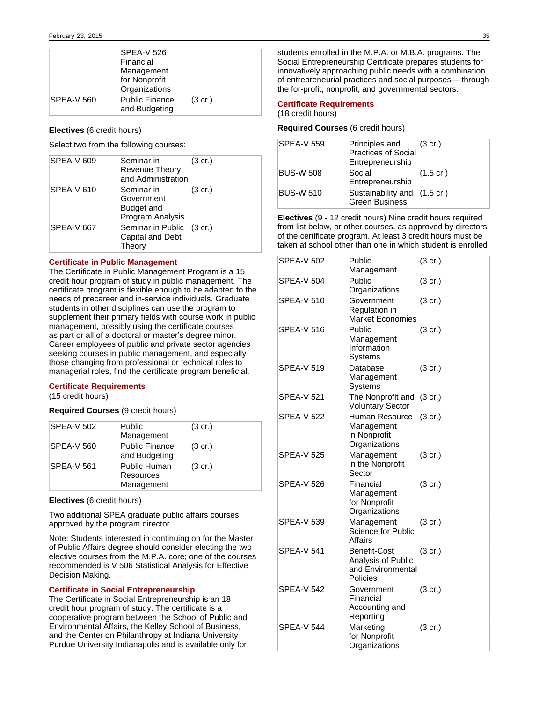|                   | <b>SPEA-V 526</b><br>Financial<br>Management<br>for Nonprofit<br>Organizations |                   |
|-------------------|--------------------------------------------------------------------------------|-------------------|
| <b>SPEA-V 560</b> | <b>Public Finance</b><br>and Budgeting                                         | $(3 \text{ cr.})$ |

## **Electives** (6 credit hours)

Select two from the following courses:

| <b>SPEA-V 609</b> | Seminar in<br><b>Revenue Theory</b><br>and Administration  | $(3 \text{ cr.})$ |
|-------------------|------------------------------------------------------------|-------------------|
| <b>SPEA-V 610</b> | Seminar in<br>Government<br>Budget and<br>Program Analysis | $(3 \text{ cr.})$ |
| <b>SPEA-V 667</b> | Seminar in Public (3 cr.)<br>Capital and Debt<br>Theory    |                   |

## **Certificate in Public Management**

The Certificate in Public Management Program is a 15 credit hour program of study in public management. The certificate program is flexible enough to be adapted to the needs of precareer and in-service individuals. Graduate students in other disciplines can use the program to supplement their primary fields with course work in public management, possibly using the certificate courses as part or all of a doctoral or master's degree minor. Career employees of public and private sector agencies seeking courses in public management, and especially those changing from professional or technical roles to managerial roles, find the certificate program beneficial.

## **Certificate Requirements**

(15 credit hours)

**Required Courses** (9 credit hours)

| <b>SPEA-V 502</b> | <b>Public</b><br>Management                    | $(3 \text{ cr.})$ |
|-------------------|------------------------------------------------|-------------------|
| <b>SPEA-V 560</b> | <b>Public Finance</b><br>and Budgeting         | $(3 \text{ cr.})$ |
| <b>SPEA-V 561</b> | <b>Public Human</b><br>Resources<br>Management | $(3 \text{ cr.})$ |

**Electives** (6 credit hours)

Two additional SPEA graduate public affairs courses approved by the program director.

Note: Students interested in continuing on for the Master of Public Affairs degree should consider electing the two elective courses from the M.P.A. core; one of the courses recommended is V 506 Statistical Analysis for Effective Decision Making.

## **Certificate in Social Entrepreneurship**

The Certificate in Social Entrepreneurship is an 18 credit hour program of study. The certificate is a cooperative program between the School of Public and Environmental Affairs, the Kelley School of Business, and the Center on Philanthropy at Indiana University– Purdue University Indianapolis and is available only for

students enrolled in the M.P.A. or M.B.A. programs. The Social Entrepreneurship Certificate prepares students for innovatively approaching public needs with a combination of entrepreneurial practices and social purposes— through the for-profit, nonprofit, and governmental sectors.

## **Certificate Requirements**

## (18 credit hours)

## **Required Courses** (6 credit hours)

| <b>SPEA-V 559</b> | Principles and<br><b>Practices of Social</b><br>Entrepreneurship | (3 cr.)             |
|-------------------|------------------------------------------------------------------|---------------------|
| <b>BUS-W 508</b>  | Social<br>Entrepreneurship                                       | $(1.5 \text{ cr.})$ |
| <b>BUS-W 510</b>  | Sustainability and (1.5 cr.)<br><b>Green Business</b>            |                     |

**Electives** (9 - 12 credit hours) Nine credit hours required from list below, or other courses, as approved by directors of the certificate program. At least 3 credit hours must be taken at school other than one in which student is enrolled

| <b>SPEA-V 502</b> | Public<br>Management                                                       | $(3 \text{ cr.})$ |
|-------------------|----------------------------------------------------------------------------|-------------------|
| SPEA-V 504        | Public<br>Organizations                                                    | $(3 \text{ cr.})$ |
| <b>SPEA-V 510</b> | Government<br>Regulation in<br><b>Market Economies</b>                     | $(3 \text{ cr.})$ |
| <b>SPEA-V 516</b> | Public<br>Management<br>Information<br>Systems                             | $(3 \text{ cr.})$ |
| <b>SPEA-V 519</b> | Database<br>Management<br>Systems                                          | $(3 \text{ cr.})$ |
| SPEA-V 521        | The Nonprofit and (3 cr.)<br><b>Voluntary Sector</b>                       |                   |
| <b>SPEA-V 522</b> | Human Resource<br>Management<br>in Nonprofit<br>Organizations              | $(3 \text{ cr.})$ |
| <b>SPEA-V 525</b> | Management<br>in the Nonprofit<br>Sector                                   | $(3 \text{ cr.})$ |
| <b>SPEA-V 526</b> | Financial<br>Management<br>for Nonprofit<br>Organizations                  | $(3 \text{ cr.})$ |
| <b>SPEA-V 539</b> | Management<br>Science for Public<br>Affairs                                | $(3 \text{ cr.})$ |
| <b>SPEA-V 541</b> | <b>Benefit-Cost</b><br>Analysis of Public<br>and Environmental<br>Policies | $(3 \text{ cr.})$ |
| <b>SPEA-V 542</b> | Government<br>Financial<br>Accounting and<br>Reporting                     | $(3 \text{ cr.})$ |
| <b>SPEA-V 544</b> | Marketing<br>for Nonprofit<br>Organizations                                | $(3 \text{ cr.})$ |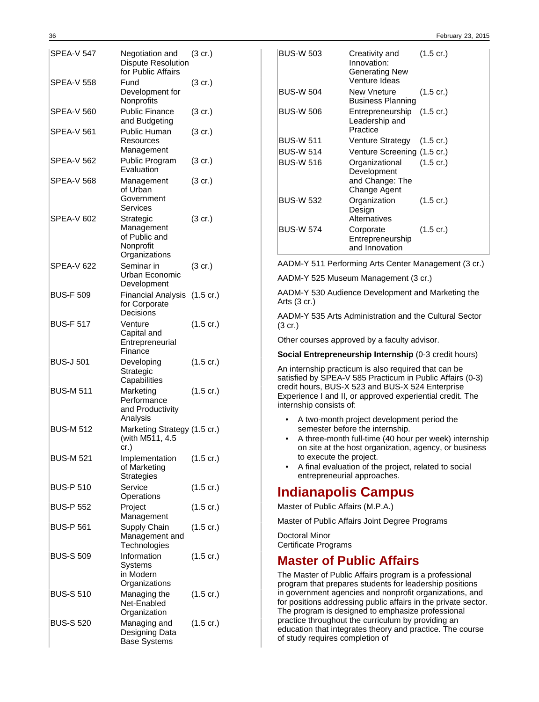| SPEA-V 547        | Negotiation and<br><b>Dispute Resolution</b><br>for Public Affairs     | $(3 \text{ cr.})$   |
|-------------------|------------------------------------------------------------------------|---------------------|
| SPEA-V 558        | Fund<br>Development for<br>Nonprofits                                  | (3 cr.)             |
| <b>SPEA-V 560</b> | <b>Public Finance</b><br>and Budgeting                                 | $(3 \text{ cr.})$   |
| <b>SPEA-V 561</b> | Public Human<br>Resources<br>Management                                | $(3 \text{ cr.})$   |
| SPEA-V 562        | Public Program<br>Evaluation                                           | $(3 \text{ cr.})$   |
| SPEA-V 568        | Management<br>of Urban<br>Government<br>Services                       | $(3 \text{ cr.})$   |
| SPEA-V 602        | Strategic<br>Management<br>of Public and<br>Nonprofit<br>Organizations | (3 cr.)             |
| <b>SPEA-V 622</b> | Seminar in<br>Urban Economic<br>Development                            | $(3 \text{ cr.})$   |
| <b>BUS-F 509</b>  | Financial Analysis (1.5 cr.)<br>for Corporate<br>Decisions             |                     |
| <b>BUS-F 517</b>  | Venture<br>Capital and<br>Entrepreneurial<br>Finance                   | $(1.5 \text{ cr.})$ |
| <b>BUS-J 501</b>  | Developing<br>Strategic<br>Capabilities                                | $(1.5 \text{ cr.})$ |
| <b>BUS-M 511</b>  | Marketing<br>Performance<br>and Productivity<br>Analysis               | $(1.5 \text{ cr.})$ |
| <b>BUS-M 512</b>  | Marketing Strategy (1.5 cr.)<br>(with M511, 4.5<br>cr.)                |                     |
| <b>BUS-M 521</b>  | Implementation (1.5 cr.)<br>of Marketing<br><b>Strategies</b>          |                     |
| <b>BUS-P 510</b>  | Service<br>Operations                                                  | $(1.5 \text{ cr.})$ |
| <b>BUS-P 552</b>  | Project<br>Management                                                  | $(1.5 \text{ cr.})$ |
| <b>BUS-P 561</b>  | Supply Chain<br>Management and<br>Technologies                         | $(1.5 \text{ cr.})$ |
| <b>BUS-S 509</b>  | Information<br>Systems<br>in Modern<br>Organizations                   | $(1.5 \text{ cr.})$ |
| <b>BUS-S 510</b>  | Managing the<br>Net-Enabled<br>Organization                            | $(1.5 \text{ cr.})$ |
| <b>BUS-S 520</b>  | Managing and<br>Designing Data<br><b>Base Systems</b>                  | $(1.5 \text{ cr.})$ |

| <b>BUS-W 503</b> | Creativity and<br>Innovation:<br>Generating New<br>Venture Ideas | $(1.5 \text{ cr.})$ |
|------------------|------------------------------------------------------------------|---------------------|
| <b>BUS-W 504</b> | New Vneture<br><b>Business Planning</b>                          | $(1.5 \text{ cr.})$ |
| <b>BUS-W 506</b> | Entrepreneurship (1.5 cr.)<br>Leadership and<br>Practice         |                     |
| <b>BUS-W 511</b> | Venture Strategy (1.5 cr.)                                       |                     |
| <b>BUS-W 514</b> | Venture Screening (1.5 cr.)                                      |                     |
| <b>BUS-W 516</b> | Organizational<br>Development<br>and Change: The<br>Change Agent | $(1.5 \text{ cr.})$ |
| <b>BUS-W 532</b> | Organization<br>Design<br>Alternatives                           | $(1.5 \text{ cr.})$ |
| <b>BUS-W 574</b> | Corporate<br>Entrepreneurship<br>and Innovation                  | $(1.5 \text{ cr.})$ |

AADM-Y 511 Performing Arts Center Management (3 cr.)

AADM-Y 525 Museum Management (3 cr.)

AADM-Y 530 Audience Development and Marketing the Arts (3 cr.)

AADM-Y 535 Arts Administration and the Cultural Sector (3 cr.)

Other courses approved by a faculty advisor.

**Social Entrepreneurship Internship** (0-3 credit hours)

An internship practicum is also required that can be satisfied by SPEA-V 585 Practicum in Public Affairs (0-3) credit hours, BUS-X 523 and BUS-X 524 Enterprise Experience I and II, or approved experiential credit. The internship consists of:

- A two-month project development period the semester before the internship.
- A three-month full-time (40 hour per week) internship on site at the host organization, agency, or business to execute the project.
- A final evaluation of the project, related to social entrepreneurial approaches.

# **Indianapolis Campus**

Master of Public Affairs (M.P.A.)

Master of Public Affairs Joint Degree Programs

Doctoral Minor Certificate Programs

# **Master of Public Affairs**

The Master of Public Affairs program is a professional program that prepares students for leadership positions in government agencies and nonprofit organizations, and for positions addressing public affairs in the private sector. The program is designed to emphasize professional practice throughout the curriculum by providing an education that integrates theory and practice. The course of study requires completion of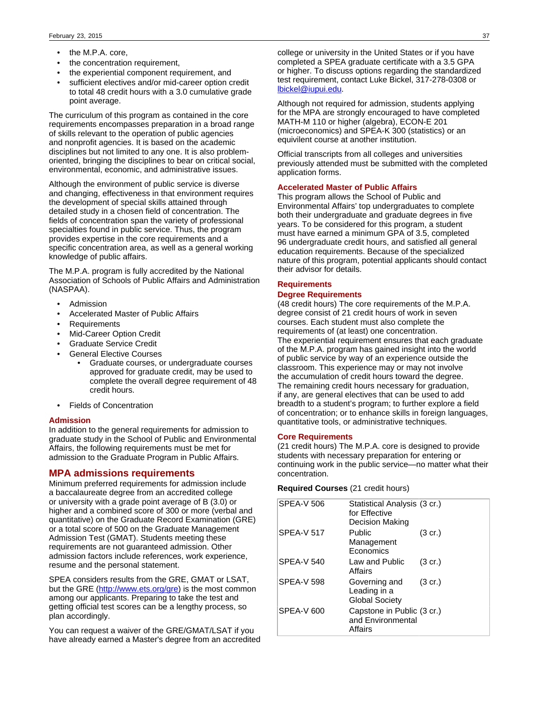- the M.P.A. core,
- the concentration requirement,
- the experiential component requirement, and
- sufficient electives and/or mid-career option credit to total 48 credit hours with a 3.0 cumulative grade point average.

The curriculum of this program as contained in the core requirements encompasses preparation in a broad range of skills relevant to the operation of public agencies and nonprofit agencies. It is based on the academic disciplines but not limited to any one. It is also problemoriented, bringing the disciplines to bear on critical social, environmental, economic, and administrative issues.

Although the environment of public service is diverse and changing, effectiveness in that environment requires the development of special skills attained through detailed study in a chosen field of concentration. The fields of concentration span the variety of professional specialties found in public service. Thus, the program provides expertise in the core requirements and a specific concentration area, as well as a general working knowledge of public affairs.

The M.P.A. program is fully accredited by the National Association of Schools of Public Affairs and Administration (NASPAA).

- Admission
- Accelerated Master of Public Affairs
- **Requirements**
- Mid-Career Option Credit
- Graduate Service Credit
- General Elective Courses
	- Graduate courses, or undergraduate courses approved for graduate credit, may be used to complete the overall degree requirement of 48 credit hours.
- Fields of Concentration

#### **Admission**

In addition to the general requirements for admission to graduate study in the School of Public and Environmental Affairs, the following requirements must be met for admission to the Graduate Program in Public Affairs.

## **MPA admissions requirements**

Minimum preferred requirements for admission include a baccalaureate degree from an accredited college or university with a grade point average of B (3.0) or higher and a combined score of 300 or more (verbal and quantitative) on the Graduate Record Examination (GRE) or a total score of 500 on the Graduate Management Admission Test (GMAT). Students meeting these requirements are not guaranteed admission. Other admission factors include references, work experience, resume and the personal statement.

SPEA considers results from the GRE, GMAT or LSAT, but the GRE [\(http://www.ets.org/gre\)](http://www.ets.org/gre) is the most common among our applicants. Preparing to take the test and getting official test scores can be a lengthy process, so plan accordingly.

You can request a waiver of the GRE/GMAT/LSAT if you have already earned a Master's degree from an accredited

college or university in the United States or if you have completed a SPEA graduate certificate with a 3.5 GPA or higher. To discuss options regarding the standardized test requirement, contact Luke Bickel, 317-278-0308 or [lbickel@iupui.edu.](mailto:lbickel@iupui.edu)

Although not required for admission, students applying for the MPA are strongly encouraged to have completed MATH-M 110 or higher (algebra), ECON-E 201 (microeconomics) and SPEA-K 300 (statistics) or an equivilent course at another institution.

Official transcripts from all colleges and universities previously attended must be submitted with the completed application forms.

## **Accelerated Master of Public Affairs**

This program allows the School of Public and Environmental Affairs' top undergraduates to complete both their undergraduate and graduate degrees in five years. To be considered for this program, a student must have earned a minimum GPA of 3.5, completed 96 undergraduate credit hours, and satisfied all general education requirements. Because of the specialized nature of this program, potential applicants should contact their advisor for details.

#### **Requirements**

### **Degree Requirements**

(48 credit hours) The core requirements of the M.P.A. degree consist of 21 credit hours of work in seven courses. Each student must also complete the requirements of (at least) one concentration. The experiential requirement ensures that each graduate of the M.P.A. program has gained insight into the world of public service by way of an experience outside the classroom. This experience may or may not involve the accumulation of credit hours toward the degree. The remaining credit hours necessary for graduation, if any, are general electives that can be used to add breadth to a student's program; to further explore a field of concentration; or to enhance skills in foreign languages, quantitative tools, or administrative techniques.

#### **Core Requirements**

(21 credit hours) The M.P.A. core is designed to provide students with necessary preparation for entering or continuing work in the public service—no matter what their concentration.

### **Required Courses** (21 credit hours)

| <b>SPEA-V 506</b> | Statistical Analysis (3 cr.)<br>for Effective<br>Decision Making |                   |
|-------------------|------------------------------------------------------------------|-------------------|
| <b>SPEA-V 517</b> | Public<br>Management<br>Economics                                | (3 cr.)           |
| <b>SPEA-V 540</b> | Law and Public<br>Affairs                                        | $(3 \text{ cr.})$ |
| <b>SPEA-V 598</b> | Governing and<br>Leading in a<br><b>Global Society</b>           | $(3 \text{ cr.})$ |
| <b>SPEA-V 600</b> | Capstone in Public (3 cr.)<br>and Environmental<br>Affairs       |                   |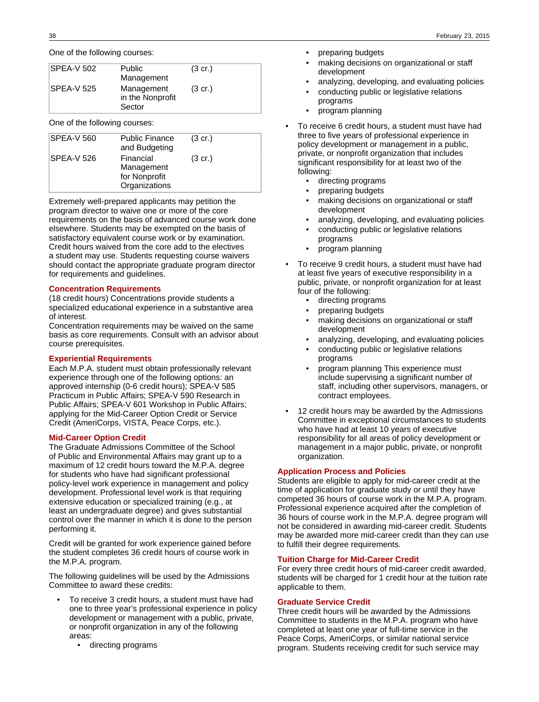One of the following courses:

| <b>SPEA-V 502</b> | Public<br>Management                     | $(3 \text{ cr.})$ |
|-------------------|------------------------------------------|-------------------|
| <b>SPEA-V 525</b> | Management<br>in the Nonprofit<br>Sector | $(3 \text{ cr.})$ |

One of the following courses:

| SPEA-V 560 | <b>Public Finance</b><br>and Budgeting                    | $(3 \text{ cr.})$ |
|------------|-----------------------------------------------------------|-------------------|
| SPEA-V 526 | Financial<br>Management<br>for Nonprofit<br>Organizations | $(3 \text{ cr.})$ |

Extremely well-prepared applicants may petition the program director to waive one or more of the core requirements on the basis of advanced course work done elsewhere. Students may be exempted on the basis of satisfactory equivalent course work or by examination. Credit hours waived from the core add to the electives a student may use. Students requesting course waivers should contact the appropriate graduate program director for requirements and guidelines.

## **Concentration Requirements**

(18 credit hours) Concentrations provide students a specialized educational experience in a substantive area of interest.

Concentration requirements may be waived on the same basis as core requirements. Consult with an advisor about course prerequisites.

## **Experiential Requirements**

Each M.P.A. student must obtain professionally relevant experience through one of the following options: an approved internship (0-6 credit hours); SPEA-V 585 Practicum in Public Affairs; SPEA-V 590 Research in Public Affairs; SPEA-V 601 Workshop in Public Affairs; applying for the Mid-Career Option Credit or Service Credit (AmeriCorps, VISTA, Peace Corps, etc.).

### **Mid-Career Option Credit**

The Graduate Admissions Committee of the School of Public and Environmental Affairs may grant up to a maximum of 12 credit hours toward the M.P.A. degree for students who have had significant professional policy-level work experience in management and policy development. Professional level work is that requiring extensive education or specialized training (e.g., at least an undergraduate degree) and gives substantial control over the manner in which it is done to the person performing it.

Credit will be granted for work experience gained before the student completes 36 credit hours of course work in the M.P.A. program.

The following guidelines will be used by the Admissions Committee to award these credits:

- To receive 3 credit hours, a student must have had one to three year's professional experience in policy development or management with a public, private, or nonprofit organization in any of the following areas:
	- directing programs
- preparing budgets
- making decisions on organizational or staff development
- analyzing, developing, and evaluating policies
- conducting public or legislative relations programs
- program planning
- To receive 6 credit hours, a student must have had three to five years of professional experience in policy development or management in a public, private, or nonprofit organization that includes significant responsibility for at least two of the following:
	- directing programs
	- preparing budgets
	- making decisions on organizational or staff development
	- analyzing, developing, and evaluating policies
	- conducting public or legislative relations programs
	- program planning
- To receive 9 credit hours, a student must have had at least five years of executive responsibility in a public, private, or nonprofit organization for at least four of the following:
	- directing programs
	- preparing budgets
	- making decisions on organizational or staff development
	- analyzing, developing, and evaluating policies
	- conducting public or legislative relations programs
	- program planning This experience must include supervising a significant number of staff, including other supervisors, managers, or contract employees.
- 12 credit hours may be awarded by the Admissions Committee in exceptional circumstances to students who have had at least 10 years of executive responsibility for all areas of policy development or management in a major public, private, or nonprofit organization.

## **Application Process and Policies**

Students are eligible to apply for mid-career credit at the time of application for graduate study or until they have competed 36 hours of course work in the M.P.A. program. Professional experience acquired after the completion of 36 hours of course work in the M.P.A. degree program will not be considered in awarding mid-career credit. Students may be awarded more mid-career credit than they can use to fulfill their degree requirements.

## **Tuition Charge for Mid-Career Credit**

For every three credit hours of mid-career credit awarded, students will be charged for 1 credit hour at the tuition rate applicable to them.

### **Graduate Service Credit**

Three credit hours will be awarded by the Admissions Committee to students in the M.P.A. program who have completed at least one year of full-time service in the Peace Corps, AmeriCorps, or similar national service program. Students receiving credit for such service may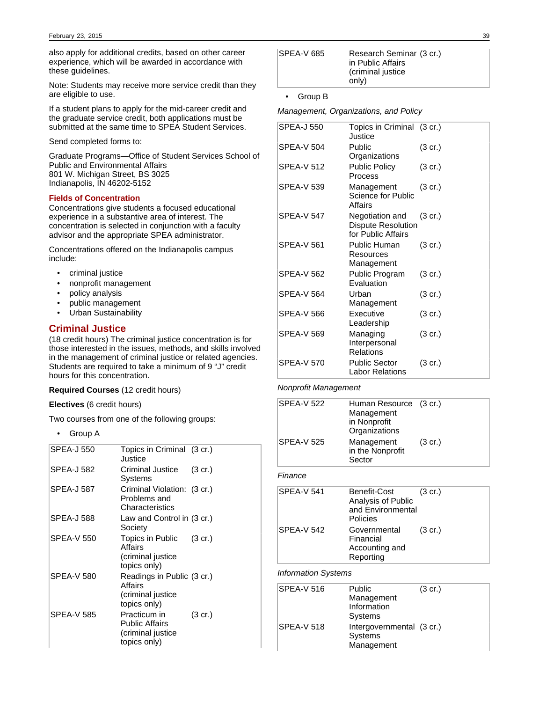also apply for additional credits, based on other career experience, which will be awarded in accordance with these guidelines.

Note: Students may receive more service credit than they are eligible to use.

If a student plans to apply for the mid-career credit and the graduate service credit, both applications must be submitted at the same time to SPEA Student Services.

Send completed forms to:

Graduate Programs—Office of Student Services School of Public and Environmental Affairs 801 W. Michigan Street, BS 3025 Indianapolis, IN 46202-5152

### **Fields of Concentration**

Concentrations give students a focused educational experience in a substantive area of interest. The concentration is selected in conjunction with a faculty advisor and the appropriate SPEA administrator.

Concentrations offered on the Indianapolis campus include:

- criminal justice
- nonprofit management
- policy analysis
- public management
- Urban Sustainability

## **Criminal Justice**

(18 credit hours) The criminal justice concentration is for those interested in the issues, methods, and skills involved in the management of criminal justice or related agencies. Students are required to take a minimum of 9 "J" credit hours for this concentration.

### **Required Courses** (12 credit hours)

## **Electives** (6 credit hours)

Two courses from one of the following groups:

• Group A

| SPEA-J 550 | Topics in Criminal (3 cr.)<br>Justice                                      |                   |
|------------|----------------------------------------------------------------------------|-------------------|
| SPEA-J 582 | Criminal Justice<br>Systems                                                | $(3 \text{ cr.})$ |
| SPEA-J 587 | Criminal Violation: (3 cr.)<br>Problems and<br>Characteristics             |                   |
| SPEA-J 588 | Law and Control in (3 cr.)<br>Society                                      |                   |
| SPEA-V 550 | Topics in Public (3 cr.)<br>Affairs<br>(criminal justice<br>topics only)   |                   |
| SPEA-V 580 | Readings in Public (3 cr.)<br>Affairs<br>(criminal justice<br>topics only) |                   |
| SPEA-V 585 | Practicum in<br><b>Public Affairs</b><br>(criminal justice<br>topics only) | $(3 \text{ cr.})$ |

| SPEA-V 685 | Research Seminar (3 cr.)<br>in Public Affairs<br>(criminal justice)<br>only) |  |
|------------|------------------------------------------------------------------------------|--|
|------------|------------------------------------------------------------------------------|--|

• Group B

Management, Organizations, and Policy

| SPEA-J 550        | Topics in Criminal (3 cr.)<br>Justice                       |                   |
|-------------------|-------------------------------------------------------------|-------------------|
| <b>SPEA-V 504</b> | Public<br>Organizations                                     | $(3 \text{ cr.})$ |
| <b>SPEA-V 512</b> | Public Policy<br>Process                                    | $(3 \text{ cr.})$ |
| SPEA-V 539        | Management<br>Science for Public<br>Affairs                 | (3 cr.)           |
| SPEA-V 547        | Negotiation and<br>Dispute Resolution<br>for Public Affairs | $(3 \text{ cr.})$ |
| SPFA-V 561        | Public Human<br>Resources<br>Management                     | $(3 \text{ cr.})$ |
| SPEA-V 562        | Public Program<br>Evaluation                                | $(3 \text{ cr.})$ |
| SPEA-V 564        | Urban<br>Management                                         | (3 cr.)           |
| SPEA-V 566        | Executive<br>Leadership                                     | $(3 \text{ cr.})$ |
| SPEA-V 569        | Managing<br>Interpersonal<br>Relations                      | $(3 \text{ cr.})$ |
| SPFA-V 570        | <b>Public Sector</b><br>Labor Relations                     | $(3 \text{ cr.})$ |

### Nonprofit Management

| <b>SPEA-V 522</b>          | Human Resource<br>Management<br>in Nonprofit<br>Organizations       | (3 cr.)           |
|----------------------------|---------------------------------------------------------------------|-------------------|
| <b>SPEA-V 525</b>          | Management<br>in the Nonprofit<br>Sector                            | $(3 \text{ cr.})$ |
| Finance                    |                                                                     |                   |
| <b>SPEA-V 541</b>          | Benefit-Cost<br>Analysis of Public<br>and Environmental<br>Policies | $(3 \text{ cr.})$ |
| <b>SPEA-V 542</b>          | Governmental<br>Financial<br>Accounting and<br>Reporting            | $(3 \text{ cr.})$ |
| <b>Information Systems</b> |                                                                     |                   |
| <b>SPEA-V 516</b>          | Public<br>Management<br>Information<br>Systems                      | $(3 \text{ cr.})$ |
| <b>SPEA-V 518</b>          | Intergovernmental (3 cr.)<br>Systems<br>Management                  |                   |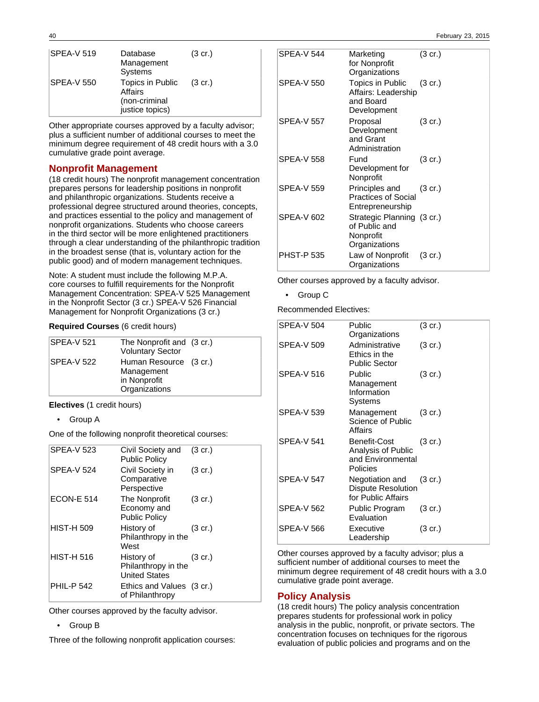| <b>SPEA-V 519</b> | Database<br>Management<br>Systems                               | $(3 \text{ cr.})$ |
|-------------------|-----------------------------------------------------------------|-------------------|
| SPEA-V 550        | Topics in Public<br>Affairs<br>(non-criminal<br>justice topics) | $(3 \text{ cr.})$ |

Other appropriate courses approved by a faculty advisor; plus a sufficient number of additional courses to meet the minimum degree requirement of 48 credit hours with a 3.0 cumulative grade point average.

## **Nonprofit Management**

(18 credit hours) The nonprofit management concentration prepares persons for leadership positions in nonprofit and philanthropic organizations. Students receive a professional degree structured around theories, concepts, and practices essential to the policy and management of nonprofit organizations. Students who choose careers in the third sector will be more enlightened practitioners through a clear understanding of the philanthropic tradition in the broadest sense (that is, voluntary action for the public good) and of modern management techniques.

Note: A student must include the following M.P.A. core courses to fulfill requirements for the Nonprofit Management Concentration: SPEA-V 525 Management in the Nonprofit Sector (3 cr.) SPEA-V 526 Financial Management for Nonprofit Organizations (3 cr.)

## **Required Courses** (6 credit hours)

| <b>SPEA-V 521</b> | The Nonprofit and (3 cr.) |  |
|-------------------|---------------------------|--|
|                   | <b>Voluntary Sector</b>   |  |
| SPEA-V 522        | Human Resource (3 cr.)    |  |
|                   | Management                |  |
|                   | in Nonprofit              |  |
|                   | Organizations             |  |

**Electives** (1 credit hours)

• Group A

One of the following nonprofit theoretical courses:

| <b>SPEA-V 523</b><br>Civil Society and<br>$(3 \text{ cr.})$<br><b>Public Policy</b><br><b>SPEA-V 524</b><br>Civil Society in<br>(3 cr.)<br>Comparative<br>Perspective<br><b>ECON-E 514</b><br>The Nonprofit<br>$(3 \text{ cr.})$<br>Economy and<br><b>Public Policy</b><br><b>HIST-H 509</b><br>History of<br>$(3 \text{ cr.})$<br>Philanthropy in the<br>West<br><b>HIST-H 516</b><br>$(3 \text{ cr.})$<br>History of<br>Philanthropy in the<br><b>United States</b><br><b>PHIL-P 542</b><br>Ethics and Values (3 cr.)<br>of Philanthropy |  |  |
|--------------------------------------------------------------------------------------------------------------------------------------------------------------------------------------------------------------------------------------------------------------------------------------------------------------------------------------------------------------------------------------------------------------------------------------------------------------------------------------------------------------------------------------------|--|--|
|                                                                                                                                                                                                                                                                                                                                                                                                                                                                                                                                            |  |  |
|                                                                                                                                                                                                                                                                                                                                                                                                                                                                                                                                            |  |  |
|                                                                                                                                                                                                                                                                                                                                                                                                                                                                                                                                            |  |  |
|                                                                                                                                                                                                                                                                                                                                                                                                                                                                                                                                            |  |  |
|                                                                                                                                                                                                                                                                                                                                                                                                                                                                                                                                            |  |  |
|                                                                                                                                                                                                                                                                                                                                                                                                                                                                                                                                            |  |  |

Other courses approved by the faculty advisor.

### • Group B

Three of the following nonprofit application courses:

| <b>SPEA-V 544</b> | Marketing<br>for Nonprofit<br>Organizations                                | $(3 \text{ cr.})$ |
|-------------------|----------------------------------------------------------------------------|-------------------|
| <b>SPEA-V 550</b> | <b>Topics in Public</b><br>Affairs: Leadership<br>and Board<br>Development | $(3 \text{ cr.})$ |
| <b>SPEA-V 557</b> | Proposal<br>Development<br>and Grant<br>Administration                     | $(3 \text{ cr.})$ |
| SPEA-V 558        | Fund<br>Development for<br>Nonprofit                                       | $(3 \text{ cr.})$ |
| <b>SPEA-V 559</b> | Principles and<br><b>Practices of Social</b><br>Entrepreneurship           | $(3 \text{ cr.})$ |
| SPEA-V 602        | Strategic Planning (3 cr.)<br>of Public and<br>Nonprofit<br>Organizations  |                   |
| <b>PHST-P 535</b> | Law of Nonprofit<br>Organizations                                          | $(3 \text{ cr.})$ |

Other courses approved by a faculty advisor.

• Group C

Recommended Electives:

| <b>SPEA-V 504</b> | Public<br>Organizations                                             | (3 cr.)           |
|-------------------|---------------------------------------------------------------------|-------------------|
| <b>SPEA-V 509</b> | Administrative<br>Ethics in the<br><b>Public Sector</b>             | $(3 \text{ cr.})$ |
| <b>SPEA-V 516</b> | Public<br>Management<br>Information<br>Systems                      | $(3 \text{ cr.})$ |
| SPEA-V 539        | Management<br>Science of Public<br>Affairs                          | $(3 \text{ cr.})$ |
| <b>SPEA-V 541</b> | Benefit-Cost<br>Analysis of Public<br>and Environmental<br>Policies | $(3 \text{ cr.})$ |
| <b>SPEA-V 547</b> | Negotiation and<br><b>Dispute Resolution</b><br>for Public Affairs  | $(3 \text{ cr.})$ |
| <b>SPEA-V 562</b> | Public Program<br>Evaluation                                        | $(3 \text{ cr.})$ |
| SPEA-V 566        | Executive<br>Leadership                                             | (3 cr.)           |

Other courses approved by a faculty advisor; plus a sufficient number of additional courses to meet the minimum degree requirement of 48 credit hours with a 3.0 cumulative grade point average.

## **Policy Analysis**

(18 credit hours) The policy analysis concentration prepares students for professional work in policy analysis in the public, nonprofit, or private sectors. The concentration focuses on techniques for the rigorous evaluation of public policies and programs and on the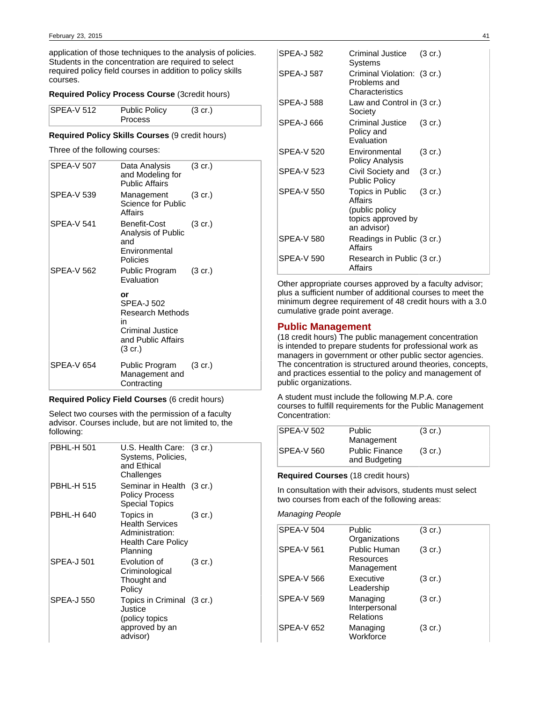application of those techniques to the analysis of policies. Students in the concentration are required to select required policy field courses in addition to policy skills courses.

## **Required Policy Process Course** (3credit hours)

| $SPEA-V 512$ | <b>Public Policy</b> | $(3 \text{ cr.})$ |  |
|--------------|----------------------|-------------------|--|
|              | <b>Process</b>       |                   |  |

## **Required Policy Skills Courses** (9 credit hours)

Three of the following courses:

| SPEA-V 507        | Data Analysis<br>and Modeling for<br><b>Public Affairs</b>                                             | $(3 \text{ cr.})$ |
|-------------------|--------------------------------------------------------------------------------------------------------|-------------------|
| SPEA-V 539        | Management<br>Science for Public<br>Affairs                                                            | (3 cr.)           |
| <b>SPEA-V 541</b> | Benefit-Cost<br>Analysis of Public<br>and<br>Environmental<br>Policies                                 | $(3 \text{ cr.})$ |
| SPEA-V 562        | Public Program<br>Evaluation                                                                           | $(3 \text{ cr.})$ |
|                   | or<br>SPEA-J 502<br>Research Methods<br>in<br><b>Criminal Justice</b><br>and Public Affairs<br>(3 cr.) |                   |
| <b>SPEA-V 654</b> | Public Program<br>Management and<br>Contracting                                                        | (3 cr.)           |

## **Required Policy Field Courses** (6 credit hours)

Select two courses with the permission of a faculty advisor. Courses include, but are not limited to, the following:

| <b>PBHL-H 501</b> | $U.S.$ Health Care: $(3 cr.)$<br>Systems, Policies,<br>and Ethical<br>Challenges                |                   |
|-------------------|-------------------------------------------------------------------------------------------------|-------------------|
| <b>PBHL-H 515</b> | Seminar in Health (3 cr.)<br><b>Policy Process</b><br>Special Topics                            |                   |
| PBHL-H 640        | Topics in<br><b>Health Services</b><br>Administration:<br><b>Health Care Policy</b><br>Planning | $(3 \text{ cr.})$ |
| <b>SPEA-J 501</b> | Evolution of<br>Criminological<br>Thought and<br>Policy                                         | $(3 \text{ cr.})$ |
| SPEA-J 550        | Topics in Criminal (3 cr.)<br>Justice<br>(policy topics<br>approved by an<br>advisor)           |                   |

| <b>SPEA-J 582</b> | Criminal Justice<br>Systems                                                        | $(3 \text{ cr.})$ |
|-------------------|------------------------------------------------------------------------------------|-------------------|
| SPEA-J 587        | Criminal Violation: (3 cr.)<br>Problems and<br>Characteristics                     |                   |
| SPEA-J 588        | Law and Control in (3 cr.)<br>Society                                              |                   |
| SPEA-J 666        | Criminal Justice<br>Policy and<br>Evaluation                                       | $(3 \text{ cr.})$ |
| <b>SPEA-V 520</b> | Environmental<br><b>Policy Analysis</b>                                            | $(3 \text{ cr.})$ |
| <b>SPEA-V 523</b> | Civil Society and<br><b>Public Policy</b>                                          | $(3 \text{ cr.})$ |
| <b>SPEA-V 550</b> | Topics in Public<br>Affairs<br>(public policy<br>topics approved by<br>an advisor) | $(3 \text{ cr.})$ |
| <b>SPEA-V 580</b> | Readings in Public (3 cr.)<br><b>Affairs</b>                                       |                   |
| <b>SPEA-V 590</b> | Research in Public (3 cr.)<br>Affairs                                              |                   |

Other appropriate courses approved by a faculty advisor; plus a sufficient number of additional courses to meet the minimum degree requirement of 48 credit hours with a 3.0 cumulative grade point average.

## **Public Management**

(18 credit hours) The public management concentration is intended to prepare students for professional work as managers in government or other public sector agencies. The concentration is structured around theories, concepts, and practices essential to the policy and management of public organizations.

A student must include the following M.P.A. core courses to fulfill requirements for the Public Management Concentration:

| <b>SPEA-V 502</b> | <b>Public</b><br>Management            | $(3 \text{ cr.})$ |
|-------------------|----------------------------------------|-------------------|
| <b>SPEA-V 560</b> | <b>Public Finance</b><br>and Budgeting | $(3 \text{ cr.})$ |

### **Required Courses** (18 credit hours)

In consultation with their advisors, students must select two courses from each of the following areas:

## Managing People

| <b>SPEA-V 504</b> | Public<br>Organizations                 | $(3 \text{ cr.})$ |
|-------------------|-----------------------------------------|-------------------|
| <b>SPEA-V 561</b> | Public Human<br>Resources<br>Management | $(3 \text{ cr.})$ |
| <b>SPEA-V 566</b> | Executive<br>Leadership                 | $(3 \text{ cr.})$ |
| <b>SPEA-V 569</b> | Managing<br>Interpersonal<br>Relations  | $(3 \text{ cr.})$ |
| <b>SPEA-V 652</b> | Managing<br>Workforce                   | $(3 \text{ cr.})$ |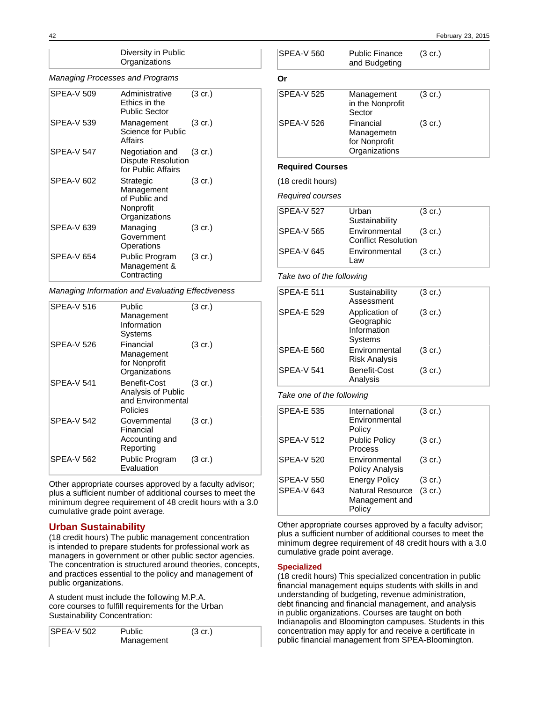### Diversity in Public **Organizations**

### Managing Processes and Programs

| <b>SPEA-V 509</b> | Administrative<br>Ethics in the<br>Public Sector                       | $(3 \text{ cr.})$ |
|-------------------|------------------------------------------------------------------------|-------------------|
| SPEA-V 539        | Management<br>Science for Public<br>Affairs                            | $(3 \text{ cr.})$ |
| SPEA-V 547        | Negotiation and<br><b>Dispute Resolution</b><br>for Public Affairs     | $(3 \text{ cr.})$ |
| SPEA-V 602        | Strategic<br>Management<br>of Public and<br>Nonprofit<br>Organizations | $(3 \text{ cr.})$ |
| SPEA-V 639        | Managing<br>Government<br>Operations                                   | $(3 \text{ cr.})$ |
| SPEA-V 654        | Public Program<br>Management &<br>Contracting                          | $(3 \text{ cr.})$ |

Managing Information and Evaluating Effectiveness

| <b>SPEA-V 516</b> | Public<br>Management<br>Information<br>Systems                      | $(3 \text{ cr.})$ |
|-------------------|---------------------------------------------------------------------|-------------------|
| SPEA-V 526        | Financial<br>Management<br>for Nonprofit<br>Organizations           | $(3 \text{ cr.})$ |
| SPEA-V 541        | Benefit-Cost<br>Analysis of Public<br>and Environmental<br>Policies | $(3 \text{ cr.})$ |
| SPEA-V 542        | Governmental<br>Financial<br>Accounting and<br>Reporting            | $(3 \text{ cr.})$ |
| SPEA-V 562        | Public Program<br>Evaluation                                        | (3 cr.)           |

Other appropriate courses approved by a faculty advisor; plus a sufficient number of additional courses to meet the minimum degree requirement of 48 credit hours with a 3.0 cumulative grade point average.

## **Urban Sustainability**

(18 credit hours) The public management concentration is intended to prepare students for professional work as managers in government or other public sector agencies. The concentration is structured around theories, concepts, and practices essential to the policy and management of public organizations.

A student must include the following M.P.A. core courses to fulfill requirements for the Urban Sustainability Concentration:

| <b>SPEA-V 502</b> | <b>Public</b> | $(3 \text{ cr.})$ |
|-------------------|---------------|-------------------|
|                   | Management    |                   |

| <b>SPEA-V 560</b>       | <b>Public Finance</b><br>and Budgeting                    | $(3 \text{ cr.})$ |  |
|-------------------------|-----------------------------------------------------------|-------------------|--|
| Or                      |                                                           |                   |  |
| <b>SPEA-V 525</b>       | Management<br>in the Nonprofit<br>Sector                  | $(3 \text{ cr.})$ |  |
| <b>SPFA-V 526</b>       | Financial<br>Managemetn<br>for Nonprofit<br>Organizations | $(3 \text{ cr.})$ |  |
| <b>Required Courses</b> |                                                           |                   |  |

(18 credit hours)

Required courses

| <b>SPEA-V 527</b> | Urban<br>Sustainability                     | $(3 \text{ cr.})$ |
|-------------------|---------------------------------------------|-------------------|
| <b>SPEA-V 565</b> | Environmental<br><b>Conflict Resolution</b> | $(3 \text{ cr.})$ |
| SPEA-V 645        | Environmental<br>l aw                       | (3 cr.)           |

Take two of the following

| Sustainability<br>Assessment                           | $(3 \text{ cr.})$ |
|--------------------------------------------------------|-------------------|
| Application of<br>Geographic<br>Information<br>Systems | $(3 \text{ cr.})$ |
| Environmental<br><b>Risk Analysis</b>                  | $(3 \text{ cr.})$ |
| Benefit-Cost<br>Analysis                               | $(3 \text{ cr.})$ |
|                                                        |                   |

Take one of the following

| <b>SPEA-E 535</b> | International<br>Environmental<br>Policy            | (3 cr.)           |
|-------------------|-----------------------------------------------------|-------------------|
| <b>SPEA-V 512</b> | <b>Public Policy</b><br>Process                     | $(3 \text{ cr.})$ |
| <b>SPEA-V 520</b> | Environmental<br><b>Policy Analysis</b>             | (3 cr.)           |
| <b>SPEA-V 550</b> | <b>Energy Policy</b>                                | $(3 \text{ cr.})$ |
| <b>SPEA-V 643</b> | <b>Natural Resource</b><br>Management and<br>Policy | $(3$ cr.)         |

Other appropriate courses approved by a faculty advisor; plus a sufficient number of additional courses to meet the minimum degree requirement of 48 credit hours with a 3.0 cumulative grade point average.

## **Specialized**

(18 credit hours) This specialized concentration in public financial management equips students with skills in and understanding of budgeting, revenue administration, debt financing and financial management, and analysis in public organizations. Courses are taught on both Indianapolis and Bloomington campuses. Students in this concentration may apply for and receive a certificate in public financial management from SPEA-Bloomington.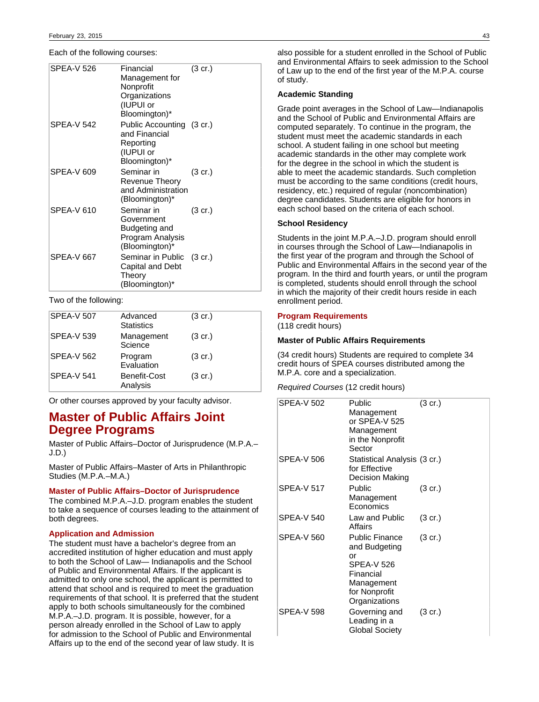Each of the following courses:

| <b>SPEA-V 526</b> | Financial<br>Management for<br>Nonprofit<br>Organizations<br>(IUPUI or<br>Bloomington)* | $(3 \text{ cr.})$ |
|-------------------|-----------------------------------------------------------------------------------------|-------------------|
| <b>SPEA-V 542</b> | Public Accounting (3 cr.)<br>and Financial<br>Reporting<br>(IUPUI or<br>Bloomington)*   |                   |
| SPEA-V 609        | Seminar in<br>Revenue Theory<br>and Administration<br>(Bloomington)*                    | $(3 \text{ cr.})$ |
| <b>SPEA-V 610</b> | Seminar in<br>Government<br>Budgeting and<br>Program Analysis<br>(Bloomington)*         | (3 cr.)           |
| <b>SPEA-V 667</b> | Seminar in Public (3 cr.)<br>Capital and Debt<br>Theory<br>(Bloomington)*               |                   |

## Two of the following:

| <b>SPEA-V 507</b> | Advanced<br><b>Statistics</b> | $(3 \text{ cr.})$ |
|-------------------|-------------------------------|-------------------|
| <b>SPEA-V 539</b> | Management<br>Science         | $(3 \text{ cr.})$ |
| <b>SPEA-V 562</b> | Program<br>Evaluation         | $(3 \text{ cr.})$ |
| <b>SPEA-V 541</b> | Benefit-Cost<br>Analysis      | $(3 \text{ cr.})$ |

Or other courses approved by your faculty advisor.

# **Master of Public Affairs Joint Degree Programs**

Master of Public Affairs–Doctor of Jurisprudence (M.P.A.– J.D.)

Master of Public Affairs–Master of Arts in Philanthropic Studies (M.P.A.–M.A.)

#### **Master of Public Affairs–Doctor of Jurisprudence**

The combined M.P.A.–J.D. program enables the student to take a sequence of courses leading to the attainment of both degrees.

## **Application and Admission**

The student must have a bachelor's degree from an accredited institution of higher education and must apply to both the School of Law— Indianapolis and the School of Public and Environmental Affairs. If the applicant is admitted to only one school, the applicant is permitted to attend that school and is required to meet the graduation requirements of that school. It is preferred that the student apply to both schools simultaneously for the combined M.P.A.–J.D. program. It is possible, however, for a person already enrolled in the School of Law to apply for admission to the School of Public and Environmental Affairs up to the end of the second year of law study. It is

also possible for a student enrolled in the School of Public and Environmental Affairs to seek admission to the School of Law up to the end of the first year of the M.P.A. course of study.

#### **Academic Standing**

Grade point averages in the School of Law—Indianapolis and the School of Public and Environmental Affairs are computed separately. To continue in the program, the student must meet the academic standards in each school. A student failing in one school but meeting academic standards in the other may complete work for the degree in the school in which the student is able to meet the academic standards. Such completion must be according to the same conditions (credit hours, residency, etc.) required of regular (noncombination) degree candidates. Students are eligible for honors in each school based on the criteria of each school.

### **School Residency**

Students in the joint M.P.A.–J.D. program should enroll in courses through the School of Law—Indianapolis in the first year of the program and through the School of Public and Environmental Affairs in the second year of the program. In the third and fourth years, or until the program is completed, students should enroll through the school in which the majority of their credit hours reside in each enrollment period.

### **Program Requirements**

(118 credit hours)

## **Master of Public Affairs Requirements**

(34 credit hours) Students are required to complete 34 credit hours of SPEA courses distributed among the M.P.A. core and a specialization.

Required Courses (12 credit hours)

| SPEA-V 502        | Public<br>Management<br>or SPEA-V 525<br>Management<br>in the Nonprofit<br>Sector                                              | (3 cr.)           |
|-------------------|--------------------------------------------------------------------------------------------------------------------------------|-------------------|
| SPEA-V 506        | Statistical Analysis (3 cr.)<br>for Effective<br>Decision Making                                                               |                   |
| <b>SPEA-V 517</b> | Public<br>Management<br>Economics                                                                                              | $(3 \text{ cr.})$ |
| <b>SPEA-V 540</b> | Law and Public<br>Affairs                                                                                                      | $(3 \text{ cr.})$ |
| SPEA-V 560        | <b>Public Finance</b><br>and Budgeting<br>or<br><b>SPEA-V 526</b><br>Financial<br>Management<br>for Nonprofit<br>Organizations | $(3 \text{ cr.})$ |
| <b>SPEA-V 598</b> | Governing and<br>Leading in a<br><b>Global Society</b>                                                                         | $(3 \text{ cr.})$ |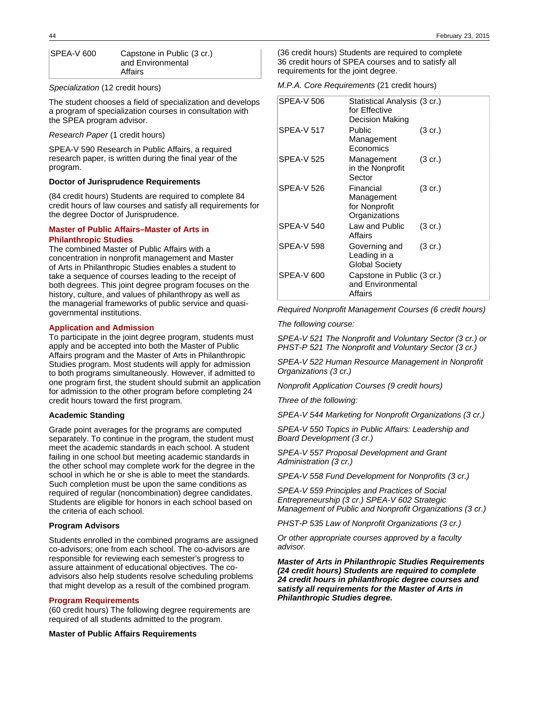| SPEA-V 600 | Capstone in Public (3 cr.) |
|------------|----------------------------|
|            | and Environmental          |
|            | Affairs                    |

Specialization (12 credit hours)

The student chooses a field of specialization and develops a program of specialization courses in consultation with the SPEA program advisor.

Research Paper (1 credit hours)

SPEA-V 590 Research in Public Affairs, a required research paper, is written during the final year of the program.

### **Doctor of Jurisprudence Requirements**

(84 credit hours) Students are required to complete 84 credit hours of law courses and satisfy all requirements for the degree Doctor of Jurisprudence.

### **Master of Public Affairs–Master of Arts in Philanthropic Studies**

The combined Master of Public Affairs with a concentration in nonprofit management and Master of Arts in Philanthropic Studies enables a student to take a sequence of courses leading to the receipt of both degrees. This joint degree program focuses on the history, culture, and values of philanthropy as well as the managerial frameworks of public service and quasigovernmental institutions.

### **Application and Admission**

To participate in the joint degree program, students must apply and be accepted into both the Master of Public Affairs program and the Master of Arts in Philanthropic Studies program. Most students will apply for admission to both programs simultaneously. However, if admitted to one program first, the student should submit an application for admission to the other program before completing 24 credit hours toward the first program.

#### **Academic Standing**

Grade point averages for the programs are computed separately. To continue in the program, the student must meet the academic standards in each school. A student failing in one school but meeting academic standards in the other school may complete work for the degree in the school in which he or she is able to meet the standards. Such completion must be upon the same conditions as required of regular (noncombination) degree candidates. Students are eligible for honors in each school based on the criteria of each school.

### **Program Advisors**

Students enrolled in the combined programs are assigned co-advisors; one from each school. The co-advisors are responsible for reviewing each semester's progress to assure attainment of educational objectives. The coadvisors also help students resolve scheduling problems that might develop as a result of the combined program.

### **Program Requirements**

(60 credit hours) The following degree requirements are required of all students admitted to the program.

**Master of Public Affairs Requirements**

(36 credit hours) Students are required to complete 36 credit hours of SPEA courses and to satisfy all requirements for the joint degree.

## M.P.A. Core Requirements (21 credit hours)

| <b>SPEA-V 506</b> | Statistical Analysis (3 cr.)<br>for Effective<br>Decision Making |                   |
|-------------------|------------------------------------------------------------------|-------------------|
| <b>SPEA-V 517</b> | Public<br>Management<br>Economics                                | $(3 \text{ cr.})$ |
| SPEA-V 525        | Management<br>in the Nonprofit<br>Sector                         | $(3 \text{ cr.})$ |
| SPEA-V 526        | Financial<br>Management<br>for Nonprofit<br>Organizations        | (3 cr.)           |
| SPFA-V 540        | Law and Public<br>Affairs                                        | $(3 \text{ cr.})$ |
| SPEA-V 598        | Governing and<br>Leading in a<br><b>Global Society</b>           | $(3 \text{ cr.})$ |
| SPEA-V 600        | Capstone in Public (3 cr.)<br>and Environmental<br>Affairs       |                   |

Required Nonprofit Management Courses (6 credit hours)

The following course:

SPEA-V 521 The Nonprofit and Voluntary Sector (3 cr.) or PHST-P 521 The Nonprofit and Voluntary Sector (3 cr.)

SPEA-V 522 Human Resource Management in Nonprofit Organizations (3 cr.)

Nonprofit Application Courses (9 credit hours)

Three of the following:

SPEA-V 544 Marketing for Nonprofit Organizations (3 cr.)

SPEA-V 550 Topics in Public Affairs: Leadership and Board Development (3 cr.)

SPEA-V 557 Proposal Development and Grant Administration (3 cr.)

SPEA-V 558 Fund Development for Nonprofits (3 cr.)

SPEA-V 559 Principles and Practices of Social Entrepreneurship (3 cr.) SPEA-V 602 Strategic Management of Public and Nonprofit Organizations (3 cr.)

PHST-P 535 Law of Nonprofit Organizations (3 cr.)

Or other appropriate courses approved by a faculty advisor.

**Master of Arts in Philanthropic Studies Requirements (24 credit hours) Students are required to complete 24 credit hours in philanthropic degree courses and satisfy all requirements for the Master of Arts in Philanthropic Studies degree.**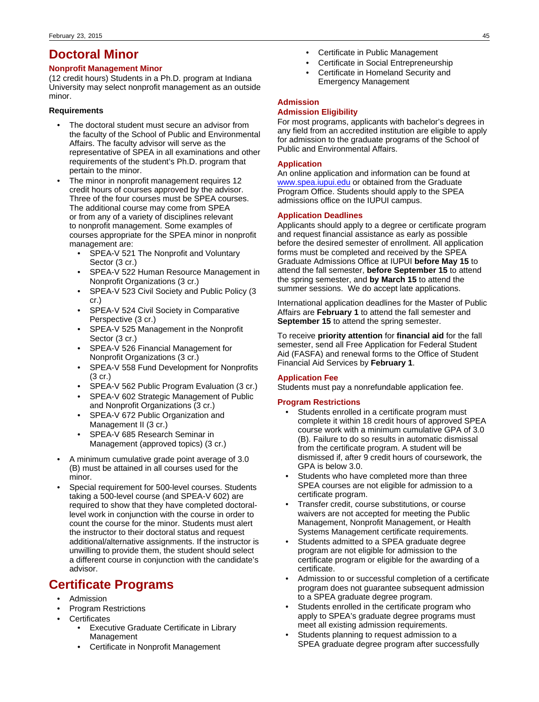# **Doctoral Minor**

## **Nonprofit Management Minor**

(12 credit hours) Students in a Ph.D. program at Indiana University may select nonprofit management as an outside minor.

## **Requirements**

- The doctoral student must secure an advisor from the faculty of the School of Public and Environmental Affairs. The faculty advisor will serve as the representative of SPEA in all examinations and other requirements of the student's Ph.D. program that pertain to the minor.
- The minor in nonprofit management requires 12 credit hours of courses approved by the advisor. Three of the four courses must be SPEA courses. The additional course may come from SPEA or from any of a variety of disciplines relevant to nonprofit management. Some examples of courses appropriate for the SPEA minor in nonprofit management are:
	- SPEA-V 521 The Nonprofit and Voluntary Sector (3 cr.)
	- SPEA-V 522 Human Resource Management in Nonprofit Organizations (3 cr.)
	- SPEA-V 523 Civil Society and Public Policy (3 cr.)
	- SPEA-V 524 Civil Society in Comparative Perspective (3 cr.)
	- SPEA-V 525 Management in the Nonprofit Sector (3 cr.)
	- SPEA-V 526 Financial Management for Nonprofit Organizations (3 cr.)
	- SPEA-V 558 Fund Development for Nonprofits (3 cr.)
	- SPEA-V 562 Public Program Evaluation (3 cr.)
	- SPEA-V 602 Strategic Management of Public and Nonprofit Organizations (3 cr.)
	- SPEA-V 672 Public Organization and Management II (3 cr.)
	- SPEA-V 685 Research Seminar in Management (approved topics) (3 cr.)
- A minimum cumulative grade point average of 3.0 (B) must be attained in all courses used for the minor.
- Special requirement for 500-level courses. Students taking a 500-level course (and SPEA-V 602) are required to show that they have completed doctorallevel work in conjunction with the course in order to count the course for the minor. Students must alert the instructor to their doctoral status and request additional/alternative assignments. If the instructor is unwilling to provide them, the student should select a different course in conjunction with the candidate's advisor.

# **Certificate Programs**

- Admission
- Program Restrictions
- **Certificates** 
	- Executive Graduate Certificate in Library Management
	- Certificate in Nonprofit Management
- Certificate in Public Management
- Certificate in Social Entrepreneurship
- Certificate in Homeland Security and Emergency Management

## **Admission**

## **Admission Eligibility**

For most programs, applicants with bachelor's degrees in any field from an accredited institution are eligible to apply for admission to the graduate programs of the School of Public and Environmental Affairs.

## **Application**

An online application and information can be found at [www.spea.iupui.edu](http://www.spea.iupui.edu) or obtained from the Graduate Program Office. Students should apply to the SPEA admissions office on the IUPUI campus.

## **Application Deadlines**

Applicants should apply to a degree or certificate program and request financial assistance as early as possible before the desired semester of enrollment. All application forms must be completed and received by the SPEA Graduate Admissions Office at IUPUI **before May 15** to attend the fall semester, **before September 15** to attend the spring semester, and **by March 15** to attend the summer sessions. We do accept late applications.

International application deadlines for the Master of Public Affairs are **February 1** to attend the fall semester and **September 15** to attend the spring semester.

To receive **priority attention** for **financial aid** for the fall semester, send all Free Application for Federal Student Aid (FASFA) and renewal forms to the Office of Student Financial Aid Services by **February 1**.

## **Application Fee**

Students must pay a nonrefundable application fee.

## **Program Restrictions**

- Students enrolled in a certificate program must complete it within 18 credit hours of approved SPEA course work with a minimum cumulative GPA of 3.0 (B). Failure to do so results in automatic dismissal from the certificate program. A student will be dismissed if, after 9 credit hours of coursework, the GPA is below 3.0.
- Students who have completed more than three SPEA courses are not eligible for admission to a certificate program.
- Transfer credit, course substitutions, or course waivers are not accepted for meeting the Public Management, Nonprofit Management, or Health Systems Management certificate requirements.
- Students admitted to a SPEA graduate degree program are not eligible for admission to the certificate program or eligible for the awarding of a certificate.
- Admission to or successful completion of a certificate program does not guarantee subsequent admission to a SPEA graduate degree program.
- Students enrolled in the certificate program who apply to SPEA's graduate degree programs must meet all existing admission requirements.
- Students planning to request admission to a SPEA graduate degree program after successfully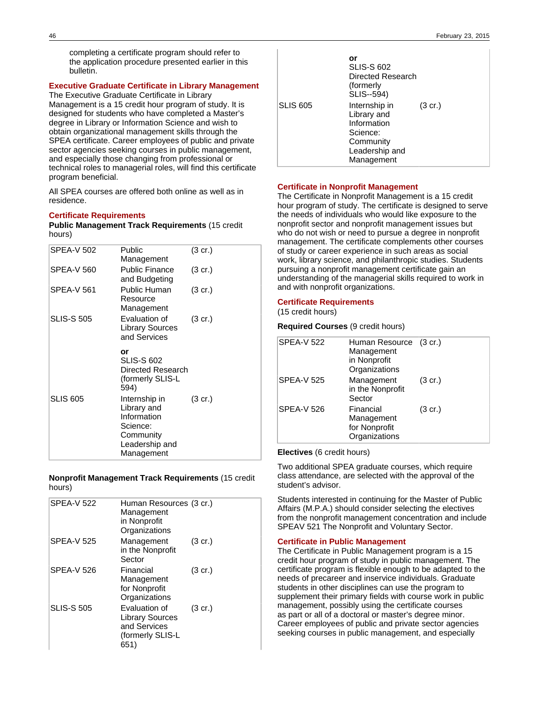completing a certificate program should refer to the application procedure presented earlier in this bulletin.

## **Executive Graduate Certificate in Library Management**

The Executive Graduate Certificate in Library Management is a 15 credit hour program of study. It is designed for students who have completed a Master's degree in Library or Information Science and wish to obtain organizational management skills through the SPEA certificate. Career employees of public and private sector agencies seeking courses in public management, and especially those changing from professional or technical roles to managerial roles, will find this certificate program beneficial.

All SPEA courses are offered both online as well as in residence.

## **Certificate Requirements**

**Public Management Track Requirements** (15 credit hours)

| Public<br>Management                                                                   | $(3 \text{ cr.})$ |
|----------------------------------------------------------------------------------------|-------------------|
| <b>Public Finance</b><br>and Budgeting                                                 | $(3 \text{ cr.})$ |
| Public Human<br>Resource<br>Management                                                 | $(3 \text{ cr.})$ |
| Evaluation of<br>Library Sources<br>and Services                                       | (3 cr.)           |
| or<br><b>SLIS-S 602</b><br>Directed Research<br>(formerly SLIS-L<br>594)               |                   |
| Internship in<br>Library and<br>Information<br>Science:<br>Community<br>Leadership and | $(3 \text{ cr.})$ |
|                                                                                        | Management        |

**Nonprofit Management Track Requirements** (15 credit hours)

| Management<br>in Nonprofit<br>Organizations                                         |                         |
|-------------------------------------------------------------------------------------|-------------------------|
| Management<br>in the Nonprofit<br>Sector                                            | $(3 \text{ cr.})$       |
| Financial<br>Management<br>for Nonprofit<br>Organizations                           | $(3 \text{ cr.})$       |
| Evaluation of<br><b>Library Sources</b><br>and Services<br>(formerly SLIS-L<br>651) | $(3 \text{ cr.})$       |
|                                                                                     | Human Resources (3 cr.) |

|                 | or<br><b>SLIS-S 602</b><br>Directed Research<br>(formerly<br>SLIS--594)                              |                   |
|-----------------|------------------------------------------------------------------------------------------------------|-------------------|
| <b>SLIS 605</b> | Internship in<br>Library and<br>Information<br>Science:<br>Community<br>Leadership and<br>Management | $(3 \text{ cr.})$ |

## **Certificate in Nonprofit Management**

The Certificate in Nonprofit Management is a 15 credit hour program of study. The certificate is designed to serve the needs of individuals who would like exposure to the nonprofit sector and nonprofit management issues but who do not wish or need to pursue a degree in nonprofit management. The certificate complements other courses of study or career experience in such areas as social work, library science, and philanthropic studies. Students pursuing a nonprofit management certificate gain an understanding of the managerial skills required to work in and with nonprofit organizations.

## **Certificate Requirements**

(15 credit hours)

## **Required Courses** (9 credit hours)

| <b>SPEA-V 522</b> | Human Resource (3 cr.)<br>Management<br>in Nonprofit<br>Organizations |                   |
|-------------------|-----------------------------------------------------------------------|-------------------|
| <b>SPEA-V 525</b> | Management<br>in the Nonprofit<br>Sector                              | $(3 \text{ cr.})$ |
| <b>SPEA-V 526</b> | Financial<br>Management<br>for Nonprofit<br>Organizations             | $(3 \text{ cr.})$ |

## **Electives** (6 credit hours)

Two additional SPEA graduate courses, which require class attendance, are selected with the approval of the student's advisor.

Students interested in continuing for the Master of Public Affairs (M.P.A.) should consider selecting the electives from the nonprofit management concentration and include SPEAV 521 The Nonprofit and Voluntary Sector.

### **Certificate in Public Management**

The Certificate in Public Management program is a 15 credit hour program of study in public management. The certificate program is flexible enough to be adapted to the needs of precareer and inservice individuals. Graduate students in other disciplines can use the program to supplement their primary fields with course work in public management, possibly using the certificate courses as part or all of a doctoral or master's degree minor. Career employees of public and private sector agencies seeking courses in public management, and especially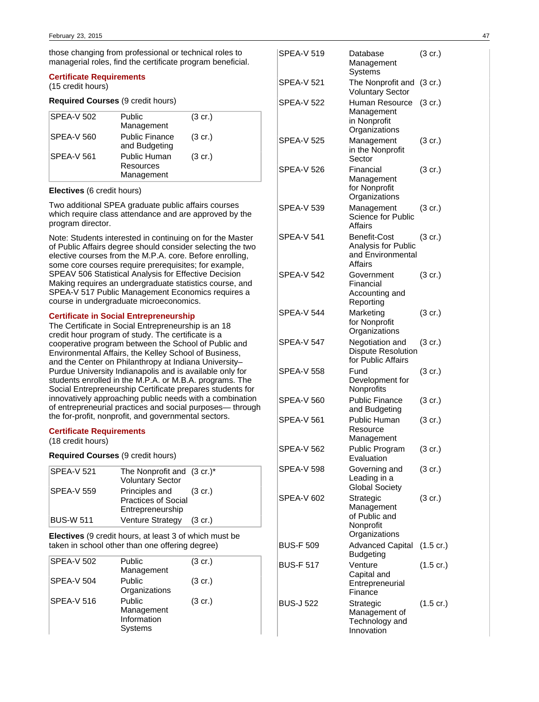those changing from professional or technical roles to managerial roles, find the certificate program beneficial.

### **Certificate Requirements**

(15 credit hours)

## **Required Courses** (9 credit hours)

| <b>SPEA-V 502</b> | Public<br>Management                    | $(3 \text{ cr.})$ |
|-------------------|-----------------------------------------|-------------------|
| <b>SPEA-V 560</b> | <b>Public Finance</b><br>and Budgeting  | $(3 \text{ cr.})$ |
| <b>SPEA-V 561</b> | Public Human<br>Resources<br>Management | $(3 \text{ cr.})$ |

### **Electives** (6 credit hours)

Two additional SPEA graduate public affairs courses which require class attendance and are approved by the program director.

Note: Students interested in continuing on for the Master of Public Affairs degree should consider selecting the two elective courses from the M.P.A. core. Before enrolling, some core courses require prerequisites; for example, SPEAV 506 Statistical Analysis for Effective Decision Making requires an undergraduate statistics course, and SPEA-V 517 Public Management Economics requires a course in undergraduate microeconomics.

#### **Certificate in Social Entrepreneurship**

The Certificate in Social Entrepreneurship is an 18 credit hour program of study. The certificate is a cooperative program between the School of Public and Environmental Affairs, the Kelley School of Business, and the Center on Philanthropy at Indiana University– Purdue University Indianapolis and is available only for students enrolled in the M.P.A. or M.B.A. programs. The Social Entrepreneurship Certificate prepares students for innovatively approaching public needs with a combination of entrepreneurial practices and social purposes— through the for-profit, nonprofit, and governmental sectors.

### **Certificate Requirements**

(18 credit hours)

**Required Courses** (9 credit hours)

| SPEA-V 521        | The Nonprofit and $(3 \text{ cr.})^*$<br><b>Voluntary Sector</b>         |  |
|-------------------|--------------------------------------------------------------------------|--|
| <b>SPEA-V 559</b> | Principles and (3 cr.)<br><b>Practices of Social</b><br>Entrepreneurship |  |
| <b>BUS-W 511</b>  | Venture Strategy (3 cr.)                                                 |  |

**Electives** (9 credit hours, at least 3 of which must be taken in school other than one offering degree)

| SPEA-V 502        | Public<br>Management                           | $(3 \text{ cr.})$ |
|-------------------|------------------------------------------------|-------------------|
| <b>SPEA-V 504</b> | Public<br>Organizations                        | $(3 \text{ cr.})$ |
| <b>SPEA-V 516</b> | Public<br>Management<br>Information<br>Systems | $(3 \text{ cr.})$ |

| <b>SPEA-V 519</b> | Database<br>Management<br>Systems                                      | $(3 \text{ cr.})$   |
|-------------------|------------------------------------------------------------------------|---------------------|
| SPEA-V 521        | The Nonprofit and<br><b>Voluntary Sector</b>                           | $(3 \text{ cr.})$   |
| <b>SPEA-V 522</b> | Human Resource<br>Management<br>in Nonprofit<br>Organizations          | $(3$ cr.)           |
| <b>SPEA-V 525</b> | Management<br>in the Nonprofit<br>Sector                               | (3 cr.)             |
| <b>SPEA-V 526</b> | Financial<br>Management<br>for Nonprofit<br>Organizations              | $(3 \text{ cr.})$   |
| <b>SPEA-V 539</b> | Management<br>Science for Public<br>Affairs                            | (3 cr.)             |
| <b>SPEA-V 541</b> | Benefit-Cost<br>Analysis for Public<br>and Environmental<br>Affairs    | (3 cr.)             |
| <b>SPEA-V 542</b> | Government<br>Financial<br>Accounting and<br>Reporting                 | $(3 \text{ cr.})$   |
| <b>SPEA-V 544</b> | Marketing<br>for Nonprofit<br>Organizations                            | (3 cr.)             |
| <b>SPEA-V 547</b> | Negotiation and<br><b>Dispute Resolution</b><br>for Public Affairs     | $(3 \text{ cr.})$   |
| <b>SPEA-V 558</b> | Fund<br>Development for<br>Nonprofits                                  | (3 cr.)             |
| <b>SPEA-V 560</b> | <b>Public Finance</b><br>and Budgeting                                 | (3 cr.)             |
| <b>SPEA-V 561</b> | Public Human<br>Resource<br>Management                                 | (3 cr.)             |
| <b>SPEA-V 562</b> | Public Program<br>Evaluation                                           | (3 cr.)             |
| <b>SPEA-V 598</b> | Governing and<br>Leading in a<br><b>Global Society</b>                 | (3 cr.)             |
| <b>SPEA-V 602</b> | Strategic<br>Management<br>of Public and<br>Nonprofit<br>Organizations | (3 cr.)             |
| <b>BUS-F 509</b>  | <b>Advanced Capital</b><br><b>Budgeting</b>                            | $(1.5 \text{ cr.})$ |
| <b>BUS-F 517</b>  | Venture<br>Capital and<br>Entrepreneurial<br>Finance                   | $(1.5 \text{ cr.})$ |
| <b>BUS-J 522</b>  | Strategic<br>Management of<br>Technology and<br>Innovation             | (1.5 cr.)           |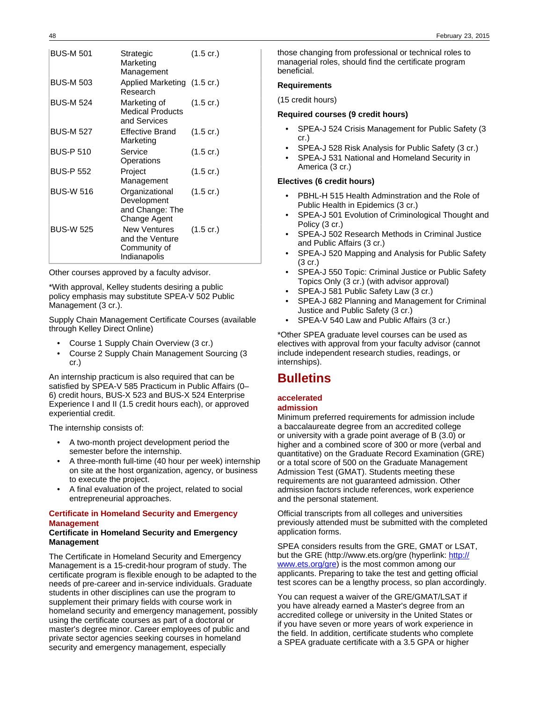| <b>BUS-M 501</b> | Strategic<br>Marketing<br>Management                             | $(1.5 \text{ cr.})$ |
|------------------|------------------------------------------------------------------|---------------------|
| <b>BUS-M 503</b> | Applied Marketing (1.5 cr.)<br>Research                          |                     |
| <b>BUS-M 524</b> | Marketing of<br><b>Medical Products</b><br>and Services          | $(1.5 \text{ cr.})$ |
| <b>BUS-M 527</b> | <b>Effective Brand</b><br>Marketing                              | $(1.5 \text{ cr.})$ |
| <b>BUS-P 510</b> | Service<br>Operations                                            | $(1.5 \text{ cr.})$ |
| <b>BUS-P 552</b> | Project<br>Management                                            | (1.5 cr.)           |
| <b>BUS-W 516</b> | Organizational<br>Development<br>and Change: The<br>Change Agent | $(1.5 \text{ cr.})$ |
| <b>BUS-W 525</b> | New Ventures<br>and the Venture<br>Community of<br>Indianapolis  | $(1.5 \text{ cr.})$ |

Other courses approved by a faculty advisor.

\*With approval, Kelley students desiring a public policy emphasis may substitute SPEA-V 502 Public Management (3 cr.).

Supply Chain Management Certificate Courses (available through Kelley Direct Online)

- Course 1 Supply Chain Overview (3 cr.)
- Course 2 Supply Chain Management Sourcing (3 cr.)

An internship practicum is also required that can be satisfied by SPEA-V 585 Practicum in Public Affairs (0– 6) credit hours, BUS-X 523 and BUS-X 524 Enterprise Experience I and II (1.5 credit hours each), or approved experiential credit.

The internship consists of:

- A two-month project development period the semester before the internship.
- A three-month full-time (40 hour per week) internship on site at the host organization, agency, or business to execute the project.
- A final evaluation of the project, related to social entrepreneurial approaches.

## **Certificate in Homeland Security and Emergency Management**

### **Certificate in Homeland Security and Emergency Management**

The Certificate in Homeland Security and Emergency Management is a 15-credit-hour program of study. The certificate program is flexible enough to be adapted to the needs of pre-career and in-service individuals. Graduate students in other disciplines can use the program to supplement their primary fields with course work in homeland security and emergency management, possibly using the certificate courses as part of a doctoral or master's degree minor. Career employees of public and private sector agencies seeking courses in homeland security and emergency management, especially

those changing from professional or technical roles to managerial roles, should find the certificate program beneficial.

### **Requirements**

(15 credit hours)

### **Required courses (9 credit hours)**

- SPEA-J 524 Crisis Management for Public Safety (3 cr.)
- SPEA-J 528 Risk Analysis for Public Safety (3 cr.)
- SPEA-J 531 National and Homeland Security in America (3 cr.)

### **Electives (6 credit hours)**

- PBHL-H 515 Health Adminstration and the Role of Public Health in Epidemics (3 cr.)
- SPEA-J 501 Evolution of Criminological Thought and Policy (3 cr.)
- SPEA-J 502 Research Methods in Criminal Justice and Public Affairs (3 cr.)
- SPEA-J 520 Mapping and Analysis for Public Safety (3 cr.)
- SPEA-J 550 Topic: Criminal Justice or Public Safety Topics Only (3 cr.) (with advisor approval)
- SPEA-J 581 Public Safety Law (3 cr.)
- SPEA-J 682 Planning and Management for Criminal Justice and Public Safety (3 cr.)
- SPEA-V 540 Law and Public Affairs (3 cr.)

\*Other SPEA graduate level courses can be used as electives with approval from your faculty advisor (cannot include independent research studies, readings, or internships).

# **Bulletins**

## **accelerated**

## **admission**

Minimum preferred requirements for admission include a baccalaureate degree from an accredited college or university with a grade point average of B (3.0) or higher and a combined score of 300 or more (verbal and quantitative) on the Graduate Record Examination (GRE) or a total score of 500 on the Graduate Management Admission Test (GMAT). Students meeting these requirements are not guaranteed admission. Other admission factors include references, work experience and the personal statement.

Official transcripts from all colleges and universities previously attended must be submitted with the completed application forms.

SPEA considers results from the GRE, GMAT or LSAT, but the GRE (http://www.ets.org/gre (hyperlink: [http://](http://www.ets.org/gre) [www.ets.org/gre](http://www.ets.org/gre)) is the most common among our applicants. Preparing to take the test and getting official test scores can be a lengthy process, so plan accordingly.

You can request a waiver of the GRE/GMAT/LSAT if you have already earned a Master's degree from an accredited college or university in the United States or if you have seven or more years of work experience in the field. In addition, certificate students who complete a SPEA graduate certificate with a 3.5 GPA or higher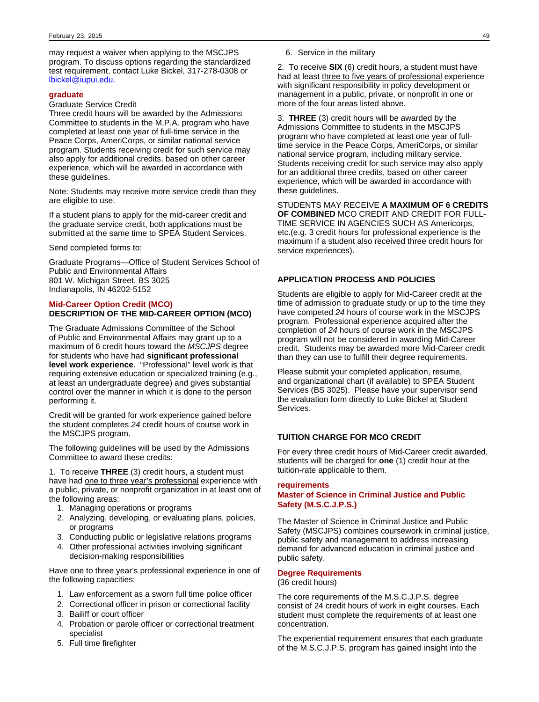may request a waiver when applying to the MSCJPS program. To discuss options regarding the standardized test requirement, contact Luke Bickel, 317-278-0308 or [lbickel@iupui.edu.](mailto:lbickel@iupui.edu)

### **graduate**

### Graduate Service Credit

Three credit hours will be awarded by the Admissions Committee to students in the M.P.A. program who have completed at least one year of full-time service in the Peace Corps, AmeriCorps, or similar national service program. Students receiving credit for such service may also apply for additional credits, based on other career experience, which will be awarded in accordance with these guidelines.

Note: Students may receive more service credit than they are eligible to use.

If a student plans to apply for the mid-career credit and the graduate service credit, both applications must be submitted at the same time to SPEA Student Services.

Send completed forms to:

Graduate Programs—Office of Student Services School of Public and Environmental Affairs 801 W. Michigan Street, BS 3025 Indianapolis, IN 46202-5152

## **Mid-Career Option Credit (MCO) DESCRIPTION OF THE MID-CAREER OPTION (MCO)**

The Graduate Admissions Committee of the School of Public and Environmental Affairs may grant up to a maximum of 6 credit hours toward the MSCJPS degree for students who have had **significant professional level work experience**. "Professional" level work is that requiring extensive education or specialized training (e.g., at least an undergraduate degree) and gives substantial control over the manner in which it is done to the person performing it.

Credit will be granted for work experience gained before the student completes 24 credit hours of course work in the MSCJPS program.

The following guidelines will be used by the Admissions Committee to award these credits:

1. To receive **THREE** (3) credit hours, a student must have had one to three year's professional experience with a public, private, or nonprofit organization in at least one of the following areas:

- 1. Managing operations or programs
- 2. Analyzing, developing, or evaluating plans, policies, or programs
- 3. Conducting public or legislative relations programs
- 4. Other professional activities involving significant decision-making responsibilities

Have one to three year's professional experience in one of the following capacities:

- 1. Law enforcement as a sworn full time police officer
- 2. Correctional officer in prison or correctional facility
- 3. Bailiff or court officer
- 4. Probation or parole officer or correctional treatment specialist
- 5. Full time firefighter

2. To receive **SIX** (6) credit hours, a student must have had at least three to five years of professional experience with significant responsibility in policy development or management in a public, private, or nonprofit in one or more of the four areas listed above.

3. **THREE** (3) credit hours will be awarded by the Admissions Committee to students in the MSCJPS program who have completed at least one year of fulltime service in the Peace Corps, AmeriCorps, or similar national service program, including military service. Students receiving credit for such service may also apply for an additional three credits, based on other career experience, which will be awarded in accordance with these guidelines.

STUDENTS MAY RECEIVE **A MAXIMUM OF 6 CREDITS OF COMBINED** MCO CREDIT AND CREDIT FOR FULL-TIME SERVICE IN AGENCIES SUCH AS Americorps, etc.(e.g. 3 credit hours for professional experience is the maximum if a student also received three credit hours for service experiences).

## **APPLICATION PROCESS AND POLICIES**

Students are eligible to apply for Mid-Career credit at the time of admission to graduate study or up to the time they have competed 24 hours of course work in the MSCJPS program. Professional experience acquired after the completion of 24 hours of course work in the MSCJPS program will not be considered in awarding Mid-Career credit. Students may be awarded more Mid-Career credit than they can use to fulfill their degree requirements.

Please submit your completed application, resume, and organizational chart (if available) to SPEA Student Services (BS 3025). Please have your supervisor send the evaluation form directly to Luke Bickel at Student Services.

### **TUITION CHARGE FOR MCO CREDIT**

For every three credit hours of Mid-Career credit awarded, students will be charged for **one** (1) credit hour at the tuition-rate applicable to them.

### **requirements**

## **Master of Science in Criminal Justice and Public Safety (M.S.C.J.P.S.)**

The Master of Science in Criminal Justice and Public Safety (MSCJPS) combines coursework in criminal justice, public safety and management to address increasing demand for advanced education in criminal justice and public safety.

## **Degree Requirements**

(36 credit hours)

The core requirements of the M.S.C.J.P.S. degree consist of 24 credit hours of work in eight courses. Each student must complete the requirements of at least one concentration.

The experiential requirement ensures that each graduate of the M.S.C.J.P.S. program has gained insight into the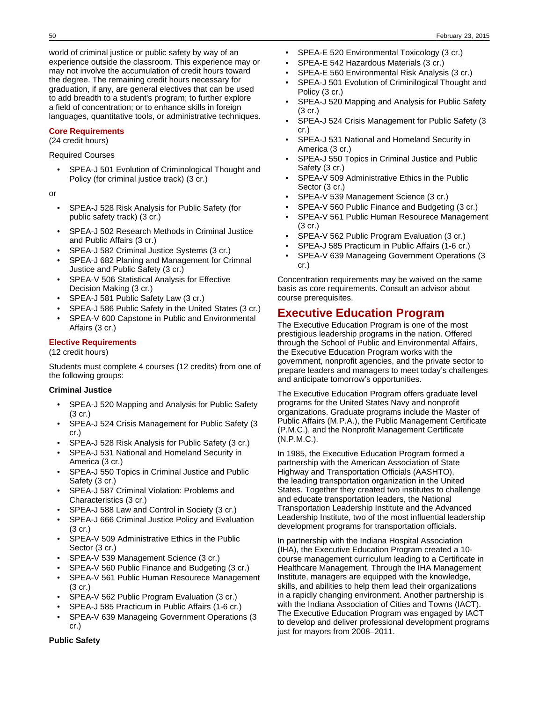world of criminal justice or public safety by way of an experience outside the classroom. This experience may or may not involve the accumulation of credit hours toward the degree. The remaining credit hours necessary for graduation, if any, are general electives that can be used to add breadth to a student's program; to further explore a field of concentration; or to enhance skills in foreign languages, quantitative tools, or administrative techniques.

## **Core Requirements**

(24 credit hours)

Required Courses

• SPEA-J 501 Evolution of Criminological Thought and Policy (for criminal justice track) (3 cr.)

or

- SPEA-J 528 Risk Analysis for Public Safety (for public safety track) (3 cr.)
- SPEA-J 502 Research Methods in Criminal Justice and Public Affairs (3 cr.)
- SPEA-J 582 Criminal Justice Systems (3 cr.)
- SPEA-J 682 Planing and Management for Crimnal Justice and Public Safety (3 cr.)
- SPEA-V 506 Statistical Analysis for Effective Decision Making (3 cr.)
- SPEA-J 581 Public Safety Law (3 cr.)
- SPEA-J 586 Public Safety in the United States (3 cr.)
- SPEA-V 600 Capstone in Public and Environmental Affairs (3 cr.)

## **Elective Requirements**

(12 credit hours)

Students must complete 4 courses (12 credits) from one of the following groups:

## **Criminal Justice**

- SPEA-J 520 Mapping and Analysis for Public Safety (3 cr.)
- SPEA-J 524 Crisis Management for Public Safety (3 cr.)
- SPEA-J 528 Risk Analysis for Public Safety (3 cr.)
- SPEA-J 531 National and Homeland Security in America (3 cr.)
- SPEA-J 550 Topics in Criminal Justice and Public Safety (3 cr.)
- SPEA-J 587 Criminal Violation: Problems and Characteristics (3 cr.)
- SPEA-J 588 Law and Control in Society (3 cr.)
- SPEA-J 666 Criminal Justice Policy and Evaluation (3 cr.)
- SPEA-V 509 Administrative Ethics in the Public Sector (3 cr.)
- SPEA-V 539 Management Science (3 cr.)
- SPEA-V 560 Public Finance and Budgeting (3 cr.)
- SPEA-V 561 Public Human Resourece Management (3 cr.)
- SPEA-V 562 Public Program Evaluation (3 cr.)
- SPEA-J 585 Practicum in Public Affairs (1-6 cr.)
- SPEA-V 639 Manageing Government Operations (3 cr.)
- SPEA-E 520 Environmental Toxicology (3 cr.)
- SPEA-E 542 Hazardous Materials (3 cr.)
- SPEA-E 560 Environmental Risk Analysis (3 cr.)
- SPEA-J 501 Evolution of Criminilogical Thought and Policy (3 cr.)
- SPEA-J 520 Mapping and Analysis for Public Safety (3 cr.)
- SPEA-J 524 Crisis Management for Public Safety (3 cr.)
- SPEA-J 531 National and Homeland Security in America (3 cr.)
- SPEA-J 550 Topics in Criminal Justice and Public Safety (3 cr.)
- SPEA-V 509 Administrative Ethics in the Public Sector (3 cr.)
- SPEA-V 539 Management Science (3 cr.)
- SPEA-V 560 Public Finance and Budgeting (3 cr.)
- SPEA-V 561 Public Human Resourece Management (3 cr.)
- SPEA-V 562 Public Program Evaluation (3 cr.)
- SPEA-J 585 Practicum in Public Affairs (1-6 cr.)
- SPEA-V 639 Manageing Government Operations (3 cr.)

Concentration requirements may be waived on the same basis as core requirements. Consult an advisor about course prerequisites.

# **Executive Education Program**

The Executive Education Program is one of the most prestigious leadership programs in the nation. Offered through the School of Public and Environmental Affairs, the Executive Education Program works with the government, nonprofit agencies, and the private sector to prepare leaders and managers to meet today's challenges and anticipate tomorrow's opportunities.

The Executive Education Program offers graduate level programs for the United States Navy and nonprofit organizations. Graduate programs include the Master of Public Affairs (M.P.A.), the Public Management Certificate (P.M.C.), and the Nonprofit Management Certificate (N.P.M.C.).

In 1985, the Executive Education Program formed a partnership with the American Association of State Highway and Transportation Officials (AASHTO), the leading transportation organization in the United States. Together they created two institutes to challenge and educate transportation leaders, the National Transportation Leadership Institute and the Advanced Leadership Institute, two of the most influential leadership development programs for transportation officials.

In partnership with the Indiana Hospital Association (IHA), the Executive Education Program created a 10 course management curriculum leading to a Certificate in Healthcare Management. Through the IHA Management Institute, managers are equipped with the knowledge, skills, and abilities to help them lead their organizations in a rapidly changing environment. Another partnership is with the Indiana Association of Cities and Towns (IACT). The Executive Education Program was engaged by IACT to develop and deliver professional development programs just for mayors from 2008–2011.

## **Public Safety**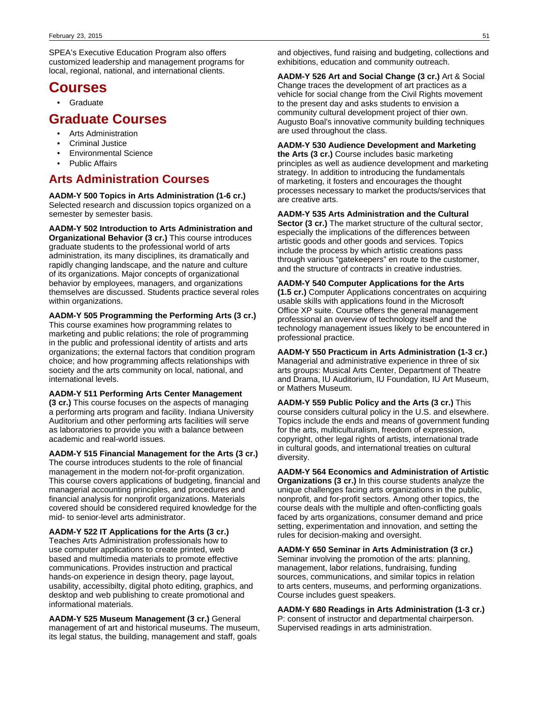SPEA's Executive Education Program also offers customized leadership and management programs for local, regional, national, and international clients.

# **Courses**

• Graduate

# **Graduate Courses**

- Arts Administration
- Criminal Justice
- Environmental Science
- Public Affairs

# **Arts Administration Courses**

**AADM-Y 500 Topics in Arts Administration (1-6 cr.)** Selected research and discussion topics organized on a semester by semester basis.

**AADM-Y 502 Introduction to Arts Administration and Organizational Behavior (3 cr.)** This course introduces graduate students to the professional world of arts administration, its many disciplines, its dramatically and rapidly changing landscape, and the nature and culture of its organizations. Major concepts of organizational behavior by employees, managers, and organizations themselves are discussed. Students practice several roles within organizations.

**AADM-Y 505 Programming the Performing Arts (3 cr.)** This course examines how programming relates to marketing and public relations; the role of programming in the public and professional identity of artists and arts organizations; the external factors that condition program choice; and how programming affects relationships with society and the arts community on local, national, and international levels.

### **AADM-Y 511 Performing Arts Center Management (3 cr.)** This course focuses on the aspects of managing a performing arts program and facility. Indiana University Auditorium and other performing arts facilities will serve as laboratories to provide you with a balance between

academic and real-world issues.

**AADM-Y 515 Financial Management for the Arts (3 cr.)** The course introduces students to the role of financial management in the modern not-for-profit organization. This course covers applications of budgeting, financial and managerial accounting principles, and procedures and financial analysis for nonprofit organizations. Materials covered should be considered required knowledge for the mid- to senior-level arts administrator.

**AADM-Y 522 IT Applications for the Arts (3 cr.)** Teaches Arts Administration professionals how to use computer applications to create printed, web based and multimedia materials to promote effective communications. Provides instruction and practical hands-on experience in design theory, page layout, usability, accessibilty, digital photo editing, graphics, and desktop and web publishing to create promotional and informational materials.

**AADM-Y 525 Museum Management (3 cr.)** General management of art and historical museums. The museum, its legal status, the building, management and staff, goals

and objectives, fund raising and budgeting, collections and exhibitions, education and community outreach.

**AADM-Y 526 Art and Social Change (3 cr.)** Art & Social Change traces the development of art practices as a vehicle for social change from the Civil Rights movement to the present day and asks students to envision a community cultural development project of thier own. Augusto Boal's innovative community building techniques are used throughout the class.

### **AADM-Y 530 Audience Development and Marketing the Arts (3 cr.)** Course includes basic marketing principles as well as audience development and marketing strategy. In addition to introducing the fundamentals of marketing, it fosters and encourages the thought processes necessary to market the products/services that are creative arts.

**AADM-Y 535 Arts Administration and the Cultural Sector (3 cr.)** The market structure of the cultural sector, especially the implications of the differences between artistic goods and other goods and services. Topics include the process by which artistic creations pass through various "gatekeepers" en route to the customer, and the structure of contracts in creative industries.

### **AADM-Y 540 Computer Applications for the Arts (1.5 cr.)** Computer Applications concentrates on acquiring usable skills with applications found in the Microsoft Office XP suite. Course offers the general management professional an overview of technology itself and the technology management issues likely to be encountered in professional practice.

**AADM-Y 550 Practicum in Arts Administration (1-3 cr.)** Managerial and administrative experience in three of six arts groups: Musical Arts Center, Department of Theatre and Drama, IU Auditorium, IU Foundation, IU Art Museum, or Mathers Museum.

**AADM-Y 559 Public Policy and the Arts (3 cr.)** This course considers cultural policy in the U.S. and elsewhere. Topics include the ends and means of government funding for the arts, multiculturalism, freedom of expression, copyright, other legal rights of artists, international trade in cultural goods, and international treaties on cultural diversity.

**AADM-Y 564 Economics and Administration of Artistic Organizations (3 cr.)** In this course students analyze the unique challenges facing arts organizations in the public, nonprofit, and for-profit sectors. Among other topics, the course deals with the multiple and often-conflicting goals faced by arts organizations, consumer demand and price setting, experimentation and innovation, and setting the rules for decision-making and oversight.

**AADM-Y 650 Seminar in Arts Administration (3 cr.)** Seminar involving the promotion of the arts: planning, management, labor relations, fundraising, funding sources, communications, and similar topics in relation to arts centers, museums, and performing organizations. Course includes guest speakers.

**AADM-Y 680 Readings in Arts Administration (1-3 cr.)** P: consent of instructor and departmental chairperson. Supervised readings in arts administration.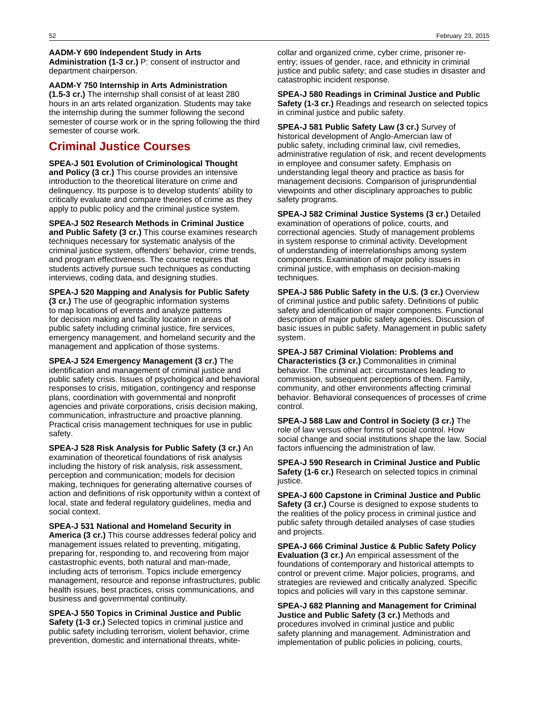### **AADM-Y 690 Independent Study in Arts**

**Administration (1-3 cr.)** P: consent of instructor and department chairperson.

**AADM-Y 750 Internship in Arts Administration (1.5-3 cr.)** The internship shall consist of at least 280 hours in an arts related organization. Students may take the internship during the summer following the second semester of course work or in the spring following the third semester of course work.

## **Criminal Justice Courses**

**SPEA-J 501 Evolution of Criminological Thought and Policy (3 cr.)** This course provides an intensive introduction to the theoretical literature on crime and delinquency. Its purpose is to develop students' ability to critically evaluate and compare theories of crime as they apply to public policy and the criminal justice system.

**SPEA-J 502 Research Methods in Criminal Justice and Public Safety (3 cr.)** This course examines research techniques necessary for systematic analysis of the criminal justice system, offenders' behavior, crime trends, and program effectiveness. The course requires that students actively pursue such techniques as conducting interviews, coding data, and designing studies.

**SPEA-J 520 Mapping and Analysis for Public Safety**

**(3 cr.)** The use of geographic information systems to map locations of events and analyze patterns for decision making and facility location in areas of public safety including criminal justice, fire services, emergency management, and homeland security and the management and application of those systems.

**SPEA-J 524 Emergency Management (3 cr.)** The identification and management of criminal justice and public safety crisis. Issues of psychological and behavioral responses to crisis, mitigation, contingency and response plans, coordination with governmental and nonprofit agencies and private corporations, crisis decision making, communication, infrastructure and proactive planning. Practical crisis management techniques for use in public safety.

**SPEA-J 528 Risk Analysis for Public Safety (3 cr.)** An examination of theoretical foundations of risk analysis including the history of risk analysis, risk assessment, perception and communication; models for decision making, techniques for generating alternative courses of action and definitions of risk opportunity within a context of local, state and federal regulatory guidelines, media and social context.

**SPEA-J 531 National and Homeland Security in America (3 cr.)** This course addresses federal policy and management issues related to preventing, mitigating, preparing for, responding to, and recovering from major castastrophic events, both natural and man-made, including acts of terrorism. Topics include emergency management, resource and reponse infrastructures, public health issues, best practices, crisis communications, and business and governmental continuity.

**SPEA-J 550 Topics in Criminal Justice and Public Safety (1-3 cr.)** Selected topics in criminal justice and public safety including terrorism, violent behavior, crime prevention, domestic and international threats, white-

collar and organized crime, cyber crime, prisoner reentry; issues of gender, race, and ethnicity in criminal justice and public safety; and case studies in disaster and catastrophic incident response.

**SPEA-J 580 Readings in Criminal Justice and Public Safety (1-3 cr.)** Readings and research on selected topics in criminal justice and public safety.

**SPEA-J 581 Public Safety Law (3 cr.)** Survey of historical development of Anglo-Amercian law of public safety, including criminal law, civil remedies, administrative regulation of risk, and recent developments in employee and consumer safety. Emphasis on understanding legal theory and practice as basis for management decisions. Comparison of jurisprundential viewpoints and other disciplinary approaches to public safety programs.

**SPEA-J 582 Criminal Justice Systems (3 cr.)** Detailed examination of operations of police, courts, and correctional agencies. Study of management problems in system response to criminal activity. Development of understanding of interrelationships among system components. Examination of major policy issues in criminal justice, with emphasis on decision-making techniques.

**SPEA-J 586 Public Safety in the U.S. (3 cr.)** Overview of criminal justice and public safety. Definitions of public safety and identification of major components. Functional description of major public safety agencies. Discussion of basic issues in public safety. Management in public safety system.

**SPEA-J 587 Criminal Violation: Problems and**

**Characteristics (3 cr.)** Commonalities in criminal behavior. The criminal act: circumstances leading to commission, subsequent perceptions of them. Family, community, and other environments affecting criminal behavior. Behavioral consequences of processes of crime control.

**SPEA-J 588 Law and Control in Society (3 cr.)** The role of law versus other forms of social control. How social change and social institutions shape the law. Social factors influencing the administration of law.

**SPEA-J 590 Research in Criminal Justice and Public Safety (1-6 cr.)** Research on selected topics in criminal justice.

**SPEA-J 600 Capstone in Criminal Justice and Public Safety (3 cr.)** Course is designed to expose students to the realities of the policy process in criminal justice and public safety through detailed analyses of case studies and projects.

**SPEA-J 666 Criminal Justice & Public Safety Policy Evaluation (3 cr.)** An empirical assessment of the foundations of contemporary and historical attempts to control or prevent crime. Major policies, programs, and strategies are reviewed and critically analyzed. Specific topics and policies will vary in this capstone seminar.

**SPEA-J 682 Planning and Management for Criminal Justice and Public Safety (3 cr.)** Methods and procedures involved in criminal justice and public safety planning and management. Administration and implementation of public policies in policing, courts,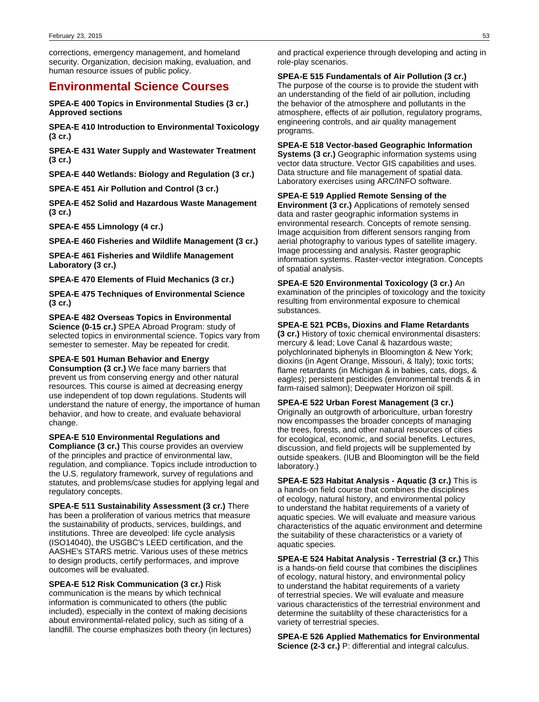corrections, emergency management, and homeland security. Organization, decision making, evaluation, and human resource issues of public policy.

## **Environmental Science Courses**

**SPEA-E 400 Topics in Environmental Studies (3 cr.) Approved sections**

**SPEA-E 410 Introduction to Environmental Toxicology (3 cr.)**

**SPEA-E 431 Water Supply and Wastewater Treatment (3 cr.)**

**SPEA-E 440 Wetlands: Biology and Regulation (3 cr.)**

**SPEA-E 451 Air Pollution and Control (3 cr.)**

**SPEA-E 452 Solid and Hazardous Waste Management (3 cr.)**

**SPEA-E 455 Limnology (4 cr.)**

**SPEA-E 460 Fisheries and Wildlife Management (3 cr.)**

**SPEA-E 461 Fisheries and Wildlife Management Laboratory (3 cr.)**

**SPEA-E 470 Elements of Fluid Mechanics (3 cr.)**

**SPEA-E 475 Techniques of Environmental Science (3 cr.)**

**SPEA-E 482 Overseas Topics in Environmental Science (0-15 cr.)** SPEA Abroad Program: study of selected topics in environmental science. Topics vary from semester to semester. May be repeated for credit.

### **SPEA-E 501 Human Behavior and Energy**

**Consumption (3 cr.)** We face many barriers that prevent us from conserving energy and other natural resources. This course is aimed at decreasing energy use independent of top down regulations. Students will understand the nature of energy, the importance of human behavior, and how to create, and evaluate behavioral change.

**SPEA-E 510 Environmental Regulations and Compliance (3 cr.)** This course provides an overview of the principles and practice of environmental law, regulation, and compliance. Topics include introduction to the U.S. regulatory framework, survey of regulations and statutes, and problems/case studies for applying legal and regulatory concepts.

**SPEA-E 511 Sustainability Assessment (3 cr.)** There has been a proliferation of various metrics that measure the sustainability of products, services, buildings, and institutions. Three are deveolped: life cycle analysis (ISO14040), the USGBC's LEED certification, and the AASHE's STARS metric. Various uses of these metrics to design products, certify performaces, and improve outcomes will be evaluated.

**SPEA-E 512 Risk Communication (3 cr.)** Risk communication is the means by which technical information is communicated to others (the public included), especially in the context of making decisions about environmental-related policy, such as siting of a landfill. The course emphasizes both theory (in lectures)

and practical experience through developing and acting in role-play scenarios.

**SPEA-E 515 Fundamentals of Air Pollution (3 cr.)** The purpose of the course is to provide the student with an understanding of the field of air pollution, including the behavior of the atmosphere and pollutants in the atmosphere, effects of air pollution, regulatory programs, engineering controls, and air quality management programs.

**SPEA-E 518 Vector-based Geographic Information Systems (3 cr.)** Geographic information systems using vector data structure. Vector GIS capabilities and uses. Data structure and file management of spatial data.

## Laboratory exercises using ARC/INFO software. **SPEA-E 519 Applied Remote Sensing of the**

**Environment (3 cr.)** Applications of remotely sensed data and raster geographic information systems in environmental research. Concepts of remote sensing. Image acquisition from different sensors ranging from aerial photography to various types of satellite imagery. Image processing and analysis. Raster geographic information systems. Raster-vector integration. Concepts of spatial analysis.

**SPEA-E 520 Environmental Toxicology (3 cr.)** An examination of the principles of toxicology and the toxicity resulting from environmental exposure to chemical substances.

### **SPEA-E 521 PCBs, Dioxins and Flame Retardants**

**(3 cr.)** History of toxic chemical environmental disasters: mercury & lead; Love Canal & hazardous waste; polychlorinated biphenyls in Bloomington & New York; dioxins (in Agent Orange, Missouri, & Italy); toxic torts; flame retardants (in Michigan & in babies, cats, dogs, & eagles); persistent pesticides (environmental trends & in farm-raised salmon); Deepwater Horizon oil spill.

### **SPEA-E 522 Urban Forest Management (3 cr.)**

Originally an outgrowth of arboriculture, urban forestry now encompasses the broader concepts of managing the trees, forests, and other natural resources of cities for ecological, economic, and social benefits. Lectures, discussion, and field projects will be supplemented by outside speakers. (IUB and Bloomington will be the field laboratory.)

**SPEA-E 523 Habitat Analysis - Aquatic (3 cr.)** This is a hands-on field course that combines the disciplines of ecology, natural history, and environmental policy to understand the habitat requirements of a variety of aquatic species. We will evaluate and measure various characteristics of the aquatic environment and determine the suitability of these characteristics or a variety of aquatic species.

**SPEA-E 524 Habitat Analysis - Terrestrial (3 cr.)** This is a hands-on field course that combines the disciplines of ecology, natural history, and environmental policy to understand the habitat requirements of a variety of terrestrial species. We will evaluate and measure various characteristics of the terrestrial environment and determine the suitablilty of these characteristics for a variety of terrestrial species.

**SPEA-E 526 Applied Mathematics for Environmental Science (2-3 cr.)** P: differential and integral calculus.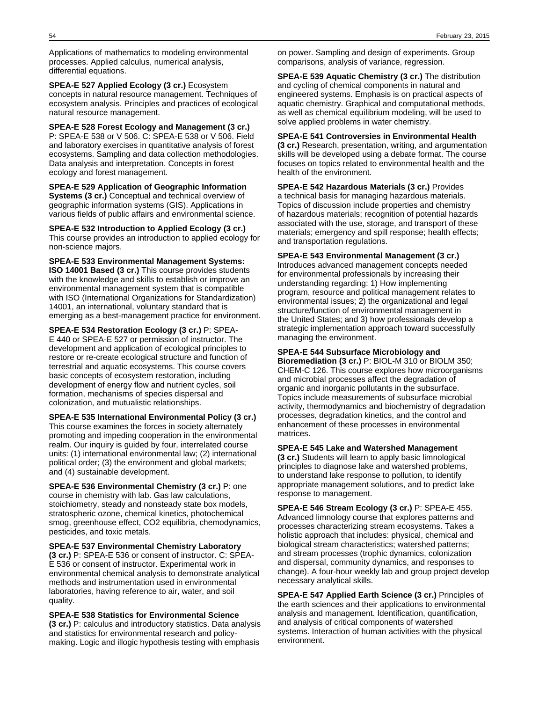Applications of mathematics to modeling environmental processes. Applied calculus, numerical analysis, differential equations.

**SPEA-E 527 Applied Ecology (3 cr.)** Ecosystem concepts in natural resource management. Techniques of ecosystem analysis. Principles and practices of ecological natural resource management.

**SPEA-E 528 Forest Ecology and Management (3 cr.)** P: SPEA-E 538 or V 506. C: SPEA-E 538 or V 506. Field and laboratory exercises in quantitative analysis of forest ecosystems. Sampling and data collection methodologies. Data analysis and interpretation. Concepts in forest ecology and forest management.

**SPEA-E 529 Application of Geographic Information Systems (3 cr.)** Conceptual and technical overview of geographic information systems (GIS). Applications in various fields of public affairs and environmental science.

**SPEA-E 532 Introduction to Applied Ecology (3 cr.)** This course provides an introduction to applied ecology for non-science majors.

**SPEA-E 533 Environmental Management Systems: ISO 14001 Based (3 cr.)** This course provides students with the knowledge and skills to establish or improve an environmental management system that is compatible with ISO (International Organizations for Standardization) 14001, an international, voluntary standard that is emerging as a best-management practice for environment.

**SPEA-E 534 Restoration Ecology (3 cr.)** P: SPEA-E 440 or SPEA-E 527 or permission of instructor. The development and application of ecological principles to restore or re-create ecological structure and function of terrestrial and aquatic ecosystems. This course covers basic concepts of ecosystem restoration, including development of energy flow and nutrient cycles, soil formation, mechanisms of species dispersal and colonization, and mutualistic relationships.

**SPEA-E 535 International Environmental Policy (3 cr.)** This course examines the forces in society alternately promoting and impeding cooperation in the environmental realm. Our inquiry is guided by four, interrelated course units: (1) international environmental law; (2) international political order; (3) the environment and global markets; and (4) sustainable development.

**SPEA-E 536 Environmental Chemistry (3 cr.)** P: one course in chemistry with lab. Gas law calculations, stoichiometry, steady and nonsteady state box models, stratospheric ozone, chemical kinetics, photochemical smog, greenhouse effect, CO2 equilibria, chemodynamics, pesticides, and toxic metals.

**SPEA-E 537 Environmental Chemistry Laboratory (3 cr.)** P: SPEA-E 536 or consent of instructor. C: SPEA-E 536 or consent of instructor. Experimental work in environmental chemical analysis to demonstrate analytical methods and instrumentation used in environmental laboratories, having reference to air, water, and soil quality.

**SPEA-E 538 Statistics for Environmental Science (3 cr.)** P: calculus and introductory statistics. Data analysis and statistics for environmental research and policymaking. Logic and illogic hypothesis testing with emphasis

on power. Sampling and design of experiments. Group comparisons, analysis of variance, regression.

**SPEA-E 539 Aquatic Chemistry (3 cr.)** The distribution and cycling of chemical components in natural and engineered systems. Emphasis is on practical aspects of aquatic chemistry. Graphical and computational methods, as well as chemical equilibrium modeling, will be used to solve applied problems in water chemistry.

### **SPEA-E 541 Controversies in Environmental Health**

**(3 cr.)** Research, presentation, writing, and argumentation skills will be developed using a debate format. The course focuses on topics related to environmental health and the health of the environment.

**SPEA-E 542 Hazardous Materials (3 cr.)** Provides a technical basis for managing hazardous materials. Topics of discussion include properties and chemistry of hazardous materials; recognition of potential hazards associated with the use, storage, and transport of these materials; emergency and spill response; health effects; and transportation regulations.

## **SPEA-E 543 Environmental Management (3 cr.)**

Introduces advanced management concepts needed for environmental professionals by increasing their understanding regarding: 1) How implementing program, resource and political management relates to environmental issues; 2) the organizational and legal structure/function of environmental management in the United States; and 3) how professionals develop a strategic implementation approach toward successfully managing the environment.

## **SPEA-E 544 Subsurface Microbiology and**

**Bioremediation (3 cr.)** P: BIOL-M 310 or BIOLM 350; CHEM-C 126. This course explores how microorganisms and microbial processes affect the degradation of organic and inorganic pollutants in the subsurface. Topics include measurements of subsurface microbial activity, thermodynamics and biochemistry of degradation processes, degradation kinetics, and the control and enhancement of these processes in environmental matrices.

### **SPEA-E 545 Lake and Watershed Management**

**(3 cr.)** Students will learn to apply basic limnological principles to diagnose lake and watershed problems, to understand lake response to pollution, to identify appropriate management solutions, and to predict lake response to management.

**SPEA-E 546 Stream Ecology (3 cr.)** P: SPEA-E 455. Advanced limnology course that explores patterns and processes characterizing stream ecosystems. Takes a holistic approach that includes: physical, chemical and biological stream characteristics; watershed patterns; and stream processes (trophic dynamics, colonization and dispersal, community dynamics, and responses to change). A four-hour weekly lab and group project develop necessary analytical skills.

**SPEA-E 547 Applied Earth Science (3 cr.)** Principles of the earth sciences and their applications to environmental analysis and management. Identification, quantification, and analysis of critical components of watershed systems. Interaction of human activities with the physical environment.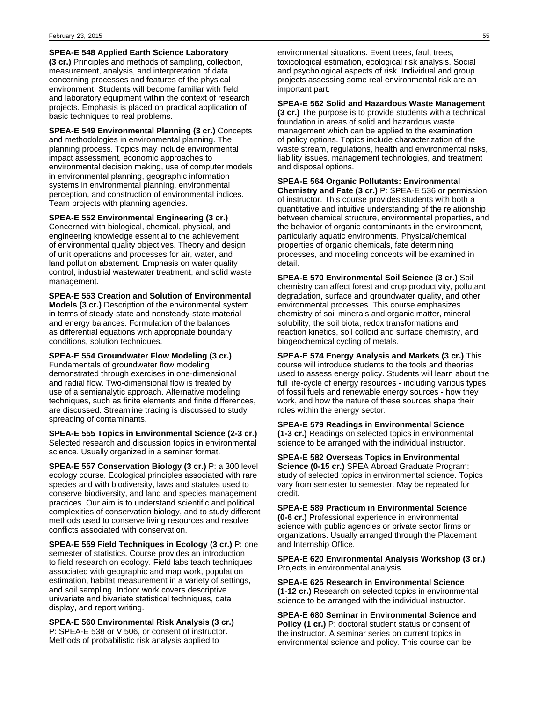**SPEA-E 548 Applied Earth Science Laboratory**

**(3 cr.)** Principles and methods of sampling, collection, measurement, analysis, and interpretation of data concerning processes and features of the physical environment. Students will become familiar with field and laboratory equipment within the context of research projects. Emphasis is placed on practical application of basic techniques to real problems.

**SPEA-E 549 Environmental Planning (3 cr.)** Concepts and methodologies in environmental planning. The planning process. Topics may include environmental impact assessment, economic approaches to environmental decision making, use of computer models in environmental planning, geographic information systems in environmental planning, environmental perception, and construction of environmental indices. Team projects with planning agencies.

**SPEA-E 552 Environmental Engineering (3 cr.)** Concerned with biological, chemical, physical, and engineering knowledge essential to the achievement of environmental quality objectives. Theory and design of unit operations and processes for air, water, and land pollution abatement. Emphasis on water quality control, industrial wastewater treatment, and solid waste management.

**SPEA-E 553 Creation and Solution of Environmental Models (3 cr.)** Description of the environmental system in terms of steady-state and nonsteady-state material and energy balances. Formulation of the balances as differential equations with appropriate boundary conditions, solution techniques.

**SPEA-E 554 Groundwater Flow Modeling (3 cr.)** Fundamentals of groundwater flow modeling demonstrated through exercises in one-dimensional and radial flow. Two-dimensional flow is treated by use of a semianalytic approach. Alternative modeling techniques, such as finite elements and finite differences, are discussed. Streamline tracing is discussed to study spreading of contaminants.

**SPEA-E 555 Topics in Environmental Science (2-3 cr.)** Selected research and discussion topics in environmental science. Usually organized in a seminar format.

**SPEA-E 557 Conservation Biology (3 cr.)** P: a 300 level ecology course. Ecological principles associated with rare species and with biodiversity, laws and statutes used to conserve biodiversity, and land and species management practices. Our aim is to understand scientific and political complexities of conservation biology, and to study different methods used to conserve living resources and resolve conflicts associated with conservation.

**SPEA-E 559 Field Techniques in Ecology (3 cr.)** P: one semester of statistics. Course provides an introduction to field research on ecology. Field labs teach techniques associated with geographic and map work, population estimation, habitat measurement in a variety of settings, and soil sampling. Indoor work covers descriptive univariate and bivariate statistical techniques, data display, and report writing.

**SPEA-E 560 Environmental Risk Analysis (3 cr.)** P: SPEA-E 538 or V 506, or consent of instructor. Methods of probabilistic risk analysis applied to

environmental situations. Event trees, fault trees, toxicological estimation, ecological risk analysis. Social and psychological aspects of risk. Individual and group projects assessing some real environmental risk are an important part.

### **SPEA-E 562 Solid and Hazardous Waste Management**

**(3 cr.)** The purpose is to provide students with a technical foundation in areas of solid and hazardous waste management which can be applied to the examination of policy options. Topics include characterization of the waste stream, regulations, health and environmental risks, liability issues, management technologies, and treatment and disposal options.

**SPEA-E 564 Organic Pollutants: Environmental Chemistry and Fate (3 cr.)** P: SPEA-E 536 or permission of instructor. This course provides students with both a quantitative and intuitive understanding of the relationship between chemical structure, environmental properties, and the behavior of organic contaminants in the environment, particularly aquatic environments. Physical/chemical properties of organic chemicals, fate determining processes, and modeling concepts will be examined in detail.

**SPEA-E 570 Environmental Soil Science (3 cr.)** Soil chemistry can affect forest and crop productivity, pollutant degradation, surface and groundwater quality, and other environmental processes. This course emphasizes chemistry of soil minerals and organic matter, mineral solubility, the soil biota, redox transformations and reaction kinetics, soil colloid and surface chemistry, and biogeochemical cycling of metals.

**SPEA-E 574 Energy Analysis and Markets (3 cr.)** This course will introduce students to the tools and theories used to assess energy policy. Students will learn about the full life-cycle of energy resources - including various types of fossil fuels and renewable energy sources - how they work, and how the nature of these sources shape their roles within the energy sector.

**SPEA-E 579 Readings in Environmental Science (1-3 cr.)** Readings on selected topics in environmental science to be arranged with the individual instructor.

**SPEA-E 582 Overseas Topics in Environmental Science (0-15 cr.)** SPEA Abroad Graduate Program: study of selected topics in environmental science. Topics vary from semester to semester. May be repeated for credit.

**SPEA-E 589 Practicum in Environmental Science (0-6 cr.)** Professional experience in environmental science with public agencies or private sector firms or organizations. Usually arranged through the Placement and Internship Office.

**SPEA-E 620 Environmental Analysis Workshop (3 cr.)** Projects in environmental analysis.

**SPEA-E 625 Research in Environmental Science (1-12 cr.)** Research on selected topics in environmental science to be arranged with the individual instructor.

**SPEA-E 680 Seminar in Environmental Science and Policy (1 cr.)** P: doctoral student status or consent of the instructor. A seminar series on current topics in environmental science and policy. This course can be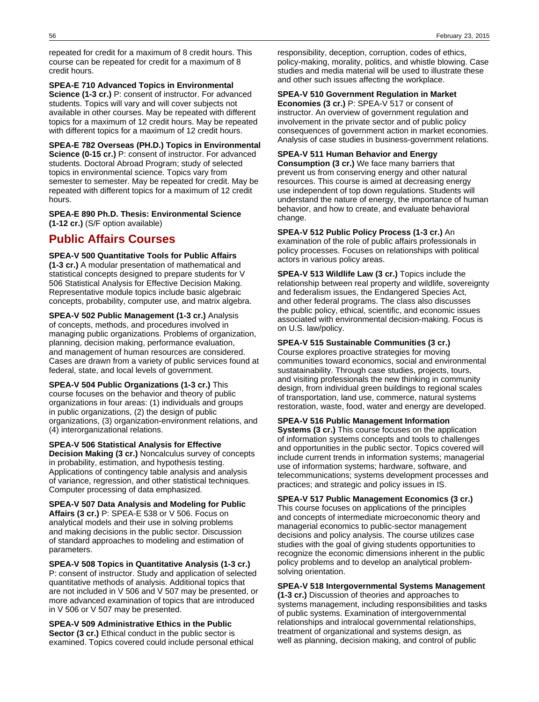repeated for credit for a maximum of 8 credit hours. This course can be repeated for credit for a maximum of 8 credit hours.

### **SPEA-E 710 Advanced Topics in Environmental**

**Science (1-3 cr.)** P: consent of instructor. For advanced students. Topics will vary and will cover subjects not available in other courses. May be repeated with different topics for a maximum of 12 credit hours. May be repeated with different topics for a maximum of 12 credit hours.

**SPEA-E 782 Overseas (PH.D.) Topics in Environmental Science (0-15 cr.)** P: consent of instructor. For advanced students. Doctoral Abroad Program; study of selected topics in environmental science. Topics vary from semester to semester. May be repeated for credit. May be repeated with different topics for a maximum of 12 credit hours.

**SPEA-E 890 Ph.D. Thesis: Environmental Science (1-12 cr.)** (S/F option available)

## **Public Affairs Courses**

**SPEA-V 500 Quantitative Tools for Public Affairs (1-3 cr.)** A modular presentation of mathematical and statistical concepts designed to prepare students for V 506 Statistical Analysis for Effective Decision Making. Representative module topics include basic algebraic concepts, probability, computer use, and matrix algebra.

**SPEA-V 502 Public Management (1-3 cr.)** Analysis of concepts, methods, and procedures involved in managing public organizations. Problems of organization, planning, decision making, performance evaluation, and management of human resources are considered. Cases are drawn from a variety of public services found at federal, state, and local levels of government.

**SPEA-V 504 Public Organizations (1-3 cr.)** This course focuses on the behavior and theory of public organizations in four areas: (1) individuals and groups in public organizations, (2) the design of public organizations, (3) organization-environment relations, and (4) interorganizational relations.

**SPEA-V 506 Statistical Analysis for Effective Decision Making (3 cr.)** Noncalculus survey of concepts in probability, estimation, and hypothesis testing. Applications of contingency table analysis and analysis of variance, regression, and other statistical techniques. Computer processing of data emphasized.

**SPEA-V 507 Data Analysis and Modeling for Public Affairs (3 cr.)** P: SPEA-E 538 or V 506. Focus on analytical models and their use in solving problems and making decisions in the public sector. Discussion of standard approaches to modeling and estimation of parameters.

**SPEA-V 508 Topics in Quantitative Analysis (1-3 cr.)** P: consent of instructor. Study and application of selected quantitative methods of analysis. Additional topics that are not included in V 506 and V 507 may be presented, or more advanced examination of topics that are introduced in V 506 or V 507 may be presented.

**SPEA-V 509 Administrative Ethics in the Public Sector (3 cr.)** Ethical conduct in the public sector is examined. Topics covered could include personal ethical

responsibility, deception, corruption, codes of ethics, policy-making, morality, politics, and whistle blowing. Case studies and media material will be used to illustrate these and other such issues affecting the workplace.

## **SPEA-V 510 Government Regulation in Market**

**Economies (3 cr.)** P: SPEA-V 517 or consent of instructor. An overview of government regulation and involvement in the private sector and of public policy consequences of government action in market economies. Analysis of case studies in business-government relations.

## **SPEA-V 511 Human Behavior and Energy**

**Consumption (3 cr.)** We face many barriers that prevent us from conserving energy and other natural resources. This course is aimed at decreasing energy use independent of top down regulations. Students will understand the nature of energy, the importance of human behavior, and how to create, and evaluate behavioral change.

**SPEA-V 512 Public Policy Process (1-3 cr.)** An examination of the role of public affairs professionals in policy processes. Focuses on relationships with political actors in various policy areas.

**SPEA-V 513 Wildlife Law (3 cr.)** Topics include the relationship between real property and wildlife, sovereignty and federalism issues, the Endangered Species Act, and other federal programs. The class also discusses the public policy, ethical, scientific, and economic issues associated with environmental decision-making. Focus is on U.S. law/policy.

## **SPEA-V 515 Sustainable Communities (3 cr.)**

Course explores proactive strategies for moving communities toward economics, social and environmental sustatainability. Through case studies, projects, tours, and visiting professionals the new thinking in community design, from individual green buildings to regional scales of transportation, land use, commerce, natural systems restoration, waste, food, water and energy are developed.

### **SPEA-V 516 Public Management Information**

**Systems (3 cr.)** This course focuses on the application of information systems concepts and tools to challenges and opportunities in the public sector. Topics covered will include current trends in information systems; managerial use of information systems; hardware, software, and telecommunications; systems development processes and practices; and strategic and policy issues in IS.

**SPEA-V 517 Public Management Economics (3 cr.)** This course focuses on applications of the principles and concepts of intermediate microeconomic theory and managerial economics to public-sector management decisions and policy analysis. The course utilizes case studies with the goal of giving students opportunities to recognize the economic dimensions inherent in the public policy problems and to develop an analytical problemsolving orientation.

### **SPEA-V 518 Intergovernmental Systems Management**

**(1-3 cr.)** Discussion of theories and approaches to systems management, including responsibilities and tasks of public systems. Examination of intergovernmental relationships and intralocal governmental relationships, treatment of organizational and systems design, as well as planning, decision making, and control of public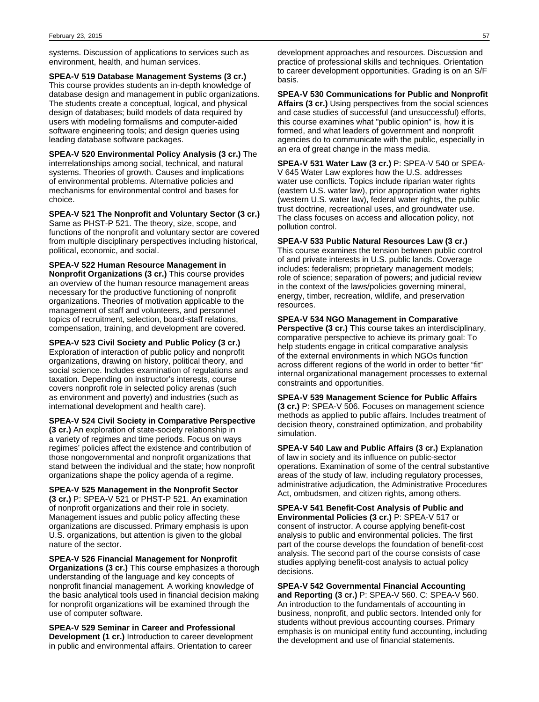systems. Discussion of applications to services such as environment, health, and human services.

**SPEA-V 519 Database Management Systems (3 cr.)** This course provides students an in-depth knowledge of database design and management in public organizations. The students create a conceptual, logical, and physical design of databases; build models of data required by users with modeling formalisms and computer-aided software engineering tools; and design queries using leading database software packages.

**SPEA-V 520 Environmental Policy Analysis (3 cr.)** The interrelationships among social, technical, and natural systems. Theories of growth. Causes and implications of environmental problems. Alternative policies and mechanisms for environmental control and bases for choice.

**SPEA-V 521 The Nonprofit and Voluntary Sector (3 cr.)** Same as PHST-P 521. The theory, size, scope, and functions of the nonprofit and voluntary sector are covered from multiple disciplinary perspectives including historical, political, economic, and social.

**SPEA-V 522 Human Resource Management in Nonprofit Organizations (3 cr.)** This course provides an overview of the human resource management areas necessary for the productive functioning of nonprofit organizations. Theories of motivation applicable to the management of staff and volunteers, and personnel topics of recruitment, selection, board-staff relations, compensation, training, and development are covered.

**SPEA-V 523 Civil Society and Public Policy (3 cr.)** Exploration of interaction of public policy and nonprofit organizations, drawing on history, political theory, and social science. Includes examination of regulations and taxation. Depending on instructor's interests, course covers nonprofit role in selected policy arenas (such as environment and poverty) and industries (such as international development and health care).

**SPEA-V 524 Civil Society in Comparative Perspective (3 cr.)** An exploration of state-society relationship in

a variety of regimes and time periods. Focus on ways regimes' policies affect the existence and contribution of those nongovernmental and nonprofit organizations that stand between the individual and the state; how nonprofit organizations shape the policy agenda of a regime.

**SPEA-V 525 Management in the Nonprofit Sector (3 cr.)** P: SPEA-V 521 or PHST-P 521. An examination of nonprofit organizations and their role in society. Management issues and public policy affecting these organizations are discussed. Primary emphasis is upon U.S. organizations, but attention is given to the global nature of the sector.

**SPEA-V 526 Financial Management for Nonprofit Organizations (3 cr.)** This course emphasizes a thorough understanding of the language and key concepts of nonprofit financial management. A working knowledge of the basic analytical tools used in financial decision making for nonprofit organizations will be examined through the use of computer software.

**SPEA-V 529 Seminar in Career and Professional Development (1 cr.)** Introduction to career development in public and environmental affairs. Orientation to career

development approaches and resources. Discussion and practice of professional skills and techniques. Orientation to career development opportunities. Grading is on an S/F basis.

**SPEA-V 530 Communications for Public and Nonprofit Affairs (3 cr.)** Using perspectives from the social sciences and case studies of successful (and unsuccessful) efforts, this course examines what "public opinion" is, how it is formed, and what leaders of government and nonprofit agencies do to communicate with the public, especially in an era of great change in the mass media.

**SPEA-V 531 Water Law (3 cr.)** P: SPEA-V 540 or SPEA-V 645 Water Law explores how the U.S. addresses water use conflicts. Topics include riparian water rights (eastern U.S. water law), prior appropriation water rights (western U.S. water law), federal water rights, the public trust doctrine, recreational uses, and groundwater use. The class focuses on access and allocation policy, not pollution control.

**SPEA-V 533 Public Natural Resources Law (3 cr.)** This course examines the tension between public control of and private interests in U.S. public lands. Coverage includes: federalism; proprietary management models; role of science; separation of powers; and judicial review in the context of the laws/policies governing mineral, energy, timber, recreation, wildlife, and preservation resources.

**SPEA-V 534 NGO Management in Comparative**

**Perspective (3 cr.)** This course takes an interdisciplinary, comparative perspective to achieve its primary goal: To help students engage in critical comparative analysis of the external environments in which NGOs function across different regions of the world in order to better "fit" internal organizational management processes to external constraints and opportunities.

**SPEA-V 539 Management Science for Public Affairs (3 cr.)** P: SPEA-V 506. Focuses on management science methods as applied to public affairs. Includes treatment of decision theory, constrained optimization, and probability simulation.

**SPEA-V 540 Law and Public Affairs (3 cr.)** Explanation of law in society and its influence on public-sector operations. Examination of some of the central substantive areas of the study of law, including regulatory processes, administrative adjudication, the Administrative Procedures Act, ombudsmen, and citizen rights, among others.

**SPEA-V 541 Benefit-Cost Analysis of Public and Environmental Policies (3 cr.)** P: SPEA-V 517 or consent of instructor. A course applying benefit-cost analysis to public and environmental policies. The first part of the course develops the foundation of benefit-cost analysis. The second part of the course consists of case studies applying benefit-cost analysis to actual policy decisions.

**SPEA-V 542 Governmental Financial Accounting and Reporting (3 cr.)** P: SPEA-V 560. C: SPEA-V 560. An introduction to the fundamentals of accounting in business, nonprofit, and public sectors. Intended only for students without previous accounting courses. Primary emphasis is on municipal entity fund accounting, including the development and use of financial statements.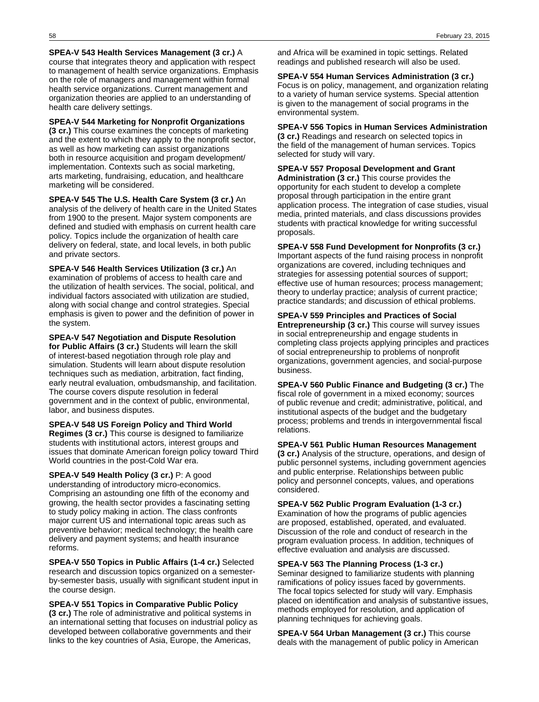**SPEA-V 543 Health Services Management (3 cr.)** A course that integrates theory and application with respect to management of health service organizations. Emphasis on the role of managers and management within formal health service organizations. Current management and organization theories are applied to an understanding of health care delivery settings.

**SPEA-V 544 Marketing for Nonprofit Organizations**

**(3 cr.)** This course examines the concepts of marketing and the extent to which they apply to the nonprofit sector, as well as how marketing can assist organizations both in resource acquisition and progam development/ implementation. Contexts such as social marketing, arts marketing, fundraising, education, and healthcare marketing will be considered.

**SPEA-V 545 The U.S. Health Care System (3 cr.)** An analysis of the delivery of health care in the United States from 1900 to the present. Major system components are defined and studied with emphasis on current health care policy. Topics include the organization of health care delivery on federal, state, and local levels, in both public and private sectors.

**SPEA-V 546 Health Services Utilization (3 cr.)** An examination of problems of access to health care and the utilization of health services. The social, political, and individual factors associated with utilization are studied, along with social change and control strategies. Special emphasis is given to power and the definition of power in the system.

**SPEA-V 547 Negotiation and Dispute Resolution for Public Affairs (3 cr.)** Students will learn the skill of interest-based negotiation through role play and simulation. Students will learn about dispute resolution techniques such as mediation, arbitration, fact finding, early neutral evaluation, ombudsmanship, and facilitation. The course covers dispute resolution in federal government and in the context of public, environmental, labor, and business disputes.

**SPEA-V 548 US Foreign Policy and Third World Regimes (3 cr.)** This course is designed to familiarize students with institutional actors, interest groups and issues that dominate American foreign policy toward Third World countries in the post-Cold War era.

**SPEA-V 549 Health Policy (3 cr.)** P: A good understanding of introductory micro-economics. Comprising an astounding one fifth of the economy and growing, the health sector provides a fascinating setting to study policy making in action. The class confronts major current US and international topic areas such as preventive behavior; medical technology; the health care delivery and payment systems; and health insurance reforms.

**SPEA-V 550 Topics in Public Affairs (1-4 cr.)** Selected research and discussion topics organized on a semesterby-semester basis, usually with significant student input in the course design.

**SPEA-V 551 Topics in Comparative Public Policy (3 cr.)** The role of administrative and political systems in an international setting that focuses on industrial policy as developed between collaborative governments and their links to the key countries of Asia, Europe, the Americas,

and Africa will be examined in topic settings. Related readings and published research will also be used.

## **SPEA-V 554 Human Services Administration (3 cr.)**

Focus is on policy, management, and organization relating to a variety of human service systems. Special attention is given to the management of social programs in the environmental system.

**SPEA-V 556 Topics in Human Services Administration**

**(3 cr.)** Readings and research on selected topics in the field of the management of human services. Topics selected for study will vary.

**SPEA-V 557 Proposal Development and Grant Administration (3 cr.)** This course provides the opportunity for each student to develop a complete proposal through participation in the entire grant application process. The integration of case studies, visual media, printed materials, and class discussions provides students with practical knowledge for writing successful proposals.

**SPEA-V 558 Fund Development for Nonprofits (3 cr.)** Important aspects of the fund raising process in nonprofit organizations are covered, including techniques and strategies for assessing potential sources of support; effective use of human resources; process management; theory to underlay practice; analysis of current practice; practice standards; and discussion of ethical problems.

**SPEA-V 559 Principles and Practices of Social Entrepreneurship (3 cr.)** This course will survey issues

in social entrepreneurship and engage students in completing class projects applying principles and practices of social entrepreneurship to problems of nonprofit organizations, government agencies, and social-purpose business.

**SPEA-V 560 Public Finance and Budgeting (3 cr.)** The fiscal role of government in a mixed economy; sources of public revenue and credit; administrative, political, and institutional aspects of the budget and the budgetary process; problems and trends in intergovernmental fiscal relations.

**SPEA-V 561 Public Human Resources Management**

**(3 cr.)** Analysis of the structure, operations, and design of public personnel systems, including government agencies and public enterprise. Relationships between public policy and personnel concepts, values, and operations considered.

**SPEA-V 562 Public Program Evaluation (1-3 cr.)** Examination of how the programs of public agencies are proposed, established, operated, and evaluated. Discussion of the role and conduct of research in the program evaluation process. In addition, techniques of effective evaluation and analysis are discussed.

**SPEA-V 563 The Planning Process (1-3 cr.)**

Seminar designed to familiarize students with planning ramifications of policy issues faced by governments. The focal topics selected for study will vary. Emphasis placed on identification and analysis of substantive issues, methods employed for resolution, and application of planning techniques for achieving goals.

**SPEA-V 564 Urban Management (3 cr.)** This course deals with the management of public policy in American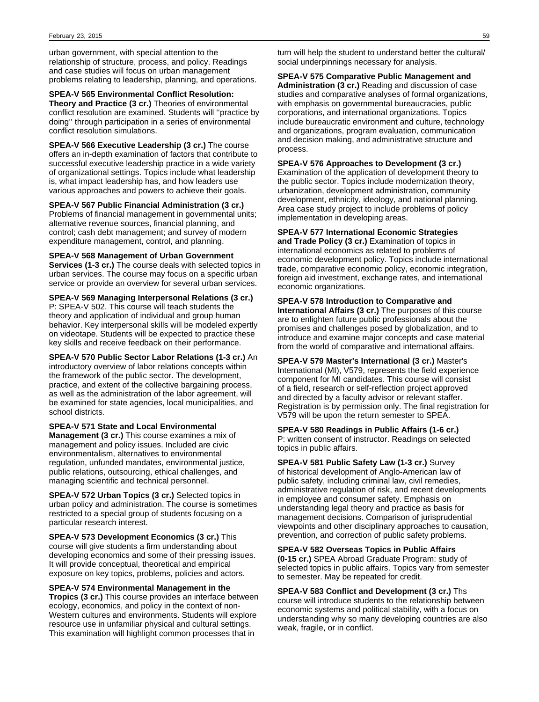urban government, with special attention to the relationship of structure, process, and policy. Readings and case studies will focus on urban management problems relating to leadership, planning, and operations.

## **SPEA-V 565 Environmental Conflict Resolution:**

**Theory and Practice (3 cr.)** Theories of environmental conflict resolution are examined. Students will ''practice by doing'' through participation in a series of environmental conflict resolution simulations.

**SPEA-V 566 Executive Leadership (3 cr.)** The course offers an in-depth examination of factors that contribute to successful executive leadership practice in a wide variety of organizational settings. Topics include what leadership is, what impact leadership has, and how leaders use various approaches and powers to achieve their goals.

**SPEA-V 567 Public Financial Administration (3 cr.)** Problems of financial management in governmental units; alternative revenue sources, financial planning, and control; cash debt management; and survey of modern expenditure management, control, and planning.

### **SPEA-V 568 Management of Urban Government Services (1-3 cr.)** The course deals with selected topics in urban services. The course may focus on a specific urban service or provide an overview for several urban services.

**SPEA-V 569 Managing Interpersonal Relations (3 cr.)** P: SPEA-V 502. This course will teach students the theory and application of individual and group human behavior. Key interpersonal skills will be modeled expertly on videotape. Students will be expected to practice these key skills and receive feedback on their performance.

**SPEA-V 570 Public Sector Labor Relations (1-3 cr.)** An introductory overview of labor relations concepts within the framework of the public sector. The development, practice, and extent of the collective bargaining process, as well as the administration of the labor agreement, will be examined for state agencies, local municipalities, and school districts.

**SPEA-V 571 State and Local Environmental Management (3 cr.)** This course examines a mix of management and policy issues. Included are civic environmentalism, alternatives to environmental regulation, unfunded mandates, environmental justice, public relations, outsourcing, ethical challenges, and managing scientific and technical personnel.

**SPEA-V 572 Urban Topics (3 cr.)** Selected topics in urban policy and administration. The course is sometimes restricted to a special group of students focusing on a particular research interest.

**SPEA-V 573 Development Economics (3 cr.)** This course will give students a firm understanding about developing economics and some of their pressing issues. It will provide conceptual, theoretical and empirical exposure on key topics, problems, policies and actors.

**SPEA-V 574 Environmental Management in the Tropics (3 cr.)** This course provides an interface between ecology, economics, and policy in the context of non-Western cultures and environments. Students will explore resource use in unfamiliar physical and cultural settings. This examination will highlight common processes that in

turn will help the student to understand better the cultural/ social underpinnings necessary for analysis.

**SPEA-V 575 Comparative Public Management and Administration (3 cr.)** Reading and discussion of case studies and comparative analyses of formal organizations, with emphasis on governmental bureaucracies, public corporations, and international organizations. Topics include bureaucratic environment and culture, technology and organizations, program evaluation, communication and decision making, and administrative structure and process.

## **SPEA-V 576 Approaches to Development (3 cr.)**

Examination of the application of development theory to the public sector. Topics include modernization theory, urbanization, development administration, community development, ethnicity, ideology, and national planning. Area case study project to include problems of policy implementation in developing areas.

**SPEA-V 577 International Economic Strategies and Trade Policy (3 cr.)** Examination of topics in international economics as related to problems of economic development policy. Topics include international trade, comparative economic policy, economic integration, foreign aid investment, exchange rates, and international economic organizations.

**SPEA-V 578 Introduction to Comparative and International Affairs (3 cr.)** The purposes of this course are to enlighten future public professionals about the promises and challenges posed by globalization, and to introduce and examine major concepts and case material from the world of comparative and international affairs.

**SPEA-V 579 Master's International (3 cr.)** Master's International (MI), V579, represents the field experience component for MI candidates. This course will consist of a field, research or self-reflection project approved and directed by a faculty advisor or relevant staffer. Registration is by permission only. The final registration for V579 will be upon the return semester to SPEA.

**SPEA-V 580 Readings in Public Affairs (1-6 cr.)** P: written consent of instructor. Readings on selected topics in public affairs.

**SPEA-V 581 Public Safety Law (1-3 cr.)** Survey of historical development of Anglo-American law of public safety, including criminal law, civil remedies, administrative regulation of risk, and recent developments in employee and consumer safety. Emphasis on understanding legal theory and practice as basis for management decisions. Comparison of jurisprudential viewpoints and other disciplinary approaches to causation, prevention, and correction of public safety problems.

**SPEA-V 582 Overseas Topics in Public Affairs (0-15 cr.)** SPEA Abroad Graduate Program: study of selected topics in public affairs. Topics vary from semester to semester. May be repeated for credit.

**SPEA-V 583 Conflict and Development (3 cr.)** Ths course will introduce students to the relationship between economic systems and political stability, with a focus on understanding why so many developing countries are also weak, fragile, or in conflict.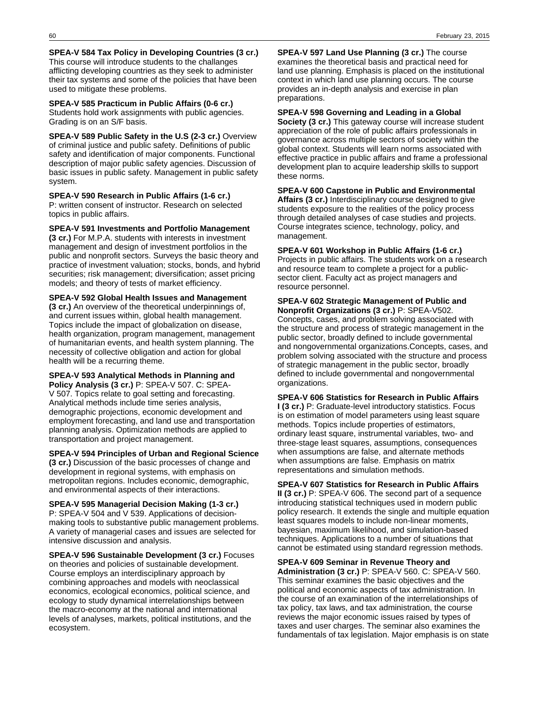**SPEA-V 584 Tax Policy in Developing Countries (3 cr.)** This course will introduce students to the challanges afflicting developing countries as they seek to administer their tax systems and some of the policies that have been used to mitigate these problems.

**SPEA-V 585 Practicum in Public Affairs (0-6 cr.)** Students hold work assignments with public agencies. Grading is on an S/F basis.

**SPEA-V 589 Public Safety in the U.S (2-3 cr.)** Overview of criminal justice and public safety. Definitions of public safety and identification of major components. Functional description of major public safety agencies. Discussion of basic issues in public safety. Management in public safety system.

**SPEA-V 590 Research in Public Affairs (1-6 cr.)** P: written consent of instructor. Research on selected topics in public affairs.

**SPEA-V 591 Investments and Portfolio Management (3 cr.)** For M.P.A. students with interests in investment management and design of investment portfolios in the public and nonprofit sectors. Surveys the basic theory and practice of investment valuation; stocks, bonds, and hybrid securities; risk management; diversification; asset pricing models; and theory of tests of market efficiency.

**SPEA-V 592 Global Health Issues and Management (3 cr.)** An overview of the theoretical underpinnings of, and current issues within, global health management. Topics include the impact of globalization on disease, health organization, program management, management of humanitarian events, and health system planning. The necessity of collective obligation and action for global health will be a recurring theme.

**SPEA-V 593 Analytical Methods in Planning and Policy Analysis (3 cr.)** P: SPEA-V 507. C: SPEA-V 507. Topics relate to goal setting and forecasting. Analytical methods include time series analysis, demographic projections, economic development and employment forecasting, and land use and transportation planning analysis. Optimization methods are applied to transportation and project management.

**SPEA-V 594 Principles of Urban and Regional Science (3 cr.)** Discussion of the basic processes of change and development in regional systems, with emphasis on metropolitan regions. Includes economic, demographic, and environmental aspects of their interactions.

**SPEA-V 595 Managerial Decision Making (1-3 cr.)** P: SPEA-V 504 and V 539. Applications of decisionmaking tools to substantive public management problems. A variety of managerial cases and issues are selected for intensive discussion and analysis.

**SPEA-V 596 Sustainable Development (3 cr.)** Focuses on theories and policies of sustainable development. Course employs an interdisciplinary approach by combining approaches and models with neoclassical economics, ecological economics, political science, and ecology to study dynamical interrelationships between the macro-economy at the national and international levels of analyses, markets, political institutions, and the ecosystem.

**SPEA-V 597 Land Use Planning (3 cr.)** The course examines the theoretical basis and practical need for land use planning. Emphasis is placed on the institutional context in which land use planning occurs. The course provides an in-depth analysis and exercise in plan preparations.

**SPEA-V 598 Governing and Leading in a Global Society (3 cr.)** This gateway course will increase student appreciation of the role of public affairs professionals in governance across multiple sectors of society within the global context. Students will learn norms associated with effective practice in public affairs and frame a professional development plan to acquire leadership skills to support these norms.

**SPEA-V 600 Capstone in Public and Environmental Affairs (3 cr.)** Interdisciplinary course designed to give students exposure to the realities of the policy process through detailed analyses of case studies and projects. Course integrates science, technology, policy, and management.

**SPEA-V 601 Workshop in Public Affairs (1-6 cr.)** Projects in public affairs. The students work on a research and resource team to complete a project for a publicsector client. Faculty act as project managers and resource personnel.

**SPEA-V 602 Strategic Management of Public and Nonprofit Organizations (3 cr.)** P: SPEA-V502. Concepts, cases, and problem solving associated with the structure and process of strategic management in the public sector, broadly defined to include governmental and nongovernmental organizations.Concepts, cases, and problem solving associated with the structure and process of strategic management in the public sector, broadly defined to include governmental and nongovernmental organizations.

**SPEA-V 606 Statistics for Research in Public Affairs I (3 cr.)** P: Graduate-level introductory statistics. Focus is on estimation of model parameters using least square methods. Topics include properties of estimators, ordinary least square, instrumental variables, two- and three-stage least squares, assumptions, consequences when assumptions are false, and alternate methods when assumptions are false. Emphasis on matrix representations and simulation methods.

**SPEA-V 607 Statistics for Research in Public Affairs II (3 cr.)** P: SPEA-V 606. The second part of a sequence introducing statistical techniques used in modern public policy research. It extends the single and multiple equation least squares models to include non-linear moments, bayesian, maximum likelihood, and simulation-based techniques. Applications to a number of situations that cannot be estimated using standard regression methods.

**SPEA-V 609 Seminar in Revenue Theory and Administration (3 cr.)** P: SPEA-V 560. C: SPEA-V 560. This seminar examines the basic objectives and the political and economic aspects of tax administration. In the course of an examination of the interrelationships of tax policy, tax laws, and tax administration, the course reviews the major economic issues raised by types of taxes and user charges. The seminar also examines the fundamentals of tax legislation. Major emphasis is on state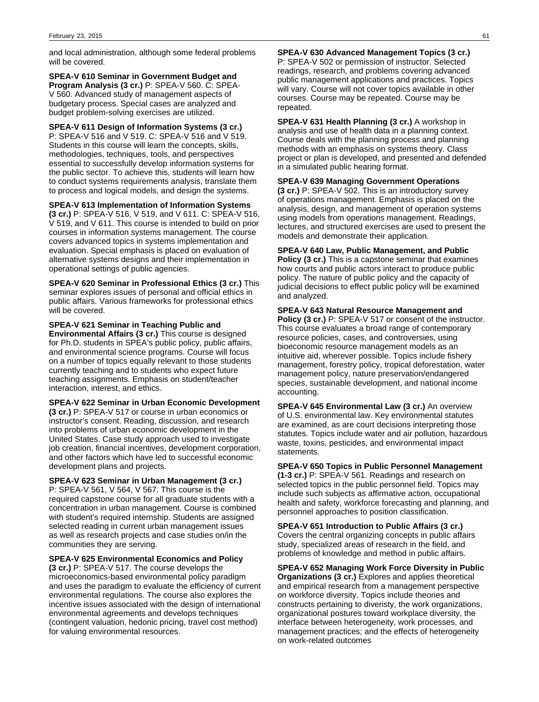and local administration, although some federal problems will be covered.

**SPEA-V 610 Seminar in Government Budget and Program Analysis (3 cr.)** P: SPEA-V 560. C: SPEA-V 560. Advanced study of management aspects of budgetary process. Special cases are analyzed and budget problem-solving exercises are utilized.

**SPEA-V 611 Design of Information Systems (3 cr.)** P: SPEA-V 516 and V 519. C: SPEA-V 516 and V 519. Students in this course will learn the concepts, skills, methodologies, techniques, tools, and perspectives essential to successfully develop information systems for the public sector. To achieve this, students will learn how to conduct systems requirements analysis, translate them to process and logical models, and design the systems.

### **SPEA-V 613 Implementation of Information Systems**

**(3 cr.)** P: SPEA-V 516, V 519, and V 611. C: SPEA-V 516, V 519, and V 611. This course is intended to build on prior courses in information systems management. The course covers advanced topics in systems implementation and evaluation. Special emphasis is placed on evaluation of alternative systems designs and their implementation in operational settings of public agencies.

**SPEA-V 620 Seminar in Professional Ethics (3 cr.)** This seminar explores issues of personal and official ethics in public affairs. Various frameworks for professional ethics will be covered.

**SPEA-V 621 Seminar in Teaching Public and Environmental Affairs (3 cr.)** This course is designed for Ph.D. students in SPEA's public policy, public affairs, and environmental science programs. Course will focus on a number of topics equally relevant to those students currently teaching and to students who expect future teaching assignments. Emphasis on student/teacher interaction, interest, and ethics.

### **SPEA-V 622 Seminar in Urban Economic Development**

**(3 cr.)** P: SPEA-V 517 or course in urban economics or instructor's consent. Reading, discussion, and research into problems of urban economic development in the United States. Case study approach used to investigate job creation, financial incentives, development corporation, and other factors which have led to successful economic development plans and projects.

### **SPEA-V 623 Seminar in Urban Management (3 cr.)**

P: SPEA-V 561, V 564, V 567. This course is the required capstone course for all graduate students with a concentration in urban management. Course is combined with student's required internship. Students are assigned selected reading in current urban management issues as well as research projects and case studies on/in the communities they are serving.

### **SPEA-V 625 Environmental Economics and Policy**

**(3 cr.)** P: SPEA-V 517. The course develops the microeconomics-based environmental policy paradigm and uses the paradigm to evaluate the efficiency of current environmental regulations. The course also explores the incentive issues associated with the design of international environmental agreements and develops techniques (contingent valuation, hedonic pricing, travel cost method) for valuing environmental resources.

**SPEA-V 630 Advanced Management Topics (3 cr.)** P: SPEA-V 502 or permission of instructor. Selected readings, research, and problems covering advanced public management applications and practices. Topics will vary. Course will not cover topics available in other courses. Course may be repeated. Course may be repeated.

**SPEA-V 631 Health Planning (3 cr.)** A workshop in analysis and use of health data in a planning context. Course deals with the planning process and planning methods with an emphasis on systems theory. Class project or plan is developed, and presented and defended in a simulated public hearing format.

### **SPEA-V 639 Managing Government Operations**

**(3 cr.)** P: SPEA-V 502. This is an introductory survey of operations management. Emphasis is placed on the analysis, design, and management of operation systems using models from operations management. Readings, lectures, and structured exercises are used to present the models and demonstrate their application.

## **SPEA-V 640 Law, Public Management, and Public**

**Policy (3 cr.)** This is a capstone seminar that examines how courts and public actors interact to produce public policy. The nature of public policy and the capacity of judicial decisions to effect public policy will be examined and analyzed.

### **SPEA-V 643 Natural Resource Management and**

**Policy (3 cr.)** P: SPEA-V 517 or consent of the instructor. This course evaluates a broad range of contemporary resource policies, cases, and controversies, using bioeconomic resource management models as an intuitive aid, wherever possible. Topics include fishery management, forestry policy, tropical deforestation, water management policy, nature preservation/endangered species, sustainable development, and national income accounting.

**SPEA-V 645 Environmental Law (3 cr.)** An overview of U.S. environmental law. Key environmental statutes are examined, as are court decisions interpreting those statutes. Topics include water and air pollution, hazardous waste, toxins, pesticides, and environmental impact statements.

**SPEA-V 650 Topics in Public Personnel Management (1-3 cr.)** P: SPEA-V 561. Readings and research on selected topics in the public personnel field. Topics may include such subjects as affirmative action, occupational health and safety, workforce forecasting and planning, and personnel approaches to position classification.

**SPEA-V 651 Introduction to Public Affairs (3 cr.)** Covers the central organizing concepts in public affairs study, specialized areas of research in the field, and problems of knowledge and method in public affairs.

**SPEA-V 652 Managing Work Force Diversity in Public Organizations (3 cr.)** Explores and applies theoretical and empirical research from a management perspective on workforce diversity. Topics include theories and constructs pertaining to diveristy, the work organizations, organizational postures toward workplace diversity, the interface between heterogeneity, work processes, and management practices; and the effects of heterogeneity on work-related outcomes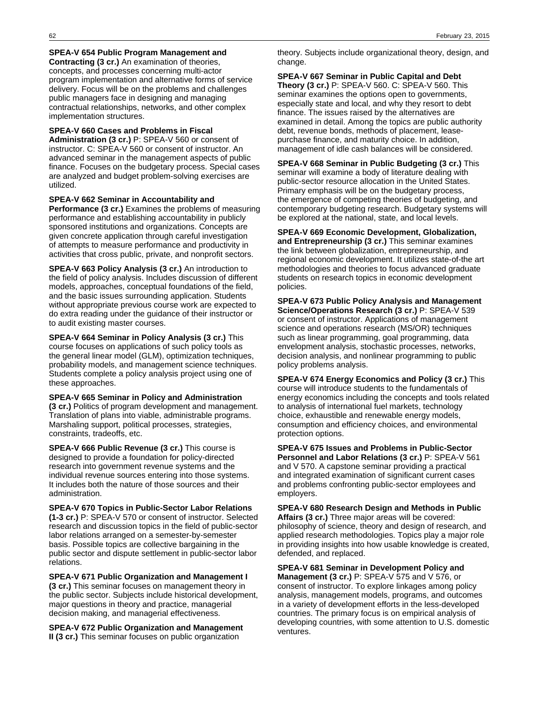## **SPEA-V 654 Public Program Management and**

**Contracting (3 cr.)** An examination of theories, concepts, and processes concerning multi-actor program implementation and alternative forms of service delivery. Focus will be on the problems and challenges public managers face in designing and managing contractual relationships, networks, and other complex implementation structures.

### **SPEA-V 660 Cases and Problems in Fiscal**

**Administration (3 cr.)** P: SPEA-V 560 or consent of instructor. C: SPEA-V 560 or consent of instructor. An advanced seminar in the management aspects of public finance. Focuses on the budgetary process. Special cases are analyzed and budget problem-solving exercises are utilized.

## **SPEA-V 662 Seminar in Accountability and**

**Performance (3 cr.)** Examines the problems of measuring performance and establishing accountability in publicly sponsored institutions and organizations. Concepts are given concrete application through careful investigation of attempts to measure performance and productivity in activities that cross public, private, and nonprofit sectors.

**SPEA-V 663 Policy Analysis (3 cr.)** An introduction to the field of policy analysis. Includes discussion of different models, approaches, conceptual foundations of the field, and the basic issues surrounding application. Students without appropriate previous course work are expected to do extra reading under the guidance of their instructor or to audit existing master courses.

**SPEA-V 664 Seminar in Policy Analysis (3 cr.)** This course focuses on applications of such policy tools as the general linear model (GLM), optimization techniques, probability models, and management science techniques. Students complete a policy analysis project using one of these approaches.

**SPEA-V 665 Seminar in Policy and Administration (3 cr.)** Politics of program development and management. Translation of plans into viable, administrable programs. Marshaling support, political processes, strategies, constraints, tradeoffs, etc.

**SPEA-V 666 Public Revenue (3 cr.)** This course is designed to provide a foundation for policy-directed research into government revenue systems and the individual revenue sources entering into those systems. It includes both the nature of those sources and their administration.

**SPEA-V 670 Topics in Public-Sector Labor Relations (1-3 cr.)** P: SPEA-V 570 or consent of instructor. Selected research and discussion topics in the field of public-sector labor relations arranged on a semester-by-semester basis. Possible topics are collective bargaining in the public sector and dispute settlement in public-sector labor relations.

**SPEA-V 671 Public Organization and Management I (3 cr.)** This seminar focuses on management theory in the public sector. Subjects include historical development, major questions in theory and practice, managerial decision making, and managerial effectiveness.

**SPEA-V 672 Public Organization and Management II (3 cr.)** This seminar focuses on public organization

theory. Subjects include organizational theory, design, and change.

**SPEA-V 667 Seminar in Public Capital and Debt Theory (3 cr.)** P: SPEA-V 560. C: SPEA-V 560. This seminar examines the options open to governments, especially state and local, and why they resort to debt finance. The issues raised by the alternatives are examined in detail. Among the topics are public authority debt, revenue bonds, methods of placement, leasepurchase finance, and maturity choice. In addition, management of idle cash balances will be considered.

**SPEA-V 668 Seminar in Public Budgeting (3 cr.)** This seminar will examine a body of literature dealing with public-sector resource allocation in the United States. Primary emphasis will be on the budgetary process, the emergence of competing theories of budgeting, and contemporary budgeting research. Budgetary systems will be explored at the national, state, and local levels.

**SPEA-V 669 Economic Development, Globalization, and Entrepreneurship (3 cr.)** This seminar examines the link between globalization, entrepreneurship, and regional economic development. It utilizes state-of-the art methodologies and theories to focus advanced graduate students on research topics in economic development policies.

**SPEA-V 673 Public Policy Analysis and Management Science/Operations Research (3 cr.)** P: SPEA-V 539 or consent of instructor. Applications of management science and operations research (MS/OR) techniques such as linear programming, goal programming, data envelopment analysis, stochastic processes, networks, decision analysis, and nonlinear programming to public policy problems analysis.

**SPEA-V 674 Energy Economics and Policy (3 cr.)** This course will introduce students to the fundamentals of energy economics including the concepts and tools related to analysis of international fuel markets, technology choice, exhaustible and renewable energy models, consumption and efficiency choices, and environmental protection options.

**SPEA-V 675 Issues and Problems in Public-Sector Personnel and Labor Relations (3 cr.)** P: SPEA-V 561 and V 570. A capstone seminar providing a practical and integrated examination of significant current cases and problems confronting public-sector employees and employers.

**SPEA-V 680 Research Design and Methods in Public Affairs (3 cr.)** Three major areas will be covered: philosophy of science, theory and design of research, and applied research methodologies. Topics play a major role in providing insights into how usable knowledge is created, defended, and replaced.

**SPEA-V 681 Seminar in Development Policy and Management (3 cr.)** P: SPEA-V 575 and V 576, or consent of instructor. To explore linkages among policy analysis, management models, programs, and outcomes in a variety of development efforts in the less-developed countries. The primary focus is on empirical analysis of developing countries, with some attention to U.S. domestic ventures.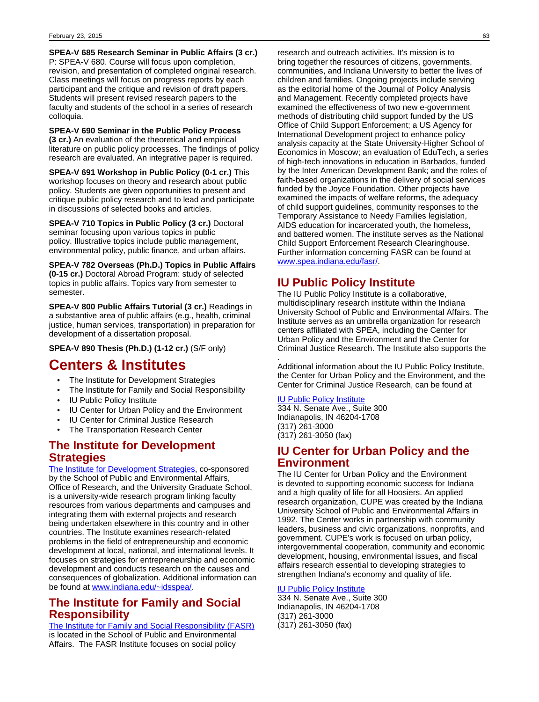**SPEA-V 685 Research Seminar in Public Affairs (3 cr.)** P: SPEA-V 680. Course will focus upon completion, revision, and presentation of completed original research. Class meetings will focus on progress reports by each participant and the critique and revision of draft papers. Students will present revised research papers to the faculty and students of the school in a series of research colloquia.

**SPEA-V 690 Seminar in the Public Policy Process (3 cr.)** An evaluation of the theoretical and empirical literature on public policy processes. The findings of policy research are evaluated. An integrative paper is required.

**SPEA-V 691 Workshop in Public Policy (0-1 cr.)** This workshop focuses on theory and research about public policy. Students are given opportunities to present and critique public policy research and to lead and participate in discussions of selected books and articles.

**SPEA-V 710 Topics in Public Policy (3 cr.)** Doctoral seminar focusing upon various topics in public policy. Illustrative topics include public management, environmental policy, public finance, and urban affairs.

**SPEA-V 782 Overseas (Ph.D.) Topics in Public Affairs (0-15 cr.)** Doctoral Abroad Program: study of selected topics in public affairs. Topics vary from semester to semester.

**SPEA-V 800 Public Affairs Tutorial (3 cr.)** Readings in a substantive area of public affairs (e.g., health, criminal justice, human services, transportation) in preparation for development of a dissertation proposal.

**SPEA-V 890 Thesis (Ph.D.) (1-12 cr.)** (S/F only)

# **Centers & Institutes**

- The Institute for Development Strategies
- The Institute for Family and Social Responsibility
- **IU Public Policy Institute**
- IU Center for Urban Policy and the Environment
- IU Center for Criminal Justice Research
- The Transportation Research Center

## **The Institute for Development Strategies**

[The Institute for Development Strategies](http://www.indiana.edu/~idsspea/), co-sponsored by the School of Public and Environmental Affairs, Office of Research, and the University Graduate School, is a university-wide research program linking faculty resources from various departments and campuses and integrating them with external projects and research being undertaken elsewhere in this country and in other countries. The Institute examines research-related problems in the field of entrepreneurship and economic development at local, national, and international levels. It focuses on strategies for entrepreneurship and economic development and conducts research on the causes and consequences of globalization. Additional information can be found at [www.indiana.edu/~idsspea/](http://www.indiana.edu/~idsspea/).

# **The Institute for Family and Social Responsibility**

[The Institute for Family and Social Responsibility \(FASR\)](http://www.spea.indiana.edu/fasr/) is located in the School of Public and Environmental Affairs. The FASR Institute focuses on social policy

research and outreach activities. It's mission is to bring together the resources of citizens, governments, communities, and Indiana University to better the lives of children and families. Ongoing projects include serving as the editorial home of the Journal of Policy Analysis and Management. Recently completed projects have examined the effectiveness of two new e-government methods of distributing child support funded by the US Office of Child Support Enforcement; a US Agency for International Development project to enhance policy analysis capacity at the State University-Higher School of Economics in Moscow; an evaluation of EduTech, a series of high-tech innovations in education in Barbados, funded by the Inter American Development Bank; and the roles of faith-based organizations in the delivery of social services funded by the Joyce Foundation. Other projects have examined the impacts of welfare reforms, the adequacy of child support guidelines, community responses to the Temporary Assistance to Needy Families legislation, AIDS education for incarcerated youth, the homeless, and battered women. The institute serves as the National Child Support Enforcement Research Clearinghouse. Further information concerning FASR can be found at [www.spea.indiana.edu/fasr/.](http://www.spea.indiana.edu/fasr/)

# **IU Public Policy Institute**

The IU Public Policy Institute is a collaborative, multidisciplinary research institute within the Indiana University School of Public and Environmental Affairs. The Institute serves as an umbrella organization for research centers affiliated with SPEA, including the Center for Urban Policy and the Environment and the Center for Criminal Justice Research. The Institute also supports the

. Additional information about the IU Public Policy Institute, the Center for Urban Policy and the Environment, and the Center for Criminal Justice Research, can be found at

## [IU Public Policy Institute](http://www.policyinstitute.iu.edu/)

334 N. Senate Ave., Suite 300 Indianapolis, IN 46204-1708 (317) 261-3000 (317) 261-3050 (fax)

## **IU Center for Urban Policy and the Environment**

The IU Center for Urban Policy and the Environment is devoted to supporting economic success for Indiana and a high quality of life for all Hoosiers. An applied research organization, CUPE was created by the Indiana University School of Public and Environmental Affairs in 1992. The Center works in partnership with community leaders, business and civic organizations, nonprofits, and government. CUPE's work is focused on urban policy, intergovernmental cooperation, community and economic development, housing, environmental issues, and fiscal affairs research essential to developing strategies to strengthen Indiana's economy and quality of life.

## [IU Public Policy Institute](http://www.policyinstitute.iu.edu/)

334 N. Senate Ave., Suite 300 Indianapolis, IN 46204-1708 (317) 261-3000 (317) 261-3050 (fax)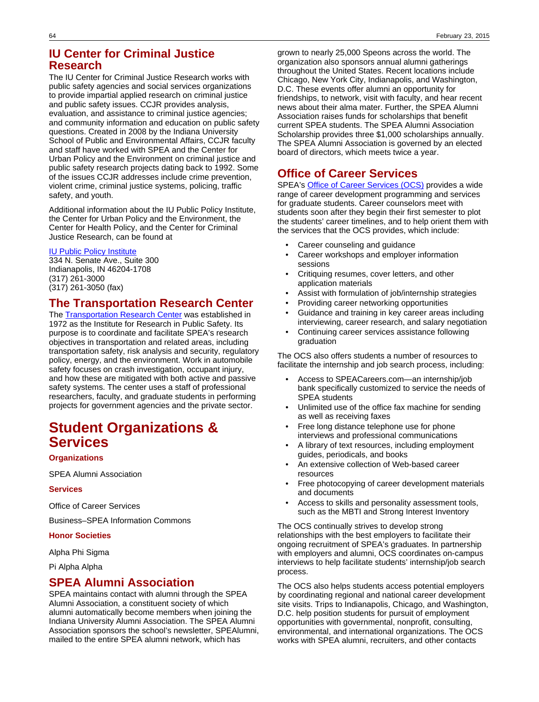## **IU Center for Criminal Justice Research**

The IU Center for Criminal Justice Research works with public safety agencies and social services organizations to provide impartial applied research on criminal justice and public safety issues. CCJR provides analysis, evaluation, and assistance to criminal justice agencies; and community information and education on public safety questions. Created in 2008 by the Indiana University School of Public and Environmental Affairs, CCJR faculty and staff have worked with SPEA and the Center for Urban Policy and the Environment on criminal justice and public safety research projects dating back to 1992. Some of the issues CCJR addresses include crime prevention, violent crime, criminal justice systems, policing, traffic safety, and youth.

Additional information about the IU Public Policy Institute, the Center for Urban Policy and the Environment, the Center for Health Policy, and the Center for Criminal Justice Research, can be found at

## [IU Public Policy Institute](http://www.policyinstitute.iu.edu/)

334 N. Senate Ave., Suite 300 Indianapolis, IN 46204-1708 (317) 261-3000 (317) 261-3050 (fax)

## **The Transportation Research Center**

The **Transportation Research Center** was established in 1972 as the Institute for Research in Public Safety. Its purpose is to coordinate and facilitate SPEA's research objectives in transportation and related areas, including transportation safety, risk analysis and security, regulatory policy, energy, and the environment. Work in automobile safety focuses on crash investigation, occupant injury, and how these are mitigated with both active and passive safety systems. The center uses a staff of professional researchers, faculty, and graduate students in performing projects for government agencies and the private sector.

# **Student Organizations & Services**

## **Organizations**

SPEA Alumni Association

## **Services**

Office of Career Services

Business–SPEA Information Commons

## **Honor Societies**

Alpha Phi Sigma

Pi Alpha Alpha

## **SPEA Alumni Association**

SPEA maintains contact with alumni through the SPEA Alumni Association, a constituent society of which alumni automatically become members when joining the Indiana University Alumni Association. The SPEA Alumni Association sponsors the school's newsletter, SPEAlumni, mailed to the entire SPEA alumni network, which has

grown to nearly 25,000 Speons across the world. The organization also sponsors annual alumni gatherings throughout the United States. Recent locations include Chicago, New York City, Indianapolis, and Washington, D.C. These events offer alumni an opportunity for friendships, to network, visit with faculty, and hear recent news about their alma mater. Further, the SPEA Alumni Association raises funds for scholarships that benefit current SPEA students. The SPEA Alumni Association Scholarship provides three \$1,000 scholarships annually. The SPEA Alumni Association is governed by an elected board of directors, which meets twice a year.

## **Office of Career Services**

SPEA's [Office of Career Services \(OCS\)](http://www.indiana.edu/~speaweb/careers/) provides a wide range of career development programming and services for graduate students. Career counselors meet with students soon after they begin their first semester to plot the students' career timelines, and to help orient them with the services that the OCS provides, which include:

- Career counseling and guidance
- Career workshops and employer information sessions
- Critiquing resumes, cover letters, and other application materials
- Assist with formulation of job/internship strategies
- Providing career networking opportunities
- Guidance and training in key career areas including interviewing, career research, and salary negotiation
- Continuing career services assistance following graduation

The OCS also offers students a number of resources to facilitate the internship and job search process, including:

- Access to SPEACareers.com—an internship/job bank specifically customized to service the needs of SPEA students
- Unlimited use of the office fax machine for sending as well as receiving faxes
- Free long distance telephone use for phone interviews and professional communications
- A library of text resources, including employment guides, periodicals, and books
- An extensive collection of Web-based career resources
- Free photocopying of career development materials and documents
- Access to skills and personality assessment tools, such as the MBTI and Strong Interest Inventory

The OCS continually strives to develop strong relationships with the best employers to facilitate their ongoing recruitment of SPEA's graduates. In partnership with employers and alumni, OCS coordinates on-campus interviews to help facilitate students' internship/job search process.

The OCS also helps students access potential employers by coordinating regional and national career development site visits. Trips to Indianapolis, Chicago, and Washington, D.C. help position students for pursuit of employment opportunities with governmental, nonprofit, consulting, environmental, and international organizations. The OCS works with SPEA alumni, recruiters, and other contacts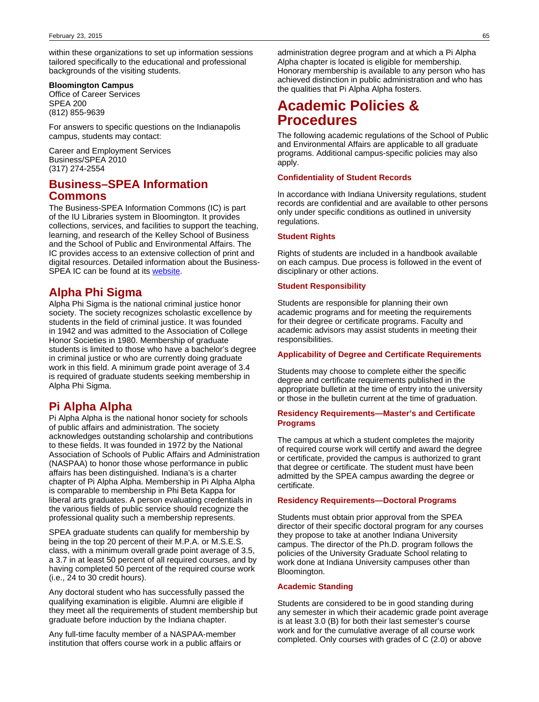within these organizations to set up information sessions tailored specifically to the educational and professional backgrounds of the visiting students.

### **Bloomington Campus**

Office of Career Services SPEA 200 (812) 855-9639

For answers to specific questions on the Indianapolis campus, students may contact:

Career and Employment Services Business/SPEA 2010 (317) 274-2554

## **Business–SPEA Information Commons**

The Business-SPEA Information Commons (IC) is part of the IU Libraries system in Bloomington. It provides collections, services, and facilities to support the teaching, learning, and research of the Kelley School of Business and the School of Public and Environmental Affairs. The IC provides access to an extensive collection of print and digital resources. Detailed information about the Business-SPEA IC can be found at its [website.](http://www.libraries.iub.edu/index.php?pageId=77)

## **Alpha Phi Sigma**

Alpha Phi Sigma is the national criminal justice honor society. The society recognizes scholastic excellence by students in the field of criminal justice. It was founded in 1942 and was admitted to the Association of College Honor Societies in 1980. Membership of graduate students is limited to those who have a bachelor's degree in criminal justice or who are currently doing graduate work in this field. A minimum grade point average of 3.4 is required of graduate students seeking membership in Alpha Phi Sigma.

## **Pi Alpha Alpha**

Pi Alpha Alpha is the national honor society for schools of public affairs and administration. The society acknowledges outstanding scholarship and contributions to these fields. It was founded in 1972 by the National Association of Schools of Public Affairs and Administration (NASPAA) to honor those whose performance in public affairs has been distinguished. Indiana's is a charter chapter of Pi Alpha Alpha. Membership in Pi Alpha Alpha is comparable to membership in Phi Beta Kappa for liberal arts graduates. A person evaluating credentials in the various fields of public service should recognize the professional quality such a membership represents.

SPEA graduate students can qualify for membership by being in the top 20 percent of their M.P.A. or M.S.E.S. class, with a minimum overall grade point average of 3.5, a 3.7 in at least 50 percent of all required courses, and by having completed 50 percent of the required course work (i.e., 24 to 30 credit hours).

Any doctoral student who has successfully passed the qualifying examination is eligible. Alumni are eligible if they meet all the requirements of student membership but graduate before induction by the Indiana chapter.

Any full-time faculty member of a NASPAA-member institution that offers course work in a public affairs or

administration degree program and at which a Pi Alpha Alpha chapter is located is eligible for membership. Honorary membership is available to any person who has achieved distinction in public administration and who has the qualities that Pi Alpha Alpha fosters.

# **Academic Policies & Procedures**

The following academic regulations of the School of Public and Environmental Affairs are applicable to all graduate programs. Additional campus-specific policies may also apply.

### **Confidentiality of Student Records**

In accordance with Indiana University regulations, student records are confidential and are available to other persons only under specific conditions as outlined in university regulations.

### **Student Rights**

Rights of students are included in a handbook available on each campus. Due process is followed in the event of disciplinary or other actions.

### **Student Responsibility**

Students are responsible for planning their own academic programs and for meeting the requirements for their degree or certificate programs. Faculty and academic advisors may assist students in meeting their responsibilities.

### **Applicability of Degree and Certificate Requirements**

Students may choose to complete either the specific degree and certificate requirements published in the appropriate bulletin at the time of entry into the university or those in the bulletin current at the time of graduation.

## **Residency Requirements—Master's and Certificate Programs**

The campus at which a student completes the majority of required course work will certify and award the degree or certificate, provided the campus is authorized to grant that degree or certificate. The student must have been admitted by the SPEA campus awarding the degree or certificate.

### **Residency Requirements—Doctoral Programs**

Students must obtain prior approval from the SPEA director of their specific doctoral program for any courses they propose to take at another Indiana University campus. The director of the Ph.D. program follows the policies of the University Graduate School relating to work done at Indiana University campuses other than Bloomington.

## **Academic Standing**

Students are considered to be in good standing during any semester in which their academic grade point average is at least 3.0 (B) for both their last semester's course work and for the cumulative average of all course work completed. Only courses with grades of C (2.0) or above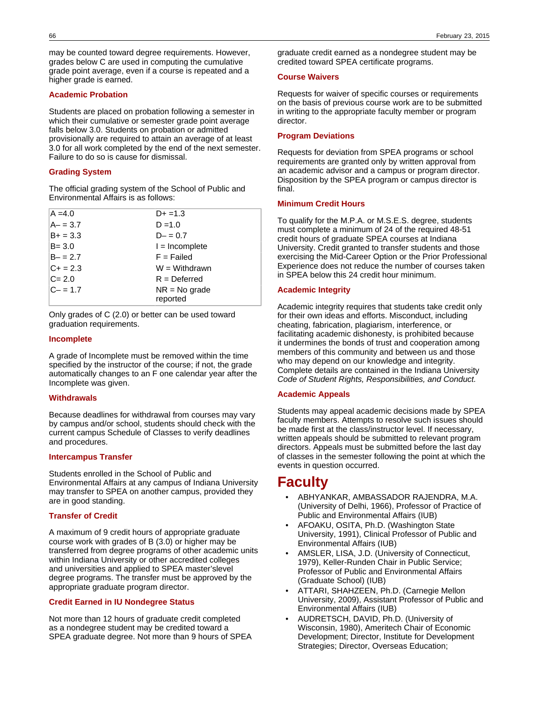may be counted toward degree requirements. However, grades below C are used in computing the cumulative grade point average, even if a course is repeated and a higher grade is earned.

### **Academic Probation**

Students are placed on probation following a semester in which their cumulative or semester grade point average falls below 3.0. Students on probation or admitted provisionally are required to attain an average of at least 3.0 for all work completed by the end of the next semester. Failure to do so is cause for dismissal.

### **Grading System**

The official grading system of the School of Public and Environmental Affairs is as follows:

| $A = 4.0$   | $D+ = 1.3$       |
|-------------|------------------|
| $A - 3.7$   | $D = 1.0$        |
| $B+ = 3.3$  | $D - = 0.7$      |
| $B = 3.0$   | $l = Incomplete$ |
| $B - = 2.7$ | $F =$ Failed     |
| $C + 2.3$   | $W = Withdrawn$  |
| $C = 2.0$   | $R = Deferred$   |
| $C - = 1.7$ | $NR = No$ grade  |
|             | reported         |

Only grades of C (2.0) or better can be used toward graduation requirements.

### **Incomplete**

A grade of Incomplete must be removed within the time specified by the instructor of the course; if not, the grade automatically changes to an F one calendar year after the Incomplete was given.

## **Withdrawals**

Because deadlines for withdrawal from courses may vary by campus and/or school, students should check with the current campus Schedule of Classes to verify deadlines and procedures.

## **Intercampus Transfer**

Students enrolled in the School of Public and Environmental Affairs at any campus of Indiana University may transfer to SPEA on another campus, provided they are in good standing.

## **Transfer of Credit**

A maximum of 9 credit hours of appropriate graduate course work with grades of B (3.0) or higher may be transferred from degree programs of other academic units within Indiana University or other accredited colleges and universities and applied to SPEA master'slevel degree programs. The transfer must be approved by the appropriate graduate program director.

## **Credit Earned in IU Nondegree Status**

Not more than 12 hours of graduate credit completed as a nondegree student may be credited toward a SPEA graduate degree. Not more than 9 hours of SPEA

graduate credit earned as a nondegree student may be credited toward SPEA certificate programs.

### **Course Waivers**

Requests for waiver of specific courses or requirements on the basis of previous course work are to be submitted in writing to the appropriate faculty member or program director.

### **Program Deviations**

Requests for deviation from SPEA programs or school requirements are granted only by written approval from an academic advisor and a campus or program director. Disposition by the SPEA program or campus director is final.

### **Minimum Credit Hours**

To qualify for the M.P.A. or M.S.E.S. degree, students must complete a minimum of 24 of the required 48-51 credit hours of graduate SPEA courses at Indiana University. Credit granted to transfer students and those exercising the Mid-Career Option or the Prior Professional Experience does not reduce the number of courses taken in SPEA below this 24 credit hour minimum.

### **Academic Integrity**

Academic integrity requires that students take credit only for their own ideas and efforts. Misconduct, including cheating, fabrication, plagiarism, interference, or facilitating academic dishonesty, is prohibited because it undermines the bonds of trust and cooperation among members of this community and between us and those who may depend on our knowledge and integrity. Complete details are contained in the Indiana University Code of Student Rights, Responsibilities, and Conduct.

### **Academic Appeals**

Students may appeal academic decisions made by SPEA faculty members. Attempts to resolve such issues should be made first at the class/instructor level. If necessary, written appeals should be submitted to relevant program directors. Appeals must be submitted before the last day of classes in the semester following the point at which the events in question occurred.

# **Faculty**

- ABHYANKAR, AMBASSADOR RAJENDRA, M.A. (University of Delhi, 1966), Professor of Practice of Public and Environmental Affairs (IUB)
- AFOAKU, OSITA, Ph.D. (Washington State University, 1991), Clinical Professor of Public and Environmental Affairs (IUB)
- AMSLER, LISA, J.D. (University of Connecticut, 1979), Keller-Runden Chair in Public Service; Professor of Public and Environmental Affairs (Graduate School) (IUB)
- ATTARI, SHAHZEEN, Ph.D. (Carnegie Mellon University, 2009), Assistant Professor of Public and Environmental Affairs (IUB)
- AUDRETSCH, DAVID, Ph.D. (University of Wisconsin, 1980), Ameritech Chair of Economic Development; Director, Institute for Development Strategies; Director, Overseas Education;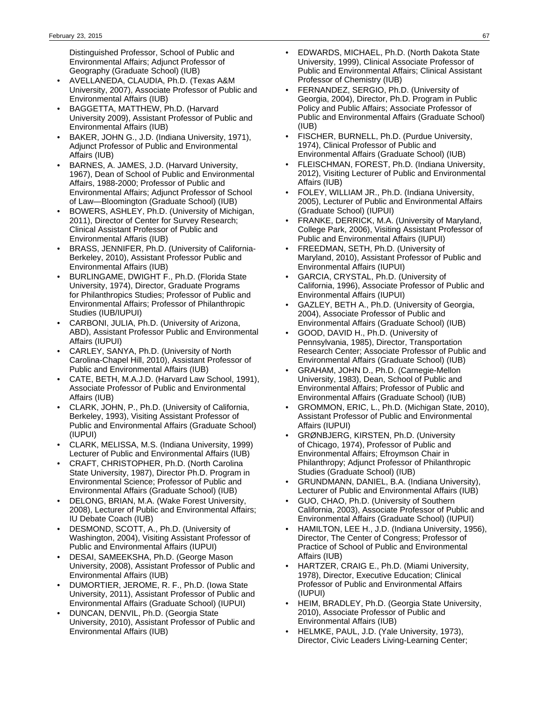Distinguished Professor, School of Public and Environmental Affairs; Adjunct Professor of Geography (Graduate School) (IUB)

- AVELLANEDA, CLAUDIA, Ph.D. (Texas A&M University, 2007), Associate Professor of Public and Environmental Affairs (IUB)
- BAGGETTA, MATTHEW, Ph.D. (Harvard University 2009), Assistant Professor of Public and Environmental Affairs (IUB)
- BAKER, JOHN G., J.D. (Indiana University, 1971), Adjunct Professor of Public and Environmental Affairs (IUB)
- BARNES, A. JAMES, J.D. (Harvard University, 1967), Dean of School of Public and Environmental Affairs, 1988-2000; Professor of Public and Environmental Affairs; Adjunct Professor of School of Law—Bloomington (Graduate School) (IUB)
- BOWERS, ASHLEY, Ph.D. (University of Michigan, 2011), Director of Center for Survey Research; Clinical Assistant Professor of Public and Environmental Affaris (IUB)
- BRASS, JENNIFER, Ph.D. (University of California-Berkeley, 2010), Assistant Professor Public and Environmental Affairs (IUB)
- BURLINGAME, DWIGHT F., Ph.D. (Florida State University, 1974), Director, Graduate Programs for Philanthropics Studies; Professor of Public and Environmental Affairs; Professor of Philanthropic Studies (IUB/IUPUI)
- CARBONI, JULIA, Ph.D. (University of Arizona, ABD), Assistant Professor Public and Environmental Affairs (IUPUI)
- CARLEY, SANYA, Ph.D. (University of North Carolina-Chapel Hill, 2010), Assistant Professor of Public and Environmental Affairs (IUB)
- CATE, BETH, M.A.J.D. (Harvard Law School, 1991), Associate Professor of Public and Environmental Affairs (IUB)
- CLARK, JOHN, P., Ph.D. (University of California, Berkeley, 1993), Visiting Assistant Professor of Public and Environmental Affairs (Graduate School) (IUPUI)
- CLARK, MELISSA, M.S. (Indiana University, 1999) Lecturer of Public and Environmental Affairs (IUB)
- CRAFT, CHRISTOPHER, Ph.D. (North Carolina State University, 1987), Director Ph.D. Program in Environmental Science; Professor of Public and Environmental Affairs (Graduate School) (IUB)
- DELONG, BRIAN, M.A. (Wake Forest University, 2008), Lecturer of Public and Environmental Affairs; IU Debate Coach (IUB)
- DESMOND, SCOTT, A., Ph.D. (University of Washington, 2004), Visiting Assistant Professor of Public and Environmental Affairs (IUPUI)
- DESAI, SAMEEKSHA, Ph.D. (George Mason University, 2008), Assistant Professor of Public and Environmental Affairs (IUB)
- DUMORTIER, JEROME, R. F., Ph.D. (Iowa State University, 2011), Assistant Professor of Public and Environmental Affairs (Graduate School) (IUPUI)
- DUNCAN, DENVIL, Ph.D. (Georgia State University, 2010), Assistant Professor of Public and Environmental Affairs (IUB)
- EDWARDS, MICHAEL, Ph.D. (North Dakota State University, 1999), Clinical Associate Professor of Public and Environmental Affairs; Clinical Assistant Professor of Chemistry (IUB)
- FERNANDEZ, SERGIO, Ph.D. (University of Georgia, 2004), Director, Ph.D. Program in Public Policy and Public Affairs; Associate Professor of Public and Environmental Affairs (Graduate School) (IUB)
- FISCHER, BURNELL, Ph.D. (Purdue University, 1974), Clinical Professor of Public and Environmental Affairs (Graduate School) (IUB)
- FLEISCHMAN, FOREST, Ph.D. (Indiana University, 2012), Visiting Lecturer of Public and Environmental Affairs (IUB)
- FOLEY, WILLIAM JR., Ph.D. (Indiana University, 2005), Lecturer of Public and Environmental Affairs (Graduate School) (IUPUI)
- FRANKE, DERRICK, M.A. (University of Maryland, College Park, 2006), Visiting Assistant Professor of Public and Environmental Affairs (IUPUI)
- FREEDMAN, SETH, Ph.D. (University of Maryland, 2010), Assistant Professor of Public and Environmental Affairs (IUPUI)
- GARCIA, CRYSTAL, Ph.D. (University of California, 1996), Associate Professor of Public and Environmental Affairs (IUPUI)
- GAZLEY, BETH A., Ph.D. (University of Georgia, 2004), Associate Professor of Public and Environmental Affairs (Graduate School) (IUB)
- GOOD, DAVID H., Ph.D. (University of Pennsylvania, 1985), Director, Transportation Research Center; Associate Professor of Public and Environmental Affairs (Graduate School) (IUB)
- GRAHAM, JOHN D., Ph.D. (Carnegie-Mellon University, 1983), Dean, School of Public and Environmental Affairs; Professor of Public and Environmental Affairs (Graduate School) (IUB)
- GROMMON, ERIC, L., Ph.D. (Michigan State, 2010), Assistant Professor of Public and Environmental Affairs (IUPUI)
- GRØNBJERG, KIRSTEN, Ph.D. (University of Chicago, 1974), Professor of Public and Environmental Affairs; Efroymson Chair in Philanthropy; Adjunct Professor of Philanthropic Studies (Graduate School) (IUB)
- GRUNDMANN, DANIEL, B.A. (Indiana University), Lecturer of Public and Environmental Affairs (IUB)
- GUO, CHAO, Ph.D. (University of Southern California, 2003), Associate Professor of Public and Environmental Affairs (Graduate School) (IUPUI)
- HAMILTON, LEE H., J.D. (Indiana University, 1956), Director, The Center of Congress; Professor of Practice of School of Public and Environmental Affairs (IUB)
- HARTZER, CRAIG E., Ph.D. (Miami University, 1978), Director, Executive Education; Clinical Professor of Public and Environmental Affairs (IUPUI)
- HEIM, BRADLEY, Ph.D. (Georgia State University, 2010), Associate Professor of Public and Environmental Affairs (IUB)
- HELMKE, PAUL, J.D. (Yale University, 1973), Director, Civic Leaders Living-Learning Center;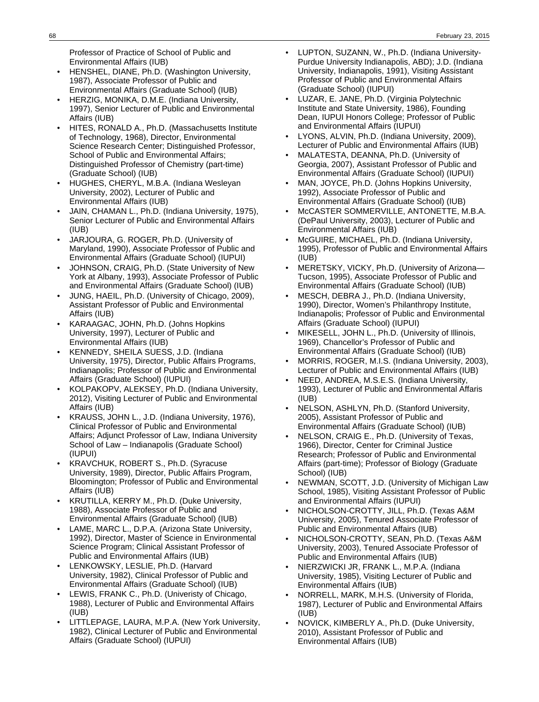Professor of Practice of School of Public and Environmental Affairs (IUB)

- HENSHEL, DIANE, Ph.D. (Washington University, 1987), Associate Professor of Public and Environmental Affairs (Graduate School) (IUB)
- HERZIG, MONIKA, D.M.E. (Indiana University, 1997), Senior Lecturer of Public and Environmental Affairs (IUB)
- HITES, RONALD A., Ph.D. (Massachusetts Institute of Technology, 1968), Director, Environmental Science Research Center; Distinguished Professor, School of Public and Environmental Affairs; Distinguished Professor of Chemistry (part-time) (Graduate School) (IUB)
- HUGHES, CHERYL, M.B.A. (Indiana Wesleyan University, 2002), Lecturer of Public and Environmental Affairs (IUB)
- JAIN, CHAMAN L., Ph.D. (Indiana University, 1975), Senior Lecturer of Public and Environmental Affairs (IUB)
- JARJOURA, G. ROGER, Ph.D. (University of Maryland, 1990), Associate Professor of Public and Environmental Affairs (Graduate School) (IUPUI)
- JOHNSON, CRAIG, Ph.D. (State University of New York at Albany, 1993), Associate Professor of Public and Environmental Affairs (Graduate School) (IUB)
- JUNG, HAEIL, Ph.D. (University of Chicago, 2009), Assistant Professor of Public and Environmental Affairs (IUB)
- KARAAGAC, JOHN, Ph.D. (Johns Hopkins University, 1997), Lecturer of Public and Environmental Affairs (IUB)
- KENNEDY, SHEILA SUESS, J.D. (Indiana University, 1975), Director, Public Affairs Programs, Indianapolis; Professor of Public and Environmental Affairs (Graduate School) (IUPUI)
- KOLPAKOPV, ALEKSEY, Ph.D. (Indiana University, 2012), Visiting Lecturer of Public and Environmental Affairs (IUB)
- KRAUSS, JOHN L., J.D. (Indiana University, 1976), Clinical Professor of Public and Environmental Affairs; Adjunct Professor of Law, Indiana University School of Law – Indianapolis (Graduate School) (IUPUI)
- KRAVCHUK, ROBERT S., Ph.D. (Syracuse University, 1989), Director, Public Affairs Program, Bloomington; Professor of Public and Environmental Affairs (IUB)
- KRUTILLA, KERRY M., Ph.D. (Duke University, 1988), Associate Professor of Public and Environmental Affairs (Graduate School) (IUB)
- LAME, MARC L., D.P.A. (Arizona State University, 1992), Director, Master of Science in Environmental Science Program; Clinical Assistant Professor of Public and Environmental Affairs (IUB)
- LENKOWSKY, LESLIE, Ph.D. (Harvard University, 1982), Clinical Professor of Public and Environmental Affairs (Graduate School) (IUB)
- LEWIS, FRANK C., Ph.D. (Univeristy of Chicago, 1988), Lecturer of Public and Environmental Affairs (IUB)
- LITTLEPAGE, LAURA, M.P.A. (New York University, 1982), Clinical Lecturer of Public and Environmental Affairs (Graduate School) (IUPUI)
- LUPTON, SUZANN, W., Ph.D. (Indiana University-Purdue University Indianapolis, ABD); J.D. (Indiana University, Indianapolis, 1991), Visiting Assistant Professor of Public and Environmental Affairs (Graduate School) (IUPUI)
- LUZAR, E. JANE, Ph.D. (Virginia Polytechnic Institute and State University, 1986), Founding Dean, IUPUI Honors College; Professor of Public and Environmental Affairs (IUPUI)
- LYONS, ALVIN, Ph.D. (Indiana University, 2009), Lecturer of Public and Environmental Affairs (IUB)
- MALATESTA, DEANNA, Ph.D. (University of Georgia, 2007), Assistant Professor of Public and Environmental Affairs (Graduate School) (IUPUI)
- MAN, JOYCE, Ph.D. (Johns Hopkins University, 1992), Associate Professor of Public and Environmental Affairs (Graduate School) (IUB)
- McCASTER SOMMERVILLE, ANTONETTE, M.B.A. (DePaul University, 2003), Lecturer of Public and Environmental Affairs (IUB)
- McGUIRE, MICHAEL, Ph.D. (Indiana University, 1995), Professor of Public and Environmental Affairs (IUB)
- MERETSKY, VICKY, Ph.D. (University of Arizona— Tucson, 1995), Associate Professor of Public and Environmental Affairs (Graduate School) (IUB)
- MESCH, DEBRA J., Ph.D. (Indiana University, 1990), Director, Women's Philanthropy Institute, Indianapolis; Professor of Public and Environmental Affairs (Graduate School) (IUPUI)
- MIKESELL, JOHN L., Ph.D. (University of Illinois, 1969), Chancellor's Professor of Public and Environmental Affairs (Graduate School) (IUB)
- MORRIS, ROGER, M.I.S. (Indiana University, 2003), Lecturer of Public and Environmental Affairs (IUB)
- NEED, ANDREA, M.S.E.S. (Indiana University, 1993), Lecturer of Public and Environmental Affaris (IUB)
- NELSON, ASHLYN, Ph.D. (Stanford University, 2005), Assistant Professor of Public and Environmental Affairs (Graduate School) (IUB)
- NELSON, CRAIG E., Ph.D. (University of Texas, 1966), Director, Center for Criminal Justice Research; Professor of Public and Environmental Affairs (part-time); Professor of Biology (Graduate School) (IUB)
- NEWMAN, SCOTT, J.D. (University of Michigan Law School, 1985), Visiting Assistant Professor of Public and Environmental Affairs (IUPUI)
- NICHOLSON-CROTTY, JILL, Ph.D. (Texas A&M University, 2005), Tenured Associate Professor of Public and Environmental Affairs (IUB)
- NICHOLSON-CROTTY, SEAN, Ph.D. (Texas A&M University, 2003), Tenured Associate Professor of Public and Environmental Affairs (IUB)
- NIERZWICKI JR, FRANK L., M.P.A. (Indiana University, 1985), Visiting Lecturer of Public and Environmental Affairs (IUB)
- NORRELL, MARK, M.H.S. (University of Florida, 1987), Lecturer of Public and Environmental Affairs (IUB)
- NOVICK, KIMBERLY A., Ph.D. (Duke University, 2010), Assistant Professor of Public and Environmental Affairs (IUB)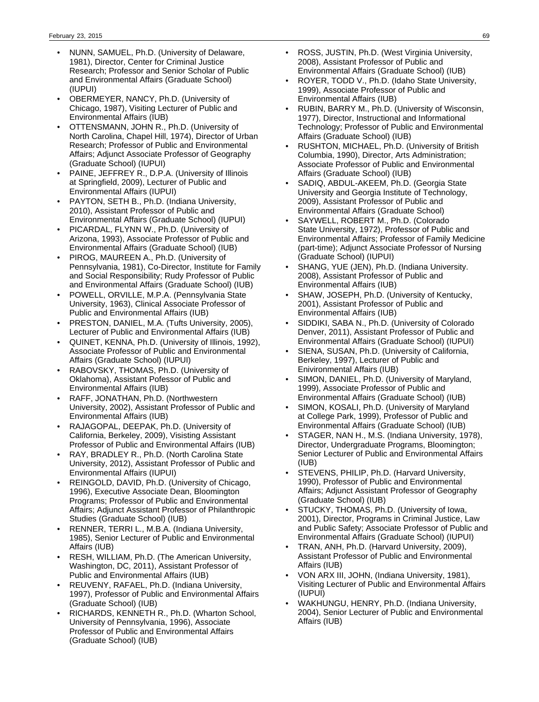- NUNN, SAMUEL, Ph.D. (University of Delaware, 1981), Director, Center for Criminal Justice Research; Professor and Senior Scholar of Public and Environmental Affairs (Graduate School) (IUPUI)
- OBERMEYER, NANCY, Ph.D. (University of Chicago, 1987), Visiting Lecturer of Public and Environmental Affairs (IUB)
- OTTENSMANN, JOHN R., Ph.D. (University of North Carolina, Chapel Hill, 1974), Director of Urban Research; Professor of Public and Environmental Affairs; Adjunct Associate Professor of Geography (Graduate School) (IUPUI)
- PAINE, JEFFREY R., D.P.A. (University of Illinois at Springfield, 2009), Lecturer of Public and Environmental Affairs (IUPUI)
- PAYTON, SETH B., Ph.D. (Indiana University, 2010), Assistant Professor of Public and Environmental Affairs (Graduate School) (IUPUI)
- PICARDAL, FLYNN W., Ph.D. (University of Arizona, 1993), Associate Professor of Public and Environmental Affairs (Graduate School) (IUB)
- PIROG, MAUREEN A., Ph.D. (University of Pennsylvania, 1981), Co-Director, Institute for Family and Social Responsibility; Rudy Professor of Public and Environmental Affairs (Graduate School) (IUB)
- POWELL, ORVILLE, M.P.A. (Pennsylvania State University, 1963), Clinical Associate Professor of Public and Environmental Affairs (IUB)
- PRESTON, DANIEL, M.A. (Tufts University, 2005), Lecturer of Public and Environmental Affairs (IUB)
- QUINET, KENNA, Ph.D. (University of Illinois, 1992), Associate Professor of Public and Environmental Affairs (Graduate School) (IUPUI)
- RABOVSKY, THOMAS, Ph.D. (University of Oklahoma), Assistant Pofessor of Public and Environmental Affairs (IUB)
- RAFF, JONATHAN, Ph.D. (Northwestern University, 2002), Assistant Professor of Public and Environmental Affairs (IUB)
- RAJAGOPAL, DEEPAK, Ph.D. (University of California, Berkeley, 2009), Visisting Assistant Professor of Public and Environmental Affairs (IUB)
- RAY, BRADLEY R., Ph.D. (North Carolina State University, 2012), Assistant Professor of Public and Environmental Affairs (IUPUI)
- REINGOLD, DAVID, Ph.D. (University of Chicago, 1996), Executive Associate Dean, Bloomington Programs; Professor of Public and Environmental Affairs; Adjunct Assistant Professor of Philanthropic Studies (Graduate School) (IUB)
- RENNER, TERRI L., M.B.A. (Indiana University, 1985), Senior Lecturer of Public and Environmental Affairs (IUB)
- RESH, WILLIAM, Ph.D. (The American University, Washington, DC, 2011), Assistant Professor of Public and Environmental Affairs (IUB)
- REUVENY, RAFAEL, Ph.D. (Indiana University, 1997), Professor of Public and Environmental Affairs (Graduate School) (IUB)
- RICHARDS, KENNETH R., Ph.D. (Wharton School, University of Pennsylvania, 1996), Associate Professor of Public and Environmental Affairs (Graduate School) (IUB)
- ROSS, JUSTIN, Ph.D. (West Virginia University, 2008), Assistant Professor of Public and Environmental Affairs (Graduate School) (IUB)
- ROYER, TODD V., Ph.D. (Idaho State University, 1999), Associate Professor of Public and Environmental Affairs (IUB)
- RUBIN, BARRY M., Ph.D. (University of Wisconsin, 1977), Director, Instructional and Informational Technology; Professor of Public and Environmental Affairs (Graduate School) (IUB)
- RUSHTON, MICHAEL, Ph.D. (University of British Columbia, 1990), Director, Arts Administration; Associate Professor of Public and Environmental Affairs (Graduate School) (IUB)
- SADIQ, ABDUL-AKEEM, Ph.D. (Georgia State University and Georgia Institute of Technology, 2009), Assistant Professor of Public and Environmental Affairs (Graduate School)
- SAYWELL, ROBERT M., Ph.D. (Colorado State University, 1972), Professor of Public and Environmental Affairs; Professor of Family Medicine (part-time); Adjunct Associate Professor of Nursing (Graduate School) (IUPUI)
- SHANG, YUE (JEN), Ph.D. (Indiana University. 2008), Assistant Professor of Public and Environmental Affairs (IUB)
- SHAW, JOSEPH, Ph.D. (University of Kentucky, 2001), Assistant Professor of Public and Environmental Affairs (IUB)
- SIDDIKI, SABA N., Ph.D. (University of Colorado Denver, 2011), Assistant Professor of Public and Environmental Affairs (Graduate School) (IUPUI)
- SIENA, SUSAN, Ph.D. (University of California, Berkeley, 1997), Lecturer of Public and Enivironmental Affairs (IUB)
- SIMON, DANIEL, Ph.D. (University of Maryland, 1999), Associate Professor of Public and Environmental Affairs (Graduate School) (IUB)
- SIMON, KOSALI, Ph.D. (University of Maryland at College Park, 1999), Professor of Public and Environmental Affairs (Graduate School) (IUB)
- STAGER, NAN H., M.S. (Indiana University, 1978), Director, Undergraduate Programs, Bloomington; Senior Lecturer of Public and Environmental Affairs (IUB)
- STEVENS, PHILIP, Ph.D. (Harvard University, 1990), Professor of Public and Environmental Affairs; Adjunct Assistant Professor of Geography (Graduate School) (IUB)
- STUCKY, THOMAS, Ph.D. (University of Iowa, 2001), Director, Programs in Criminal Justice, Law and Public Safety; Associate Professor of Public and Environmental Affairs (Graduate School) (IUPUI)
- TRAN, ANH, Ph.D. (Harvard University, 2009), Assistant Professor of Public and Environmental Affairs (IUB)
- VON ARX III, JOHN, (Indiana University, 1981), Visiting Lecturer of Public and Environmental Affairs (IUPUI)
- WAKHUNGU, HENRY, Ph.D. (Indiana University, 2004), Senior Lecturer of Public and Environmental Affairs (IUB)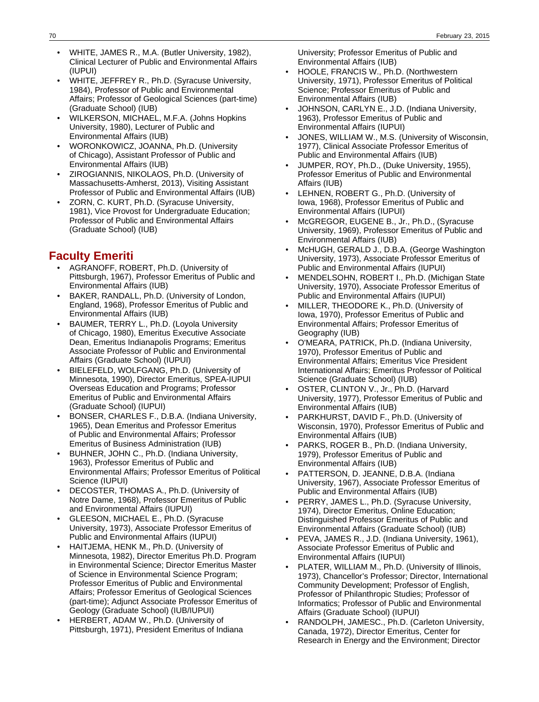- WHITE, JAMES R., M.A. (Butler University, 1982), Clinical Lecturer of Public and Environmental Affairs (IUPUI)
- WHITE, JEFFREY R., Ph.D. (Syracuse University, 1984), Professor of Public and Environmental Affairs; Professor of Geological Sciences (part-time) (Graduate School) (IUB)
- WILKERSON, MICHAEL, M.F.A. (Johns Hopkins University, 1980), Lecturer of Public and Environmental Affairs (IUB)
- WORONKOWICZ, JOANNA, Ph.D. (University of Chicago), Assistant Professor of Public and Environmental Affairs (IUB)
- ZIROGIANNIS, NIKOLAOS, Ph.D. (University of Massachusetts-Amherst, 2013), Visiting Assistant Professor of Public and Environmental Affairs (IUB)
- ZORN, C. KURT, Ph.D. (Syracuse University, 1981), Vice Provost for Undergraduate Education; Professor of Public and Environmental Affairs (Graduate School) (IUB)

# **Faculty Emeriti**

- AGRANOFF, ROBERT, Ph.D. (University of Pittsburgh, 1967), Professor Emeritus of Public and Environmental Affairs (IUB)
- BAKER, RANDALL, Ph.D. (University of London, England, 1968), Professor Emeritus of Public and Environmental Affairs (IUB)
- BAUMER, TERRY L., Ph.D. (Loyola University of Chicago, 1980), Emeritus Executive Associate Dean, Emeritus Indianapolis Programs; Emeritus Associate Professor of Public and Environmental Affairs (Graduate School) (IUPUI)
- BIELEFELD, WOLFGANG, Ph.D. (University of Minnesota, 1990), Director Emeritus, SPEA-IUPUI Overseas Education and Programs; Professor Emeritus of Public and Environmental Affairs (Graduate School) (IUPUI)
- BONSER, CHARLES F., D.B.A. (Indiana University, 1965), Dean Emeritus and Professor Emeritus of Public and Environmental Affairs; Professor Emeritus of Business Administration (IUB)
- BUHNER, JOHN C., Ph.D. (Indiana University, 1963), Professor Emeritus of Public and Environmental Affairs; Professor Emeritus of Political Science (IUPUI)
- DECOSTER, THOMAS A., Ph.D. (University of Notre Dame, 1968), Professor Emeritus of Public and Environmental Affairs (IUPUI)
- GLEESON, MICHAEL E., Ph.D. (Syracuse University, 1973), Associate Professor Emeritus of Public and Environmental Affairs (IUPUI)
- HAITJEMA, HENK M., Ph.D. (University of Minnesota, 1982), Director Emeritus Ph.D. Program in Environmental Science; Director Emeritus Master of Science in Environmental Science Program; Professor Emeritus of Public and Environmental Affairs; Professor Emeritus of Geological Sciences (part-time); Adjunct Associate Professor Emeritus of Geology (Graduate School) (IUB/IUPUI)
- HERBERT, ADAM W., Ph.D. (University of Pittsburgh, 1971), President Emeritus of Indiana

University; Professor Emeritus of Public and Environmental Affairs (IUB)

- HOOLE, FRANCIS W., Ph.D. (Northwestern University, 1971), Professor Emeritus of Political Science; Professor Emeritus of Public and Environmental Affairs (IUB)
- JOHNSON, CARLYN E., J.D. (Indiana University, 1963), Professor Emeritus of Public and Environmental Affairs (IUPUI)
- JONES, WILLIAM W., M.S. (University of Wisconsin, 1977), Clinical Associate Professor Emeritus of Public and Environmental Affairs (IUB)
- JUMPER, ROY, Ph.D., (Duke University, 1955), Professor Emeritus of Public and Environmental Affairs (IUB)
- LEHNEN, ROBERT G., Ph.D. (University of Iowa, 1968), Professor Emeritus of Public and Environmental Affairs (IUPUI)
- McGREGOR, EUGENE B., Jr., Ph.D., (Syracuse University, 1969), Professor Emeritus of Public and Environmental Affairs (IUB)
- McHUGH, GERALD J., D.B.A. (George Washington University, 1973), Associate Professor Emeritus of Public and Environmental Affairs (IUPUI)
- MENDELSOHN, ROBERT I., Ph.D. (Michigan State University, 1970), Associate Professor Emeritus of Public and Environmental Affairs (IUPUI)
- MILLER, THEODORE K., Ph.D. (University of Iowa, 1970), Professor Emeritus of Public and Environmental Affairs; Professor Emeritus of Geography (IUB)
- O'MEARA, PATRICK, Ph.D. (Indiana University, 1970), Professor Emeritus of Public and Environmental Affairs; Emeritus Vice President International Affairs; Emeritus Professor of Political Science (Graduate School) (IUB)
- OSTER, CLINTON V., Jr., Ph.D. (Harvard University, 1977), Professor Emeritus of Public and Environmental Affairs (IUB)
- PARKHURST, DAVID F., Ph.D. (University of Wisconsin, 1970), Professor Emeritus of Public and Environmental Affairs (IUB)
- PARKS, ROGER B., Ph.D. (Indiana University, 1979), Professor Emeritus of Public and Environmental Affairs (IUB)
- PATTERSON, D. JEANNE, D.B.A. (Indiana University, 1967), Associate Professor Emeritus of Public and Environmental Affairs (IUB)
- PERRY, JAMES L., Ph.D. (Syracuse University, 1974), Director Emeritus, Online Education; Distinguished Professor Emeritus of Public and Environmental Affairs (Graduate School) (IUB)
- PEVA, JAMES R., J.D. (Indiana University, 1961), Associate Professor Emeritus of Public and Environmental Affairs (IUPUI)
- PLATER, WILLIAM M., Ph.D. (University of Illinois, 1973), Chancellor's Professor; Director, International Community Development; Professor of English, Professor of Philanthropic Studies; Professor of Informatics; Professor of Public and Environmental Affairs (Graduate School) (IUPUI)
- RANDOLPH, JAMESC., Ph.D. (Carleton University, Canada, 1972), Director Emeritus, Center for Research in Energy and the Environment; Director